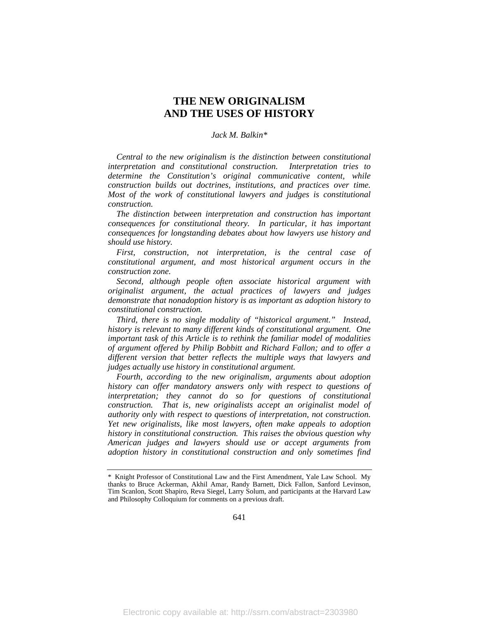# **THE NEW ORIGINALISM AND THE USES OF HISTORY**

## *Jack M. Balkin\**

*Central to the new originalism is the distinction between constitutional interpretation and constitutional construction. Interpretation tries to determine the Constitution's original communicative content, while construction builds out doctrines, institutions, and practices over time. Most of the work of constitutional lawyers and judges is constitutional construction.*

*The distinction between interpretation and construction has important consequences for constitutional theory. In particular, it has important consequences for longstanding debates about how lawyers use history and should use history.*

*First, construction, not interpretation, is the central case of constitutional argument, and most historical argument occurs in the construction zone.*

*Second, although people often associate historical argument with originalist argument, the actual practices of lawyers and judges demonstrate that nonadoption history is as important as adoption history to constitutional construction.*

*Third, there is no single modality of "historical argument." Instead, history is relevant to many different kinds of constitutional argument. One important task of this Article is to rethink the familiar model of modalities of argument offered by Philip Bobbitt and Richard Fallon; and to offer a different version that better reflects the multiple ways that lawyers and judges actually use history in constitutional argument.*

*Fourth, according to the new originalism, arguments about adoption history can offer mandatory answers only with respect to questions of interpretation; they cannot do so for questions of constitutional construction. That is, new originalists accept an originalist model of authority only with respect to questions of interpretation, not construction. Yet new originalists, like most lawyers, often make appeals to adoption history in constitutional construction. This raises the obvious question why American judges and lawyers should use or accept arguments from adoption history in constitutional construction and only sometimes find* 

<sup>\*</sup> Knight Professor of Constitutional Law and the First Amendment, Yale Law School. My thanks to Bruce Ackerman, Akhil Amar, Randy Barnett, Dick Fallon, Sanford Levinson, Tim Scanlon, Scott Shapiro, Reva Siegel, Larry Solum, and participants at the Harvard Law and Philosophy Colloquium for comments on a previous draft.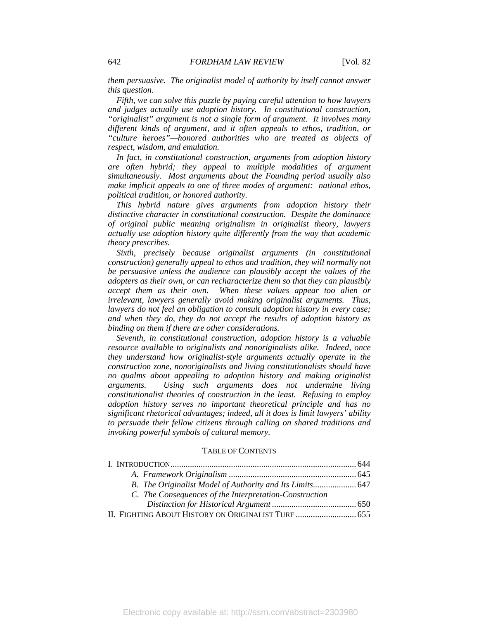*them persuasive. The originalist model of authority by itself cannot answer this question.*

*Fifth, we can solve this puzzle by paying careful attention to how lawyers and judges actually use adoption history. In constitutional construction, "originalist" argument is not a single form of argument. It involves many different kinds of argument, and it often appeals to ethos, tradition, or "culture heroes"—honored authorities who are treated as objects of respect, wisdom, and emulation.*

*In fact, in constitutional construction, arguments from adoption history are often hybrid; they appeal to multiple modalities of argument simultaneously. Most arguments about the Founding period usually also make implicit appeals to one of three modes of argument: national ethos, political tradition, or honored authority.*

*This hybrid nature gives arguments from adoption history their distinctive character in constitutional construction. Despite the dominance of original public meaning originalism in originalist theory, lawyers actually use adoption history quite differently from the way that academic theory prescribes.*

*Sixth, precisely because originalist arguments (in constitutional construction) generally appeal to ethos and tradition, they will normally not be persuasive unless the audience can plausibly accept the values of the adopters as their own, or can recharacterize them so that they can plausibly accept them as their own. When these values appear too alien or irrelevant, lawyers generally avoid making originalist arguments. Thus, lawyers do not feel an obligation to consult adoption history in every case; and when they do, they do not accept the results of adoption history as binding on them if there are other considerations.*

*Seventh, in constitutional construction, adoption history is a valuable resource available to originalists and nonoriginalists alike. Indeed, once they understand how originalist-style arguments actually operate in the construction zone, nonoriginalists and living constitutionalists should have no qualms about appealing to adoption history and making originalist arguments. Using such arguments does not undermine living constitutionalist theories of construction in the least. Refusing to employ adoption history serves no important theoretical principle and has no significant rhetorical advantages; indeed, all it does is limit lawyers' ability to persuade their fellow citizens through calling on shared traditions and invoking powerful symbols of cultural memory.* 

#### TABLE OF CONTENTS

| C. The Consequences of the Interpretation-Construction |  |
|--------------------------------------------------------|--|
|                                                        |  |
| II. FIGHTING ABOUT HISTORY ON ORIGINALIST TURF  655    |  |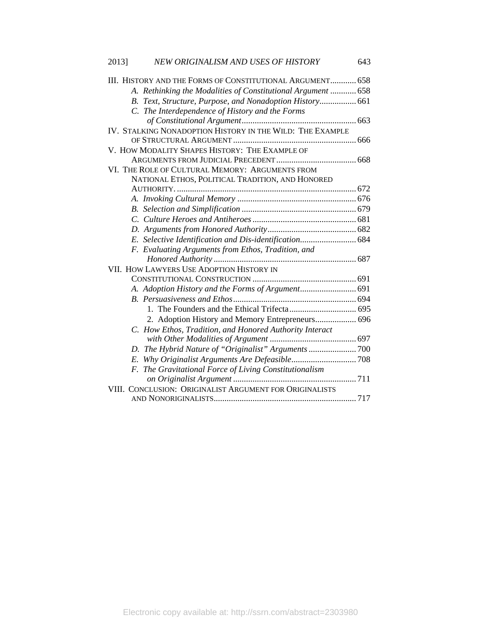| 2013] | NEW ORIGINALISM AND USES OF HISTORY                          | 643 |
|-------|--------------------------------------------------------------|-----|
|       | III. HISTORY AND THE FORMS OF CONSTITUTIONAL ARGUMENT 658    |     |
|       | A. Rethinking the Modalities of Constitutional Argument  658 |     |
|       | B. Text, Structure, Purpose, and Nonadoption History 661     |     |
|       | C. The Interdependence of History and the Forms              |     |
|       |                                                              |     |
|       | IV. STALKING NONADOPTION HISTORY IN THE WILD: THE EXAMPLE    |     |
|       |                                                              |     |
|       | V. HOW MODALITY SHAPES HISTORY: THE EXAMPLE OF               |     |
|       |                                                              |     |
|       | VI. THE ROLE OF CULTURAL MEMORY: ARGUMENTS FROM              |     |
|       | NATIONAL ETHOS, POLITICAL TRADITION, AND HONORED             |     |
|       |                                                              |     |
|       |                                                              |     |
|       |                                                              |     |
|       |                                                              |     |
|       |                                                              |     |
|       | E. Selective Identification and Dis-identification 684       |     |
|       | F. Evaluating Arguments from Ethos, Tradition, and           |     |
|       |                                                              |     |
|       | VII. HOW LAWYERS USE ADOPTION HISTORY IN                     |     |
|       |                                                              |     |
|       |                                                              |     |
|       |                                                              |     |
|       |                                                              |     |
|       | 2. Adoption History and Memory Entrepreneurs 696             |     |
|       | C. How Ethos, Tradition, and Honored Authority Interact      |     |
|       |                                                              |     |
|       |                                                              |     |
|       |                                                              |     |
|       | F. The Gravitational Force of Living Constitutionalism       |     |
|       |                                                              |     |
|       | VIII. CONCLUSION: ORIGINALIST ARGUMENT FOR ORIGINALISTS      |     |
|       |                                                              |     |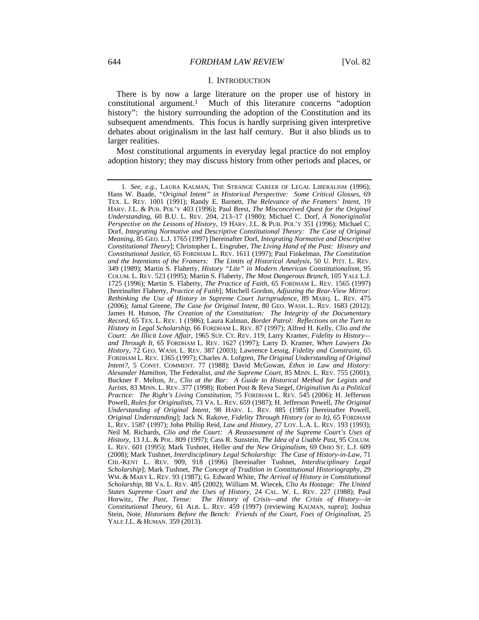#### I. INTRODUCTION

There is by now a large literature on the proper use of history in constitutional argument.1 Much of this literature concerns "adoption history": the history surrounding the adoption of the Constitution and its subsequent amendments. This focus is hardly surprising given interpretive debates about originalism in the last half century. But it also blinds us to larger realities.

Most constitutional arguments in everyday legal practice do not employ adoption history; they may discuss history from other periods and places, or

<sup>1</sup>*. See, e.g.*, LAURA KALMAN, THE STRANGE CAREER OF LEGAL LIBERALISM (1996); Hans W. Baade, *"Original Intent" in Historical Perspective: Some Critical Glosses*, 69 TEX. L. REV. 1001 (1991); Randy E. Barnett, *The Relevance of the Framers' Intent*, 19 HARV. J.L. & PUB. POL'Y 403 (1996); Paul Brest, *The Misconceived Quest for the Original Understanding*, 60 B.U. L. REV. 204, 213–17 (1980); Michael C. Dorf, *A Nonoriginalist Perspective on the Lessons of History*, 19 HARV. J.L. & PUB. POL'Y 351 (1996); Michael C. Dorf, *Integrating Normative and Descriptive Constitutional Theory: The Case of Original Meaning*, 85 GEO. L.J. 1765 (1997) [hereinafter Dorf, *Integrating Normative and Descriptive Constitutional Theory*]; Christopher L. Eisgruber, *The Living Hand of the Past: History and Constitutional Justice*, 65 FORDHAM L. REV. 1611 (1997); Paul Finkelman, *The Constitution and the Intentions of the Framers: The Limits of Historical Analysis*, 50 U. PITT. L. REV. 349 (1989); Martin S. Flaherty, *History "Lite" in Modern American Constitutionalism*, 95 COLUM. L. REV. 523 (1995); Martin S. Flaherty, *The Most Dangerous Branch*, 105 YALE L.J. 1725 (1996); Martin S. Flaherty, *The Practice of Faith*, 65 FORDHAM L. REV. 1565 (1997) [hereinafter Flaherty, *Practice of Faith*]; Mitchell Gordon, *Adjusting the Rear-View Mirror: Rethinking the Use of History in Supreme Court Jurisprudence*, 89 MARQ. L. REV. 475 (2006); Jamal Greene, *The Case for Original Intent*, 80 GEO. WASH. L. REV. 1683 (2012); James H. Hutson, *The Creation of the Constitution: The Integrity of the Documentary Record*, 65 TEX. L. REV. 1 (1986); Laura Kalman, *Border Patrol: Reflections on the Turn to History in Legal Scholarship*, 66 FORDHAM L. REV. 87 (1997); Alfred H. Kelly, *Clio and the Court: An Illicit Love Affair*, 1965 SUP. CT. REV. 119; Larry Kramer, *Fidelity to History and Through It*, 65 FORDHAM L. REV. 1627 (1997); Larry D. Kramer, *When Lawyers Do History*, 72 GEO. WASH. L. REV. 387 (2003); Lawrence Lessig, *Fidelity and Constraint*, 65 FORDHAM L. REV. 1365 (1997); Charles A. Lofgren, *The Original Understanding of Original Intent?*, 5 CONST. COMMENT. 77 (1988); David McGowan, *Ethos in Law and History: Alexander Hamilton,* The Federalist*, and the Supreme Court*, 85 MINN. L. REV. 755 (2001); Buckner F. Melton, Jr., *Clio at the Bar: A Guide to Historical Method for Legists and Jurists*, 83 MINN. L. REV. 377 (1998); Robert Post & Reva Siegel, *Originalism As a Political Practice: The Right's Living Constitution*, 75 FORDHAM L. REV. 545 (2006); H. Jefferson Powell, *Rules for Originalists*, 73 VA. L. REV. 659 (1987); H. Jefferson Powell, *The Original Understanding of Original Intent*, 98 HARV. L. REV. 885 (1985) [hereinafter Powell, *Original Understanding*]; Jack N. Rakove, *Fidelity Through History (or to It)*, 65 FORDHAM L. REV. 1587 (1997); John Phillip Reid, *Law and History*, 27 LOY. L.A. L. REV. 193 (1993); Neil M. Richards, *Clio and the Court: A Reassessment of the Supreme Court's Uses of History*, 13 J.L. & POL. 809 (1997); Cass R. Sunstein, *The Idea of a Usable Past*, 95 COLUM. L. REV. 601 (1995); Mark Tushnet, Heller *and the New Originalism*, 69 OHIO ST. L.J. 609 (2008); Mark Tushnet, *Interdisciplinary Legal Scholarship: The Case of History-in-Law*, 71 CHI.-KENT L. REV. 909, 918 (1996) [hereinafter Tushnet, *Interdisciplinary Legal Scholarship*]; Mark Tushnet, *The Concept of Tradition in Constitutional Historiography*, 29 WM. & MARY L. REV. 93 (1987); G. Edward White, *The Arrival of History in Constitutional Scholarship*, 88 VA. L. REV. 485 (2002); William M. Wiecek, *Clio As Hostage: The United States Supreme Court and the Uses of History*, 24 CAL. W. L. REV. 227 (1988); Paul Horwitz, *The Past, Tense: The History of Crisis—and the Crisis of History—in Constitutional Theory*, 61 ALB. L. REV. 459 (1997) (reviewing KALMAN, *supra*); Joshua Stein, Note, *Historians Before the Bench: Friends of the Court, Foes of Originalism*, 25 YALE J.L. & HUMAN. 359 (2013).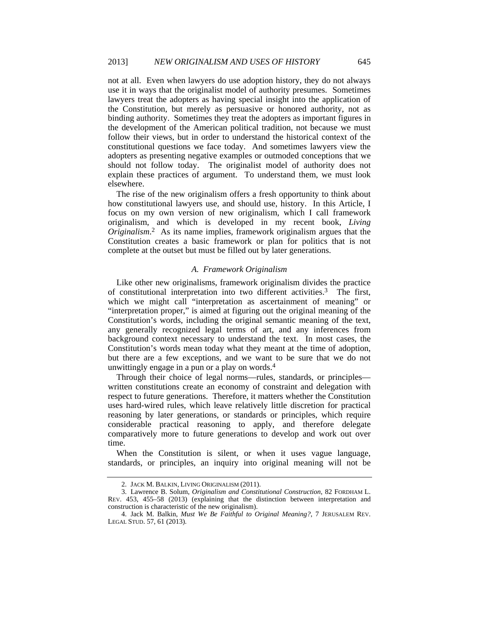not at all. Even when lawyers do use adoption history, they do not always use it in ways that the originalist model of authority presumes. Sometimes lawyers treat the adopters as having special insight into the application of the Constitution, but merely as persuasive or honored authority, not as binding authority. Sometimes they treat the adopters as important figures in the development of the American political tradition, not because we must follow their views, but in order to understand the historical context of the constitutional questions we face today. And sometimes lawyers view the adopters as presenting negative examples or outmoded conceptions that we should not follow today. The originalist model of authority does not explain these practices of argument. To understand them, we must look elsewhere.

The rise of the new originalism offers a fresh opportunity to think about how constitutional lawyers use, and should use, history. In this Article, I focus on my own version of new originalism, which I call framework originalism, and which is developed in my recent book, *Living Originalism*. 2 As its name implies, framework originalism argues that the Constitution creates a basic framework or plan for politics that is not complete at the outset but must be filled out by later generations.

## *A. Framework Originalism*

Like other new originalisms, framework originalism divides the practice of constitutional interpretation into two different activities.3 The first, which we might call "interpretation as ascertainment of meaning" or "interpretation proper," is aimed at figuring out the original meaning of the Constitution's words, including the original semantic meaning of the text, any generally recognized legal terms of art, and any inferences from background context necessary to understand the text. In most cases, the Constitution's words mean today what they meant at the time of adoption, but there are a few exceptions, and we want to be sure that we do not unwittingly engage in a pun or a play on words.4

Through their choice of legal norms—rules, standards, or principles written constitutions create an economy of constraint and delegation with respect to future generations. Therefore, it matters whether the Constitution uses hard-wired rules, which leave relatively little discretion for practical reasoning by later generations, or standards or principles, which require considerable practical reasoning to apply, and therefore delegate comparatively more to future generations to develop and work out over time.

When the Constitution is silent, or when it uses vague language, standards, or principles, an inquiry into original meaning will not be

 <sup>2.</sup> JACK M. BALKIN, LIVING ORIGINALISM (2011).

 <sup>3.</sup> Lawrence B. Solum, *Originalism and Constitutional Construction*, 82 FORDHAM L. REV. 453, 455–58 (2013) (explaining that the distinction between interpretation and construction is characteristic of the new originalism).

 <sup>4.</sup> Jack M. Balkin, *Must We Be Faithful to Original Meaning?*, 7 JERUSALEM REV. LEGAL STUD. 57, 61 (2013).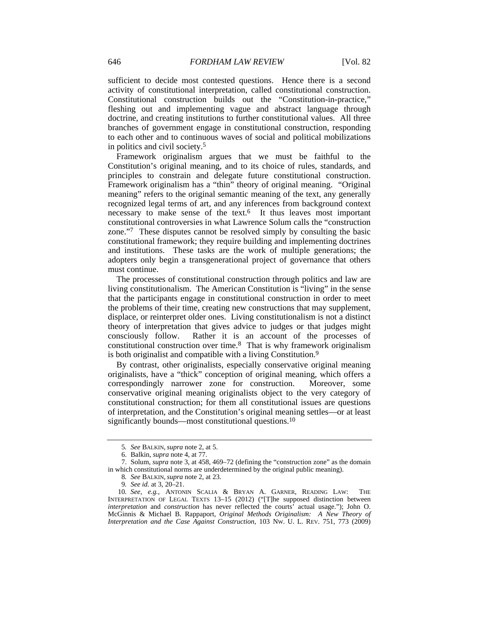sufficient to decide most contested questions. Hence there is a second activity of constitutional interpretation, called constitutional construction. Constitutional construction builds out the "Constitution-in-practice," fleshing out and implementing vague and abstract language through doctrine, and creating institutions to further constitutional values. All three branches of government engage in constitutional construction, responding to each other and to continuous waves of social and political mobilizations in politics and civil society.5

Framework originalism argues that we must be faithful to the Constitution's original meaning, and to its choice of rules, standards, and principles to constrain and delegate future constitutional construction. Framework originalism has a "thin" theory of original meaning. "Original meaning" refers to the original semantic meaning of the text, any generally recognized legal terms of art, and any inferences from background context necessary to make sense of the text.<sup>6</sup> It thus leaves most important constitutional controversies in what Lawrence Solum calls the "construction zone."7 These disputes cannot be resolved simply by consulting the basic constitutional framework; they require building and implementing doctrines and institutions. These tasks are the work of multiple generations; the adopters only begin a transgenerational project of governance that others must continue.

The processes of constitutional construction through politics and law are living constitutionalism. The American Constitution is "living" in the sense that the participants engage in constitutional construction in order to meet the problems of their time, creating new constructions that may supplement, displace, or reinterpret older ones. Living constitutionalism is not a distinct theory of interpretation that gives advice to judges or that judges might consciously follow. Rather it is an account of the processes of constitutional construction over time.8 That is why framework originalism is both originalist and compatible with a living Constitution.9

By contrast, other originalists, especially conservative original meaning originalists, have a "thick" conception of original meaning, which offers a correspondingly narrower zone for construction. Moreover, some conservative original meaning originalists object to the very category of constitutional construction; for them all constitutional issues are questions of interpretation, and the Constitution's original meaning settles—or at least significantly bounds—most constitutional questions.10

<sup>5</sup>*. See* BALKIN, *supra* note 2, at 5.

 <sup>6.</sup> Balkin, *supra* note 4, at 77.

 <sup>7.</sup> Solum, *supra* note 3, at 458, 469–72 (defining the "construction zone" as the domain in which constitutional norms are underdetermined by the original public meaning).

<sup>8</sup>*. See* BALKIN, *supra* note 2, at 23.

<sup>9</sup>*. See id.* at 3, 20–21.

<sup>10</sup>*. See, e.g.*, ANTONIN SCALIA & BRYAN A. GARNER, READING LAW: THE INTERPRETATION OF LEGAL TEXTS 13–15 (2012) ("[T]he supposed distinction between *interpretation* and *construction* has never reflected the courts' actual usage."); John O. McGinnis & Michael B. Rappaport, *Original Methods Originalism: A New Theory of Interpretation and the Case Against Construction*, 103 NW. U. L. REV. 751, 773 (2009)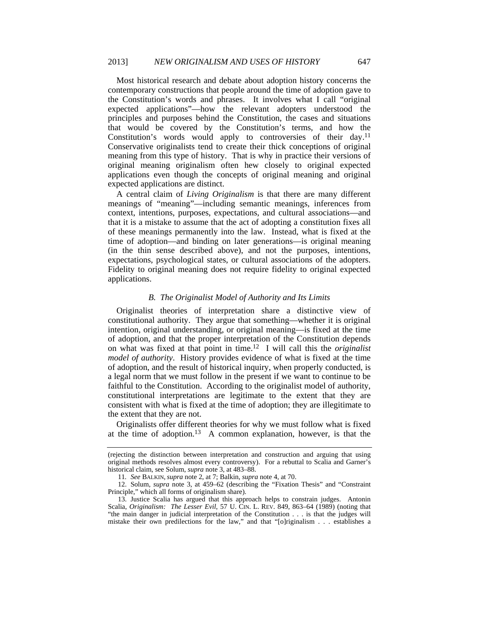Most historical research and debate about adoption history concerns the contemporary constructions that people around the time of adoption gave to the Constitution's words and phrases. It involves what I call "original expected applications"—how the relevant adopters understood the principles and purposes behind the Constitution, the cases and situations that would be covered by the Constitution's terms, and how the Constitution's words would apply to controversies of their day.<sup>11</sup> Conservative originalists tend to create their thick conceptions of original meaning from this type of history. That is why in practice their versions of original meaning originalism often hew closely to original expected applications even though the concepts of original meaning and original expected applications are distinct.

A central claim of *Living Originalism* is that there are many different meanings of "meaning"—including semantic meanings, inferences from context, intentions, purposes, expectations, and cultural associations—and that it is a mistake to assume that the act of adopting a constitution fixes all of these meanings permanently into the law. Instead, what is fixed at the time of adoption—and binding on later generations—is original meaning (in the thin sense described above), and not the purposes, intentions, expectations, psychological states, or cultural associations of the adopters. Fidelity to original meaning does not require fidelity to original expected applications.

## *B. The Originalist Model of Authority and Its Limits*

Originalist theories of interpretation share a distinctive view of constitutional authority. They argue that something—whether it is original intention, original understanding, or original meaning—is fixed at the time of adoption, and that the proper interpretation of the Constitution depends on what was fixed at that point in time.12 I will call this the *originalist model of authority*. History provides evidence of what is fixed at the time of adoption, and the result of historical inquiry, when properly conducted, is a legal norm that we must follow in the present if we want to continue to be faithful to the Constitution. According to the originalist model of authority, constitutional interpretations are legitimate to the extent that they are consistent with what is fixed at the time of adoption; they are illegitimate to the extent that they are not.

Originalists offer different theories for why we must follow what is fixed at the time of adoption.13 A common explanation, however, is that the

<sup>(</sup>rejecting the distinction between interpretation and construction and arguing that using original methods resolves almost every controversy). For a rebuttal to Scalia and Garner's historical claim, see Solum, *supra* note 3, at 483–88.

<sup>11</sup>*. See* BALKIN, *supra* note 2, at 7; Balkin, *supra* note 4, at 70.

 <sup>12.</sup> Solum, *supra* note 3, at 459–62 (describing the "Fixation Thesis" and "Constraint Principle," which all forms of originalism share).

 <sup>13.</sup> Justice Scalia has argued that this approach helps to constrain judges. Antonin Scalia, *Originalism: The Lesser Evil*, 57 U. CIN. L. REV. 849, 863–64 (1989) (noting that "the main danger in judicial interpretation of the Constitution . . . is that the judges will mistake their own predilections for the law," and that "[o]riginalism . . . establishes a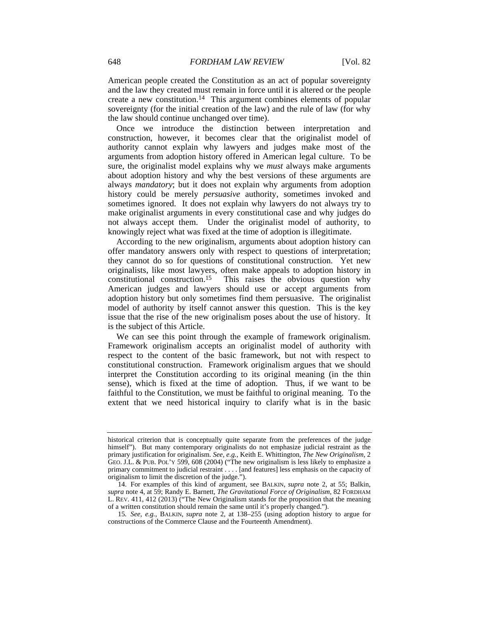American people created the Constitution as an act of popular sovereignty and the law they created must remain in force until it is altered or the people create a new constitution.14 This argument combines elements of popular sovereignty (for the initial creation of the law) and the rule of law (for why the law should continue unchanged over time).

Once we introduce the distinction between interpretation and construction, however, it becomes clear that the originalist model of authority cannot explain why lawyers and judges make most of the arguments from adoption history offered in American legal culture. To be sure, the originalist model explains why we *must* always make arguments about adoption history and why the best versions of these arguments are always *mandatory*; but it does not explain why arguments from adoption history could be merely *persuasive* authority, sometimes invoked and sometimes ignored. It does not explain why lawyers do not always try to make originalist arguments in every constitutional case and why judges do not always accept them. Under the originalist model of authority, to knowingly reject what was fixed at the time of adoption is illegitimate.

According to the new originalism, arguments about adoption history can offer mandatory answers only with respect to questions of interpretation; they cannot do so for questions of constitutional construction. Yet new originalists, like most lawyers, often make appeals to adoption history in constitutional construction.15 This raises the obvious question why American judges and lawyers should use or accept arguments from adoption history but only sometimes find them persuasive. The originalist model of authority by itself cannot answer this question. This is the key issue that the rise of the new originalism poses about the use of history. It is the subject of this Article.

We can see this point through the example of framework originalism. Framework originalism accepts an originalist model of authority with respect to the content of the basic framework, but not with respect to constitutional construction. Framework originalism argues that we should interpret the Constitution according to its original meaning (in the thin sense), which is fixed at the time of adoption. Thus, if we want to be faithful to the Constitution, we must be faithful to original meaning. To the extent that we need historical inquiry to clarify what is in the basic

historical criterion that is conceptually quite separate from the preferences of the judge himself"). But many contemporary originalists do not emphasize judicial restraint as the primary justification for originalism. *See, e.g.*, Keith E. Whittington, *The New Originalism*, 2 GEO. J.L. & PUB. POL'Y 599, 608 (2004) ("The new originalism is less likely to emphasize a primary commitment to judicial restraint . . . . [and features] less emphasis on the capacity of originalism to limit the discretion of the judge.").

 <sup>14.</sup> For examples of this kind of argument, see BALKIN, *supra* note 2, at 55; Balkin, *supra* note 4, at 59; Randy E. Barnett, *The Gravitational Force of Originalism*, 82 FORDHAM L. REV. 411, 412 (2013) ("The New Originalism stands for the proposition that the meaning of a written constitution should remain the same until it's properly changed.").

<sup>15</sup>*. See, e.g.*, BALKIN, *supra* note 2, at 138–255 (using adoption history to argue for constructions of the Commerce Clause and the Fourteenth Amendment).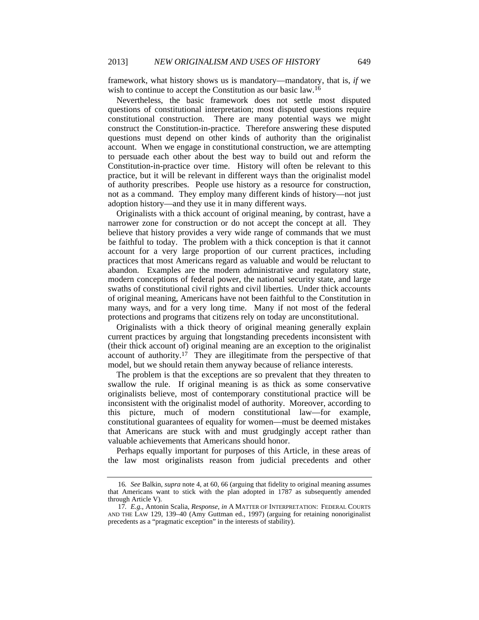framework, what history shows us is mandatory—mandatory, that is, *if* we wish to continue to accept the Constitution as our basic law.16

Nevertheless, the basic framework does not settle most disputed questions of constitutional interpretation; most disputed questions require constitutional construction. There are many potential ways we might construct the Constitution-in-practice. Therefore answering these disputed questions must depend on other kinds of authority than the originalist account. When we engage in constitutional construction, we are attempting to persuade each other about the best way to build out and reform the Constitution-in-practice over time. History will often be relevant to this practice, but it will be relevant in different ways than the originalist model of authority prescribes. People use history as a resource for construction, not as a command. They employ many different kinds of history—not just adoption history—and they use it in many different ways.

Originalists with a thick account of original meaning, by contrast, have a narrower zone for construction or do not accept the concept at all. They believe that history provides a very wide range of commands that we must be faithful to today. The problem with a thick conception is that it cannot account for a very large proportion of our current practices, including practices that most Americans regard as valuable and would be reluctant to abandon. Examples are the modern administrative and regulatory state, modern conceptions of federal power, the national security state, and large swaths of constitutional civil rights and civil liberties. Under thick accounts of original meaning, Americans have not been faithful to the Constitution in many ways, and for a very long time. Many if not most of the federal protections and programs that citizens rely on today are unconstitutional.

Originalists with a thick theory of original meaning generally explain current practices by arguing that longstanding precedents inconsistent with (their thick account of) original meaning are an exception to the originalist account of authority.<sup>17</sup> They are illegitimate from the perspective of that model, but we should retain them anyway because of reliance interests.

The problem is that the exceptions are so prevalent that they threaten to swallow the rule. If original meaning is as thick as some conservative originalists believe, most of contemporary constitutional practice will be inconsistent with the originalist model of authority. Moreover, according to this picture, much of modern constitutional law—for example, constitutional guarantees of equality for women—must be deemed mistakes that Americans are stuck with and must grudgingly accept rather than valuable achievements that Americans should honor.

Perhaps equally important for purposes of this Article, in these areas of the law most originalists reason from judicial precedents and other

<sup>16</sup>*. See* Balkin, *supra* note 4, at 60, 66 (arguing that fidelity to original meaning assumes that Americans want to stick with the plan adopted in 1787 as subsequently amended through Article V).

<sup>17</sup>*. E.g.*, Antonin Scalia, *Response*, *in* A MATTER OF INTERPRETATION: FEDERAL COURTS AND THE LAW 129, 139–40 (Amy Guttman ed., 1997) (arguing for retaining nonoriginalist precedents as a "pragmatic exception" in the interests of stability).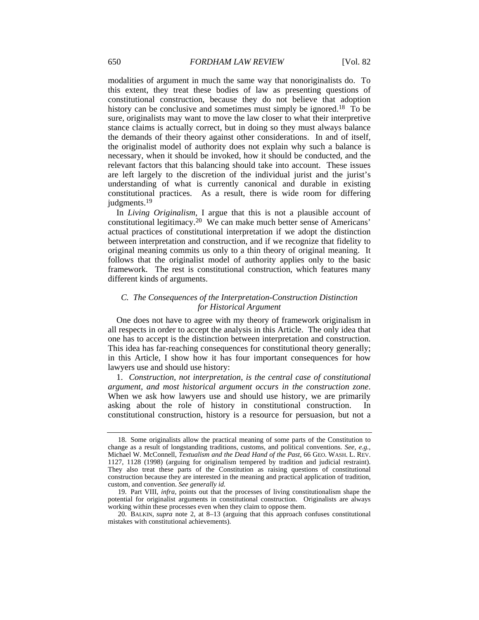modalities of argument in much the same way that nonoriginalists do. To this extent, they treat these bodies of law as presenting questions of constitutional construction, because they do not believe that adoption history can be conclusive and sometimes must simply be ignored.<sup>18</sup> To be sure, originalists may want to move the law closer to what their interpretive stance claims is actually correct, but in doing so they must always balance the demands of their theory against other considerations. In and of itself, the originalist model of authority does not explain why such a balance is necessary, when it should be invoked, how it should be conducted, and the relevant factors that this balancing should take into account. These issues are left largely to the discretion of the individual jurist and the jurist's understanding of what is currently canonical and durable in existing constitutional practices. As a result, there is wide room for differing judgments.19

In *Living Originalism*, I argue that this is not a plausible account of constitutional legitimacy.20 We can make much better sense of Americans' actual practices of constitutional interpretation if we adopt the distinction between interpretation and construction, and if we recognize that fidelity to original meaning commits us only to a thin theory of original meaning. It follows that the originalist model of authority applies only to the basic framework. The rest is constitutional construction, which features many different kinds of arguments.

# *C. The Consequences of the Interpretation-Construction Distinction for Historical Argument*

One does not have to agree with my theory of framework originalism in all respects in order to accept the analysis in this Article. The only idea that one has to accept is the distinction between interpretation and construction. This idea has far-reaching consequences for constitutional theory generally; in this Article, I show how it has four important consequences for how lawyers use and should use history:

1. *Construction, not interpretation, is the central case of constitutional argument, and most historical argument occurs in the construction zone*. When we ask how lawyers use and should use history, we are primarily asking about the role of history in constitutional construction. In constitutional construction, history is a resource for persuasion, but not a

 <sup>18.</sup> Some originalists allow the practical meaning of some parts of the Constitution to change as a result of longstanding traditions, customs, and political conventions. *See, e.g.*, Michael W. McConnell, *Textualism and the Dead Hand of the Past*, 66 GEO. WASH. L. REV. 1127, 1128 (1998) (arguing for originalism tempered by tradition and judicial restraint). They also treat these parts of the Constitution as raising questions of constitutional construction because they are interested in the meaning and practical application of tradition, custom, and convention. *See generally id.* 

 <sup>19.</sup> Part VIII, *infra*, points out that the processes of living constitutionalism shape the potential for originalist arguments in constitutional construction. Originalists are always working within these processes even when they claim to oppose them.

 <sup>20.</sup> BALKIN, *supra* note 2, at 8–13 (arguing that this approach confuses constitutional mistakes with constitutional achievements).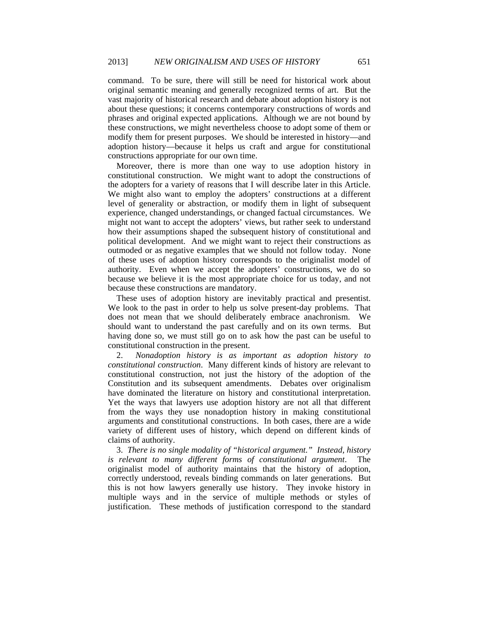command. To be sure, there will still be need for historical work about original semantic meaning and generally recognized terms of art. But the vast majority of historical research and debate about adoption history is not about these questions; it concerns contemporary constructions of words and phrases and original expected applications. Although we are not bound by these constructions, we might nevertheless choose to adopt some of them or modify them for present purposes. We should be interested in history—and adoption history—because it helps us craft and argue for constitutional constructions appropriate for our own time.

Moreover, there is more than one way to use adoption history in constitutional construction. We might want to adopt the constructions of the adopters for a variety of reasons that I will describe later in this Article. We might also want to employ the adopters' constructions at a different level of generality or abstraction, or modify them in light of subsequent experience, changed understandings, or changed factual circumstances. We might not want to accept the adopters' views, but rather seek to understand how their assumptions shaped the subsequent history of constitutional and political development. And we might want to reject their constructions as outmoded or as negative examples that we should not follow today. None of these uses of adoption history corresponds to the originalist model of authority. Even when we accept the adopters' constructions, we do so because we believe it is the most appropriate choice for us today, and not because these constructions are mandatory.

These uses of adoption history are inevitably practical and presentist. We look to the past in order to help us solve present-day problems. That does not mean that we should deliberately embrace anachronism. We should want to understand the past carefully and on its own terms. But having done so, we must still go on to ask how the past can be useful to constitutional construction in the present.

2. *Nonadoption history is as important as adoption history to constitutional construction*. Many different kinds of history are relevant to constitutional construction, not just the history of the adoption of the Constitution and its subsequent amendments. Debates over originalism have dominated the literature on history and constitutional interpretation. Yet the ways that lawyers use adoption history are not all that different from the ways they use nonadoption history in making constitutional arguments and constitutional constructions. In both cases, there are a wide variety of different uses of history, which depend on different kinds of claims of authority.

3. *There is no single modality of "historical argument." Instead, history is relevant to many different forms of constitutional argument*. The originalist model of authority maintains that the history of adoption, correctly understood, reveals binding commands on later generations. But this is not how lawyers generally use history. They invoke history in multiple ways and in the service of multiple methods or styles of justification. These methods of justification correspond to the standard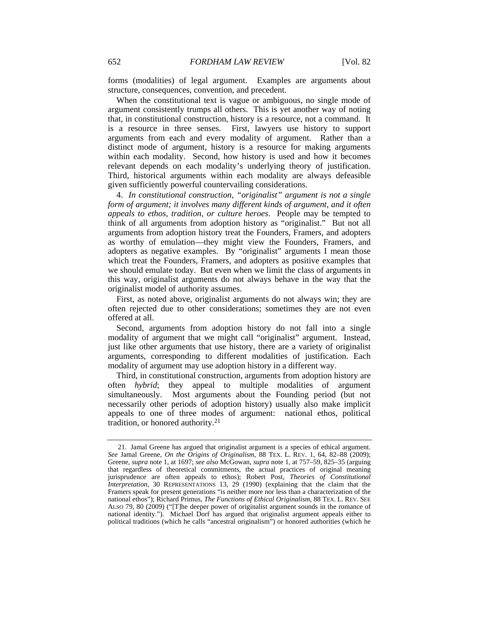forms (modalities) of legal argument. Examples are arguments about structure, consequences, convention, and precedent.

When the constitutional text is vague or ambiguous, no single mode of argument consistently trumps all others. This is yet another way of noting that, in constitutional construction, history is a resource, not a command. It is a resource in three senses. First, lawyers use history to support arguments from each and every modality of argument. Rather than a distinct mode of argument, history is a resource for making arguments within each modality. Second, how history is used and how it becomes relevant depends on each modality's underlying theory of justification. Third, historical arguments within each modality are always defeasible given sufficiently powerful countervailing considerations.

4. *In constitutional construction, "originalist" argument is not a single form of argument; it involves many different kinds of argument, and it often appeals to ethos, tradition, or culture heroes*. People may be tempted to think of all arguments from adoption history as "originalist." But not all arguments from adoption history treat the Founders, Framers, and adopters as worthy of emulation—they might view the Founders, Framers, and adopters as negative examples. By "originalist" arguments I mean those which treat the Founders, Framers, and adopters as positive examples that we should emulate today. But even when we limit the class of arguments in this way, originalist arguments do not always behave in the way that the originalist model of authority assumes.

First, as noted above, originalist arguments do not always win; they are often rejected due to other considerations; sometimes they are not even offered at all.

Second, arguments from adoption history do not fall into a single modality of argument that we might call "originalist" argument. Instead, just like other arguments that use history, there are a variety of originalist arguments, corresponding to different modalities of justification. Each modality of argument may use adoption history in a different way.

Third, in constitutional construction, arguments from adoption history are often *hybrid*; they appeal to multiple modalities of argument simultaneously. Most arguments about the Founding period (but not necessarily other periods of adoption history) usually also make implicit appeals to one of three modes of argument: national ethos, political tradition, or honored authority.21

 <sup>21.</sup> Jamal Greene has argued that originalist argument is a species of ethical argument. *See* Jamal Greene, *On the Origins of Originalism*, 88 TEX. L. REV. 1, 64, 82–88 (2009); Greene, *supra* note 1, at 1697; *see also* McGowan, *supra* note 1, at 757–59, 825–35 (arguing that regardless of theoretical commitments, the actual practices of original meaning jurisprudence are often appeals to ethos); Robert Post, *Theories of Constitutional Interpretation*, 30 REPRESENTATIONS 13, 29 (1990) (explaining that the claim that the Framers speak for present generations "is neither more nor less than a characterization of the national ethos"); Richard Primus, *The Functions of Ethical Originalism*, 88 TEX. L. REV. SEE ALSO 79, 80 (2009) ("[T]he deeper power of originalist argument sounds in the romance of national identity."). Michael Dorf has argued that originalist argument appeals either to political traditions (which he calls "ancestral originalism") or honored authorities (which he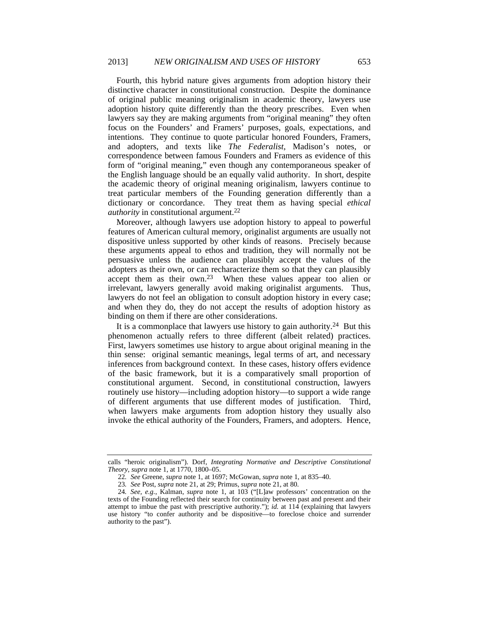Fourth, this hybrid nature gives arguments from adoption history their distinctive character in constitutional construction. Despite the dominance of original public meaning originalism in academic theory, lawyers use adoption history quite differently than the theory prescribes. Even when lawyers say they are making arguments from "original meaning" they often focus on the Founders' and Framers' purposes, goals, expectations, and intentions. They continue to quote particular honored Founders, Framers, and adopters, and texts like *The Federalist*, Madison's notes, or correspondence between famous Founders and Framers as evidence of this form of "original meaning," even though any contemporaneous speaker of the English language should be an equally valid authority. In short, despite the academic theory of original meaning originalism, lawyers continue to treat particular members of the Founding generation differently than a dictionary or concordance. They treat them as having special *ethical authority* in constitutional argument.22

Moreover, although lawyers use adoption history to appeal to powerful features of American cultural memory, originalist arguments are usually not dispositive unless supported by other kinds of reasons. Precisely because these arguments appeal to ethos and tradition, they will normally not be persuasive unless the audience can plausibly accept the values of the adopters as their own, or can recharacterize them so that they can plausibly accept them as their own.23 When these values appear too alien or irrelevant, lawyers generally avoid making originalist arguments. Thus, lawyers do not feel an obligation to consult adoption history in every case; and when they do, they do not accept the results of adoption history as binding on them if there are other considerations.

It is a commonplace that lawyers use history to gain authority.<sup>24</sup> But this phenomenon actually refers to three different (albeit related) practices. First, lawyers sometimes use history to argue about original meaning in the thin sense: original semantic meanings, legal terms of art, and necessary inferences from background context. In these cases, history offers evidence of the basic framework, but it is a comparatively small proportion of constitutional argument. Second, in constitutional construction, lawyers routinely use history—including adoption history—to support a wide range of different arguments that use different modes of justification. Third, when lawyers make arguments from adoption history they usually also invoke the ethical authority of the Founders, Framers, and adopters. Hence,

calls "heroic originalism"). Dorf, *Integrating Normative and Descriptive Constitutional Theory*, *supra* note 1, at 1770, 1800–05.

<sup>22</sup>*. See* Greene, *supra* note 1, at 1697; McGowan, *supra* note 1, at 835–40.

<sup>23</sup>*. See* Post, *supra* note 21, at 29; Primus, *supra* note 21, at 80.

<sup>24</sup>*. See, e.g.*, Kalman, *supra* note 1, at 103 ("[L]aw professors' concentration on the texts of the Founding reflected their search for continuity between past and present and their attempt to imbue the past with prescriptive authority."); *id.* at 114 (explaining that lawyers use history "to confer authority and be dispositive—to foreclose choice and surrender authority to the past").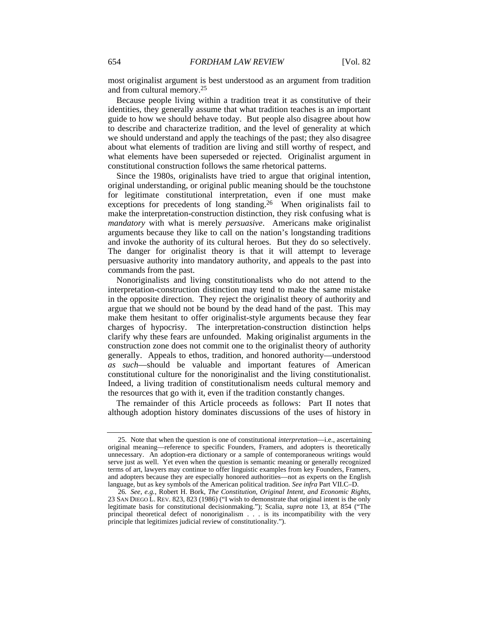most originalist argument is best understood as an argument from tradition and from cultural memory.25

Because people living within a tradition treat it as constitutive of their identities, they generally assume that what tradition teaches is an important guide to how we should behave today. But people also disagree about how to describe and characterize tradition, and the level of generality at which we should understand and apply the teachings of the past; they also disagree about what elements of tradition are living and still worthy of respect, and what elements have been superseded or rejected. Originalist argument in constitutional construction follows the same rhetorical patterns.

Since the 1980s, originalists have tried to argue that original intention, original understanding, or original public meaning should be the touchstone for legitimate constitutional interpretation, even if one must make exceptions for precedents of long standing.<sup>26</sup> When originalists fail to make the interpretation-construction distinction, they risk confusing what is *mandatory* with what is merely *persuasive*. Americans make originalist arguments because they like to call on the nation's longstanding traditions and invoke the authority of its cultural heroes. But they do so selectively. The danger for originalist theory is that it will attempt to leverage persuasive authority into mandatory authority, and appeals to the past into commands from the past.

Nonoriginalists and living constitutionalists who do not attend to the interpretation-construction distinction may tend to make the same mistake in the opposite direction. They reject the originalist theory of authority and argue that we should not be bound by the dead hand of the past. This may make them hesitant to offer originalist-style arguments because they fear charges of hypocrisy. The interpretation-construction distinction helps clarify why these fears are unfounded. Making originalist arguments in the construction zone does not commit one to the originalist theory of authority generally. Appeals to ethos, tradition, and honored authority—understood *as such*—should be valuable and important features of American constitutional culture for the nonoriginalist and the living constitutionalist. Indeed, a living tradition of constitutionalism needs cultural memory and the resources that go with it, even if the tradition constantly changes.

The remainder of this Article proceeds as follows: Part II notes that although adoption history dominates discussions of the uses of history in

 <sup>25.</sup> Note that when the question is one of constitutional *interpretation*—i.e., ascertaining original meaning—reference to specific Founders, Framers, and adopters is theoretically unnecessary. An adoption-era dictionary or a sample of contemporaneous writings would serve just as well. Yet even when the question is semantic meaning or generally recognized terms of art, lawyers may continue to offer linguistic examples from key Founders, Framers, and adopters because they are especially honored authorities—not as experts on the English language, but as key symbols of the American political tradition. *See infra* Part VII.C–D.

<sup>26</sup>*. See, e.g.*, Robert H. Bork, *The Constitution, Original Intent, and Economic Rights*, 23 SAN DIEGO L. REV. 823, 823 (1986) ("I wish to demonstrate that original intent is the only legitimate basis for constitutional decisionmaking."); Scalia, *supra* note 13, at 854 ("The principal theoretical defect of nonoriginalism . . . is its incompatibility with the very principle that legitimizes judicial review of constitutionality.").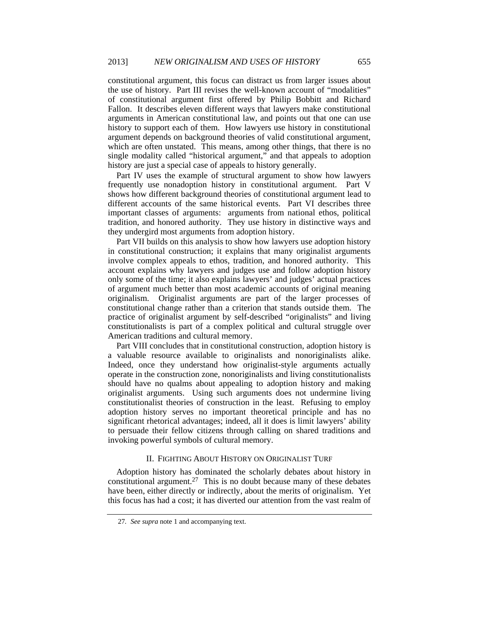constitutional argument, this focus can distract us from larger issues about the use of history. Part III revises the well-known account of "modalities" of constitutional argument first offered by Philip Bobbitt and Richard Fallon. It describes eleven different ways that lawyers make constitutional arguments in American constitutional law, and points out that one can use history to support each of them. How lawyers use history in constitutional argument depends on background theories of valid constitutional argument, which are often unstated. This means, among other things, that there is no single modality called "historical argument," and that appeals to adoption history are just a special case of appeals to history generally.

Part IV uses the example of structural argument to show how lawyers frequently use nonadoption history in constitutional argument. Part V shows how different background theories of constitutional argument lead to different accounts of the same historical events. Part VI describes three important classes of arguments: arguments from national ethos, political tradition, and honored authority. They use history in distinctive ways and they undergird most arguments from adoption history.

Part VII builds on this analysis to show how lawyers use adoption history in constitutional construction; it explains that many originalist arguments involve complex appeals to ethos, tradition, and honored authority. This account explains why lawyers and judges use and follow adoption history only some of the time; it also explains lawyers' and judges' actual practices of argument much better than most academic accounts of original meaning originalism. Originalist arguments are part of the larger processes of constitutional change rather than a criterion that stands outside them. The practice of originalist argument by self-described "originalists" and living constitutionalists is part of a complex political and cultural struggle over American traditions and cultural memory.

Part VIII concludes that in constitutional construction, adoption history is a valuable resource available to originalists and nonoriginalists alike. Indeed, once they understand how originalist-style arguments actually operate in the construction zone, nonoriginalists and living constitutionalists should have no qualms about appealing to adoption history and making originalist arguments. Using such arguments does not undermine living constitutionalist theories of construction in the least. Refusing to employ adoption history serves no important theoretical principle and has no significant rhetorical advantages; indeed, all it does is limit lawyers' ability to persuade their fellow citizens through calling on shared traditions and invoking powerful symbols of cultural memory.

# II. FIGHTING ABOUT HISTORY ON ORIGINALIST TURF

Adoption history has dominated the scholarly debates about history in constitutional argument.<sup>27</sup> This is no doubt because many of these debates have been, either directly or indirectly, about the merits of originalism. Yet this focus has had a cost; it has diverted our attention from the vast realm of

<sup>27</sup>*. See supra* note 1 and accompanying text.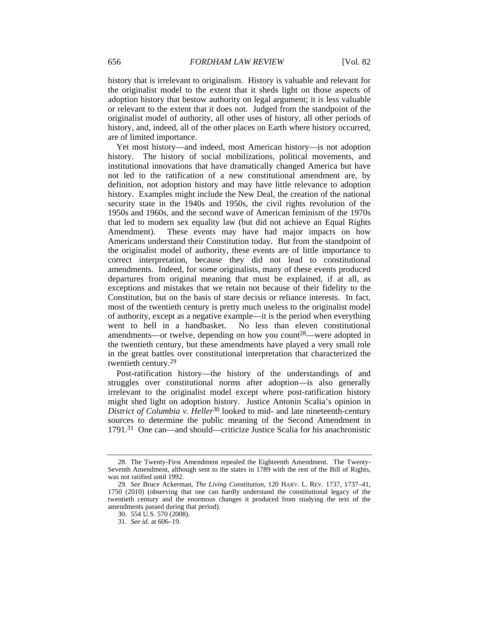history that is irrelevant to originalism. History is valuable and relevant for the originalist model to the extent that it sheds light on those aspects of adoption history that bestow authority on legal argument; it is less valuable or relevant to the extent that it does not. Judged from the standpoint of the originalist model of authority, all other uses of history, all other periods of history, and, indeed, all of the other places on Earth where history occurred, are of limited importance.

Yet most history—and indeed, most American history—is not adoption history. The history of social mobilizations, political movements, and institutional innovations that have dramatically changed America but have not led to the ratification of a new constitutional amendment are, by definition, not adoption history and may have little relevance to adoption history. Examples might include the New Deal, the creation of the national security state in the 1940s and 1950s, the civil rights revolution of the 1950s and 1960s, and the second wave of American feminism of the 1970s that led to modern sex equality law (but did not achieve an Equal Rights Amendment). These events may have had major impacts on how Americans understand their Constitution today. But from the standpoint of the originalist model of authority, these events are of little importance to correct interpretation, because they did not lead to constitutional amendments. Indeed, for some originalists, many of these events produced departures from original meaning that must be explained, if at all, as exceptions and mistakes that we retain not because of their fidelity to the Constitution, but on the basis of stare decisis or reliance interests. In fact, most of the twentieth century is pretty much useless to the originalist model of authority, except as a negative example—it is the period when everything went to hell in a handbasket. No less than eleven constitutional amendments—or twelve, depending on how you count<sup>28</sup>—were adopted in the twentieth century, but these amendments have played a very small role in the great battles over constitutional interpretation that characterized the twentieth century.29

Post-ratification history—the history of the understandings of and struggles over constitutional norms after adoption—is also generally irrelevant to the originalist model except where post-ratification history might shed light on adoption history. Justice Antonin Scalia's opinion in *District of Columbia v. Heller*30 looked to mid- and late nineteenth-century sources to determine the public meaning of the Second Amendment in 1791.31 One can—and should—criticize Justice Scalia for his anachronistic

 <sup>28.</sup> The Twenty-First Amendment repealed the Eighteenth Amendment. The Twenty-Seventh Amendment, although sent to the states in 1789 with the rest of the Bill of Rights, was not ratified until 1992.

<sup>29</sup>*. See* Bruce Ackerman, *The Living Constitution*, 120 HARV. L. REV. 1737, 1737–41, 1750 (2010) (observing that one can hardly understand the constitutional legacy of the twentieth century and the enormous changes it produced from studying the text of the amendments passed during that period).

 <sup>30. 554</sup> U.S. 570 (2008).

<sup>31</sup>*. See id.* at 606–19.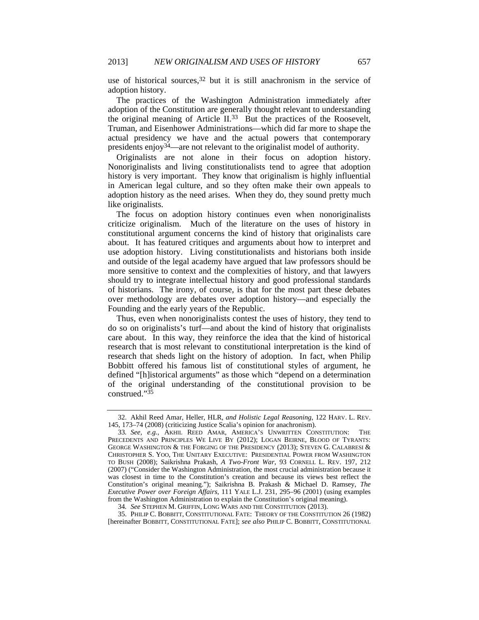use of historical sources,  $32$  but it is still anachronism in the service of adoption history.

The practices of the Washington Administration immediately after adoption of the Constitution are generally thought relevant to understanding the original meaning of Article II.33 But the practices of the Roosevelt, Truman, and Eisenhower Administrations—which did far more to shape the actual presidency we have and the actual powers that contemporary presidents enjoy34—are not relevant to the originalist model of authority.

Originalists are not alone in their focus on adoption history. Nonoriginalists and living constitutionalists tend to agree that adoption history is very important. They know that originalism is highly influential in American legal culture, and so they often make their own appeals to adoption history as the need arises. When they do, they sound pretty much like originalists.

The focus on adoption history continues even when nonoriginalists criticize originalism. Much of the literature on the uses of history in constitutional argument concerns the kind of history that originalists care about. It has featured critiques and arguments about how to interpret and use adoption history. Living constitutionalists and historians both inside and outside of the legal academy have argued that law professors should be more sensitive to context and the complexities of history, and that lawyers should try to integrate intellectual history and good professional standards of historians. The irony, of course, is that for the most part these debates over methodology are debates over adoption history—and especially the Founding and the early years of the Republic.

Thus, even when nonoriginalists contest the uses of history, they tend to do so on originalists's turf—and about the kind of history that originalists care about. In this way, they reinforce the idea that the kind of historical research that is most relevant to constitutional interpretation is the kind of research that sheds light on the history of adoption. In fact, when Philip Bobbitt offered his famous list of constitutional styles of argument, he defined "[h]istorical arguments" as those which "depend on a determination of the original understanding of the constitutional provision to be construed."35

 35. PHILIP C. BOBBITT, CONSTITUTIONAL FATE: THEORY OF THE CONSTITUTION 26 (1982) [hereinafter BOBBITT, CONSTITUTIONAL FATE]; *see also* PHILIP C. BOBBITT, CONSTITUTIONAL

 <sup>32.</sup> Akhil Reed Amar, Heller*,* HLR*, and Holistic Legal Reasoning*, 122 HARV. L. REV. 145, 173–74 (2008) (criticizing Justice Scalia's opinion for anachronism).

<sup>33</sup>*. See, e.g.*, AKHIL REED AMAR, AMERICA'S UNWRITTEN CONSTITUTION: THE PRECEDENTS AND PRINCIPLES WE LIVE BY (2012); LOGAN BEIRNE, BLOOD OF TYRANTS: GEORGE WASHINGTON & THE FORGING OF THE PRESIDENCY (2013); STEVEN G. CALABRESI & CHRISTOPHER S. YOO, THE UNITARY EXECUTIVE: PRESIDENTIAL POWER FROM WASHINGTON TO BUSH (2008); Saikrishna Prakash, *A Two-Front War*, 93 CORNELL L. REV. 197, 212 (2007) ("Consider the Washington Administration, the most crucial administration because it was closest in time to the Constitution's creation and because its views best reflect the Constitution's original meaning."); Saikrishna B. Prakash & Michael D. Ramsey, *The Executive Power over Foreign Affairs*, 111 YALE L.J. 231, 295–96 (2001) (using examples from the Washington Administration to explain the Constitution's original meaning).

<sup>34</sup>*. See* STEPHEN M. GRIFFIN, LONG WARS AND THE CONSTITUTION (2013).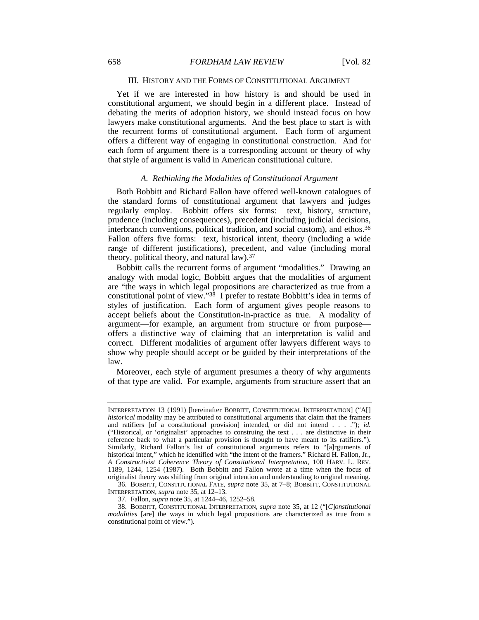# III. HISTORY AND THE FORMS OF CONSTITUTIONAL ARGUMENT

Yet if we are interested in how history is and should be used in constitutional argument, we should begin in a different place. Instead of debating the merits of adoption history, we should instead focus on how lawyers make constitutional arguments. And the best place to start is with the recurrent forms of constitutional argument. Each form of argument offers a different way of engaging in constitutional construction. And for each form of argument there is a corresponding account or theory of why that style of argument is valid in American constitutional culture.

#### *A. Rethinking the Modalities of Constitutional Argument*

Both Bobbitt and Richard Fallon have offered well-known catalogues of the standard forms of constitutional argument that lawyers and judges regularly employ. Bobbitt offers six forms: text, history, structure, prudence (including consequences), precedent (including judicial decisions, interbranch conventions, political tradition, and social custom), and ethos.36 Fallon offers five forms: text, historical intent, theory (including a wide range of different justifications), precedent, and value (including moral theory, political theory, and natural law).37

Bobbitt calls the recurrent forms of argument "modalities." Drawing an analogy with modal logic, Bobbitt argues that the modalities of argument are "the ways in which legal propositions are characterized as true from a constitutional point of view."38 I prefer to restate Bobbitt's idea in terms of styles of justification. Each form of argument gives people reasons to accept beliefs about the Constitution-in-practice as true. A modality of argument—for example, an argument from structure or from purpose offers a distinctive way of claiming that an interpretation is valid and correct. Different modalities of argument offer lawyers different ways to show why people should accept or be guided by their interpretations of the law.

Moreover, each style of argument presumes a theory of why arguments of that type are valid. For example, arguments from structure assert that an

 36. BOBBITT, CONSTITUTIONAL FATE, *supra* note 35, at 7–8; BOBBITT, CONSTITUTIONAL INTERPRETATION, *supra* note 35, at 12–13.

37. Fallon, *supra* note 35, at 1244–46, 1252–58.

INTERPRETATION 13 (1991) [hereinafter BOBBITT, CONSTITUTIONAL INTERPRETATION] ("A[] *historical* modality may be attributed to constitutional arguments that claim that the framers and ratifiers [of a constitutional provision] intended, or did not intend . . . ."); *id.* ("Historical, or 'originalist' approaches to construing the text . . . are distinctive in their reference back to what a particular provision is thought to have meant to its ratifiers."). Similarly, Richard Fallon's list of constitutional arguments refers to "[a]rguments of historical intent," which he identified with "the intent of the framers." Richard H. Fallon, Jr., *A Constructivist Coherence Theory of Constitutional Interpretation*, 100 HARV. L. REV. 1189, 1244, 1254 (1987). Both Bobbitt and Fallon wrote at a time when the focus of originalist theory was shifting from original intention and understanding to original meaning.

 <sup>38.</sup> BOBBITT, CONSTITUTIONAL INTERPRETATION, *supra* note 35, at 12 ("[*C*]*onstitutional modalities* [are] the ways in which legal propositions are characterized as true from a constitutional point of view.").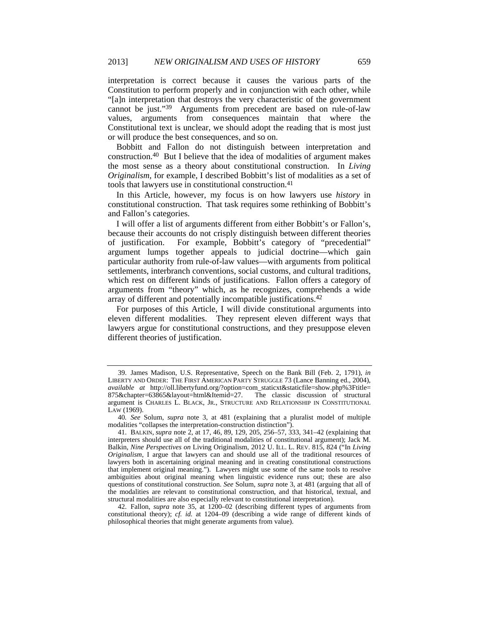interpretation is correct because it causes the various parts of the Constitution to perform properly and in conjunction with each other, while "[a]n interpretation that destroys the very characteristic of the government cannot be just."39 Arguments from precedent are based on rule-of-law values, arguments from consequences maintain that where the Constitutional text is unclear, we should adopt the reading that is most just or will produce the best consequences, and so on.

Bobbitt and Fallon do not distinguish between interpretation and construction.40 But I believe that the idea of modalities of argument makes the most sense as a theory about constitutional construction. In *Living Originalism*, for example, I described Bobbitt's list of modalities as a set of tools that lawyers use in constitutional construction.41

In this Article, however, my focus is on how lawyers use *history* in constitutional construction. That task requires some rethinking of Bobbitt's and Fallon's categories.

I will offer a list of arguments different from either Bobbitt's or Fallon's, because their accounts do not crisply distinguish between different theories of justification. For example, Bobbitt's category of "precedential" argument lumps together appeals to judicial doctrine—which gain particular authority from rule-of-law values—with arguments from political settlements, interbranch conventions, social customs, and cultural traditions, which rest on different kinds of justifications. Fallon offers a category of arguments from "theory" which, as he recognizes, comprehends a wide array of different and potentially incompatible justifications.42

For purposes of this Article, I will divide constitutional arguments into eleven different modalities. They represent eleven different ways that lawyers argue for constitutional constructions, and they presuppose eleven different theories of justification.

 <sup>39.</sup> James Madison, U.S. Representative, Speech on the Bank Bill (Feb. 2, 1791), *in* LIBERTY AND ORDER: THE FIRST AMERICAN PARTY STRUGGLE 73 (Lance Banning ed., 2004), *available at* http://oll.libertyfund.org/?option=com\_staticxt&staticfile=show.php%3Ftitle=  $875\&$ chapter=63865 $\&$ layout=html $\&$ Itemid=27. argument is CHARLES L. BLACK, JR., STRUCTURE AND RELATIONSHIP IN CONSTITUTIONAL LAW (1969).

<sup>40</sup>*. See* Solum, *supra* note 3, at 481 (explaining that a pluralist model of multiple modalities "collapses the interpretation-construction distinction").

 <sup>41.</sup> BALKIN, *supra* note 2, at 17, 46, 89, 129, 205, 256–57, 333, 341–42 (explaining that interpreters should use all of the traditional modalities of constitutional argument); Jack M. Balkin, *Nine Perspectives on* Living Originalism, 2012 U. ILL. L. REV. 815, 824 ("In *Living Originalism*, I argue that lawyers can and should use all of the traditional resources of lawyers both in ascertaining original meaning and in creating constitutional constructions that implement original meaning."). Lawyers might use some of the same tools to resolve ambiguities about original meaning when linguistic evidence runs out; these are also questions of constitutional construction. *See* Solum, *supra* note 3, at 481 (arguing that all of the modalities are relevant to constitutional construction, and that historical, textual, and structural modalities are also especially relevant to constitutional interpretation).

 <sup>42.</sup> Fallon, *supra* note 35, at 1200–02 (describing different types of arguments from constitutional theory); *cf. id.* at 1204–09 (describing a wide range of different kinds of philosophical theories that might generate arguments from value).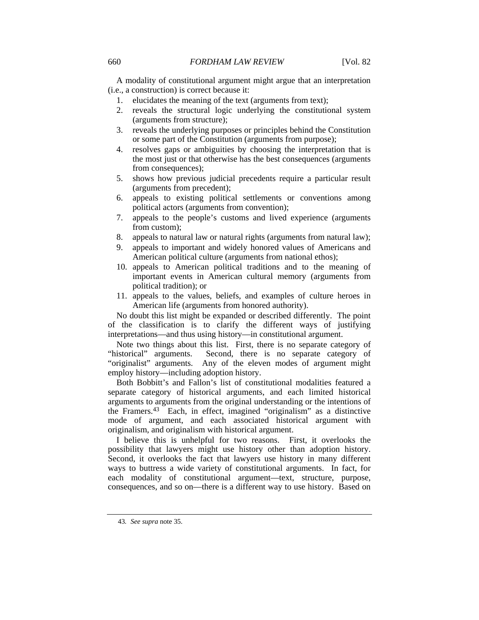A modality of constitutional argument might argue that an interpretation (i.e., a construction) is correct because it:

- 1. elucidates the meaning of the text (arguments from text);
- 2. reveals the structural logic underlying the constitutional system (arguments from structure);
- 3. reveals the underlying purposes or principles behind the Constitution or some part of the Constitution (arguments from purpose);
- 4. resolves gaps or ambiguities by choosing the interpretation that is the most just or that otherwise has the best consequences (arguments from consequences);
- 5. shows how previous judicial precedents require a particular result (arguments from precedent);
- 6. appeals to existing political settlements or conventions among political actors (arguments from convention);
- 7. appeals to the people's customs and lived experience (arguments from custom);
- 8. appeals to natural law or natural rights (arguments from natural law);
- 9. appeals to important and widely honored values of Americans and American political culture (arguments from national ethos);
- 10. appeals to American political traditions and to the meaning of important events in American cultural memory (arguments from political tradition); or
- 11. appeals to the values, beliefs, and examples of culture heroes in American life (arguments from honored authority).

No doubt this list might be expanded or described differently. The point of the classification is to clarify the different ways of justifying interpretations—and thus using history—in constitutional argument.

Note two things about this list. First, there is no separate category of "historical" arguments. Second, there is no separate category of "originalist" arguments. Any of the eleven modes of argument might employ history—including adoption history.

Both Bobbitt's and Fallon's list of constitutional modalities featured a separate category of historical arguments, and each limited historical arguments to arguments from the original understanding or the intentions of the Framers.43 Each, in effect, imagined "originalism" as a distinctive mode of argument, and each associated historical argument with originalism, and originalism with historical argument.

I believe this is unhelpful for two reasons. First, it overlooks the possibility that lawyers might use history other than adoption history. Second, it overlooks the fact that lawyers use history in many different ways to buttress a wide variety of constitutional arguments. In fact, for each modality of constitutional argument—text, structure, purpose, consequences, and so on—there is a different way to use history. Based on

<sup>43</sup>*. See supra* note 35.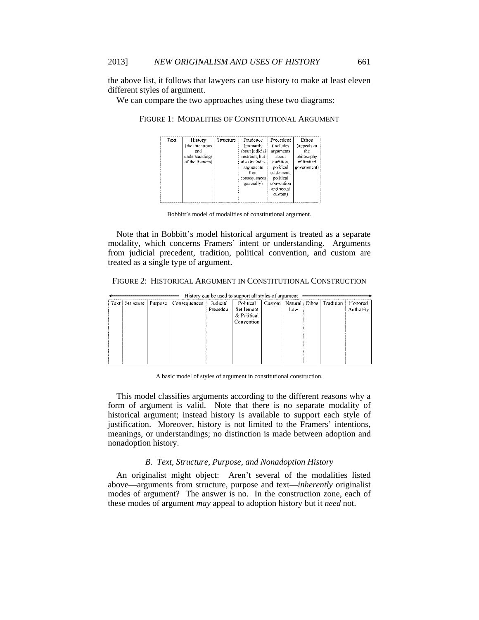the above list, it follows that lawyers can use history to make at least eleven different styles of argument.

We can compare the two approaches using these two diagrams:

 $\overline{\text{Text}}$ History Structure Precedent Prudence Ethos (the intentions) Gncludes (appeals to (primarily arguments about judicial and the nhilosophy understandings restraint but about of limited of the framers) also includes tradition, naunum,<br>political arguments government) from settlement. political onsequences generally) convention and social custom)

FIGURE 1: MODALITIES OF CONSTITUTIONAL ARGUMENT

| Bobbitt's model of modalities of constitutional argument. |  |
|-----------------------------------------------------------|--|
|-----------------------------------------------------------|--|

Note that in Bobbitt's model historical argument is treated as a separate modality, which concerns Framers' intent or understanding. Arguments from judicial precedent, tradition, political convention, and custom are treated as a single type of argument.

| FIGURE 2: HISTORICAL ARGUMENT IN CONSTITUTIONAL CONSTRUCTION |  |
|--------------------------------------------------------------|--|
|--------------------------------------------------------------|--|

| History can be used to support all styles of argument |                            |  |              |           |             |                          |     |  |           |           |
|-------------------------------------------------------|----------------------------|--|--------------|-----------|-------------|--------------------------|-----|--|-----------|-----------|
|                                                       | Text   Structure   Purpose |  | Consequences | Judicial  | Political   | Custom   Natural   Ethos |     |  | Tradition | Honored   |
|                                                       |                            |  |              | Precedent | Settlement  |                          | Law |  |           | Authority |
|                                                       |                            |  |              |           | & Political |                          |     |  |           |           |
|                                                       |                            |  |              |           | Convention  |                          |     |  |           |           |
|                                                       |                            |  |              |           |             |                          |     |  |           |           |
|                                                       |                            |  |              |           |             |                          |     |  |           |           |
|                                                       |                            |  |              |           |             |                          |     |  |           |           |
|                                                       |                            |  |              |           |             |                          |     |  |           |           |
|                                                       |                            |  |              |           |             |                          |     |  |           |           |
|                                                       |                            |  |              |           |             |                          |     |  |           |           |

A basic model of styles of argument in constitutional construction.

This model classifies arguments according to the different reasons why a form of argument is valid. Note that there is no separate modality of historical argument; instead history is available to support each style of justification. Moreover, history is not limited to the Framers' intentions, meanings, or understandings; no distinction is made between adoption and nonadoption history.

#### *B. Text, Structure, Purpose, and Nonadoption History*

An originalist might object: Aren't several of the modalities listed above—arguments from structure, purpose and text—*inherently* originalist modes of argument? The answer is no. In the construction zone, each of these modes of argument *may* appeal to adoption history but it *need* not.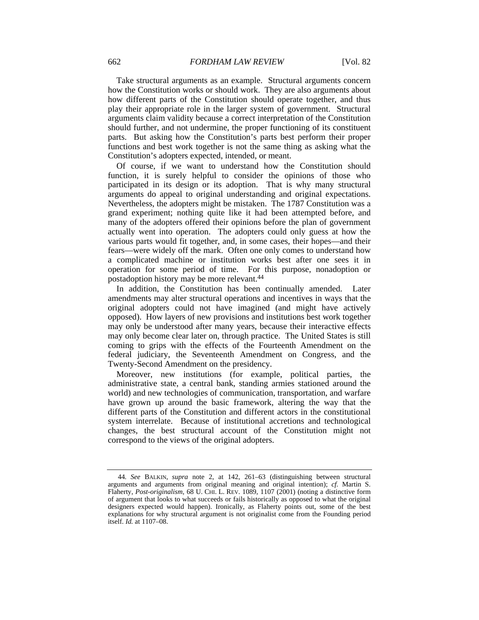Take structural arguments as an example. Structural arguments concern how the Constitution works or should work. They are also arguments about how different parts of the Constitution should operate together, and thus play their appropriate role in the larger system of government. Structural arguments claim validity because a correct interpretation of the Constitution should further, and not undermine, the proper functioning of its constituent parts. But asking how the Constitution's parts best perform their proper functions and best work together is not the same thing as asking what the Constitution's adopters expected, intended, or meant.

Of course, if we want to understand how the Constitution should function, it is surely helpful to consider the opinions of those who participated in its design or its adoption. That is why many structural arguments do appeal to original understanding and original expectations. Nevertheless, the adopters might be mistaken. The 1787 Constitution was a grand experiment; nothing quite like it had been attempted before, and many of the adopters offered their opinions before the plan of government actually went into operation. The adopters could only guess at how the various parts would fit together, and, in some cases, their hopes—and their fears—were widely off the mark. Often one only comes to understand how a complicated machine or institution works best after one sees it in operation for some period of time. For this purpose, nonadoption or postadoption history may be more relevant.44

In addition, the Constitution has been continually amended. Later amendments may alter structural operations and incentives in ways that the original adopters could not have imagined (and might have actively opposed). How layers of new provisions and institutions best work together may only be understood after many years, because their interactive effects may only become clear later on, through practice. The United States is still coming to grips with the effects of the Fourteenth Amendment on the federal judiciary, the Seventeenth Amendment on Congress, and the Twenty-Second Amendment on the presidency.

Moreover, new institutions (for example, political parties, the administrative state, a central bank, standing armies stationed around the world) and new technologies of communication, transportation, and warfare have grown up around the basic framework, altering the way that the different parts of the Constitution and different actors in the constitutional system interrelate. Because of institutional accretions and technological changes, the best structural account of the Constitution might not correspond to the views of the original adopters.

<sup>44</sup>*. See* BALKIN, *supra* note 2, at 142, 261–63 (distinguishing between structural arguments and arguments from original meaning and original intention); *cf.* Martin S. Flaherty, *Post-originalism*, 68 U. CHI. L. REV. 1089, 1107 (2001) (noting a distinctive form of argument that looks to what succeeds or fails historically as opposed to what the original designers expected would happen). Ironically, as Flaherty points out, some of the best explanations for why structural argument is not originalist come from the Founding period itself. *Id.* at 1107–08.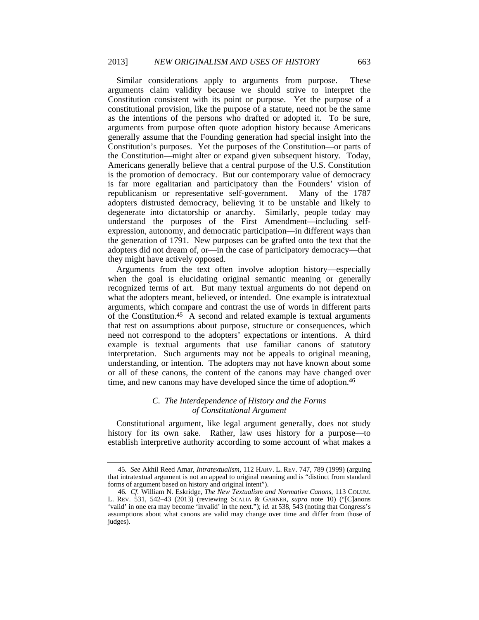Similar considerations apply to arguments from purpose. These arguments claim validity because we should strive to interpret the Constitution consistent with its point or purpose. Yet the purpose of a constitutional provision, like the purpose of a statute, need not be the same as the intentions of the persons who drafted or adopted it. To be sure, arguments from purpose often quote adoption history because Americans generally assume that the Founding generation had special insight into the Constitution's purposes. Yet the purposes of the Constitution—or parts of the Constitution—might alter or expand given subsequent history. Today, Americans generally believe that a central purpose of the U.S. Constitution is the promotion of democracy. But our contemporary value of democracy is far more egalitarian and participatory than the Founders' vision of republicanism or representative self-government. Many of the 1787 adopters distrusted democracy, believing it to be unstable and likely to degenerate into dictatorship or anarchy. Similarly, people today may understand the purposes of the First Amendment—including selfexpression, autonomy, and democratic participation—in different ways than the generation of 1791. New purposes can be grafted onto the text that the adopters did not dream of, or—in the case of participatory democracy—that they might have actively opposed.

Arguments from the text often involve adoption history—especially when the goal is elucidating original semantic meaning or generally recognized terms of art. But many textual arguments do not depend on what the adopters meant, believed, or intended. One example is intratextual arguments, which compare and contrast the use of words in different parts of the Constitution.45 A second and related example is textual arguments that rest on assumptions about purpose, structure or consequences, which need not correspond to the adopters' expectations or intentions. A third example is textual arguments that use familiar canons of statutory interpretation. Such arguments may not be appeals to original meaning, understanding, or intention. The adopters may not have known about some or all of these canons, the content of the canons may have changed over time, and new canons may have developed since the time of adoption.<sup>46</sup>

## *C. The Interdependence of History and the Forms of Constitutional Argument*

Constitutional argument, like legal argument generally, does not study history for its own sake. Rather, law uses history for a purpose—to establish interpretive authority according to some account of what makes a

<sup>45</sup>*. See* Akhil Reed Amar, *Intratextualism*, 112 HARV. L. REV. 747, 789 (1999) (arguing that intratextual argument is not an appeal to original meaning and is "distinct from standard forms of argument based on history and original intent").

<sup>46</sup>*. Cf.* William N. Eskridge, *The New Textualism and Normative Canons*, 113 COLUM. L. REV. 531, 542–43 (2013) (reviewing SCALIA & GARNER, *supra* note 10) ("[C]anons 'valid' in one era may become 'invalid' in the next."); *id.* at 538, 543 (noting that Congress's assumptions about what canons are valid may change over time and differ from those of judges).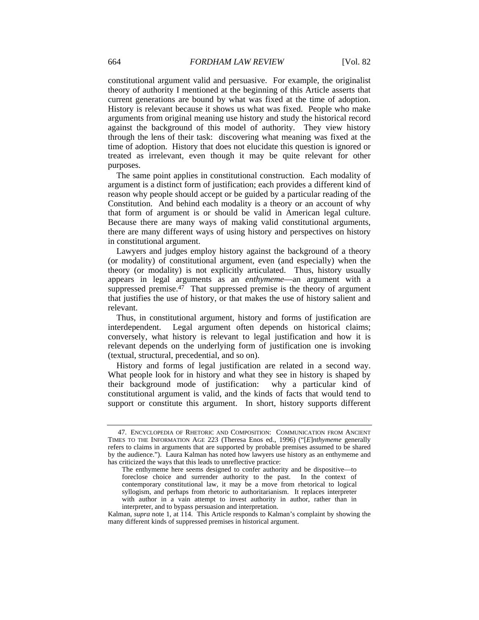constitutional argument valid and persuasive. For example, the originalist theory of authority I mentioned at the beginning of this Article asserts that current generations are bound by what was fixed at the time of adoption. History is relevant because it shows us what was fixed. People who make arguments from original meaning use history and study the historical record against the background of this model of authority. They view history through the lens of their task: discovering what meaning was fixed at the time of adoption. History that does not elucidate this question is ignored or treated as irrelevant, even though it may be quite relevant for other purposes.

The same point applies in constitutional construction. Each modality of argument is a distinct form of justification; each provides a different kind of reason why people should accept or be guided by a particular reading of the Constitution. And behind each modality is a theory or an account of why that form of argument is or should be valid in American legal culture. Because there are many ways of making valid constitutional arguments, there are many different ways of using history and perspectives on history in constitutional argument.

Lawyers and judges employ history against the background of a theory (or modality) of constitutional argument, even (and especially) when the theory (or modality) is not explicitly articulated. Thus, history usually appears in legal arguments as an *enthymeme*—an argument with a suppressed premise. $47$  That suppressed premise is the theory of argument that justifies the use of history, or that makes the use of history salient and relevant.

Thus, in constitutional argument, history and forms of justification are interdependent. Legal argument often depends on historical claims; conversely, what history is relevant to legal justification and how it is relevant depends on the underlying form of justification one is invoking (textual, structural, precedential, and so on).

History and forms of legal justification are related in a second way. What people look for in history and what they see in history is shaped by their background mode of justification: why a particular kind of constitutional argument is valid, and the kinds of facts that would tend to support or constitute this argument. In short, history supports different

 <sup>47.</sup> ENCYCLOPEDIA OF RHETORIC AND COMPOSITION: COMMUNICATION FROM ANCIENT TIMES TO THE INFORMATION AGE 223 (Theresa Enos ed., 1996) ("[*E*]*nthymeme* generally refers to claims in arguments that are supported by probable premises assumed to be shared by the audience."). Laura Kalman has noted how lawyers use history as an enthymeme and has criticized the ways that this leads to unreflective practice:

The enthymeme here seems designed to confer authority and be dispositive—to foreclose choice and surrender authority to the past. In the context of contemporary constitutional law, it may be a move from rhetorical to logical syllogism, and perhaps from rhetoric to authoritarianism. It replaces interpreter with author in a vain attempt to invest authority in author, rather than in interpreter, and to bypass persuasion and interpretation.

Kalman, *supra* note 1, at 114. This Article responds to Kalman's complaint by showing the many different kinds of suppressed premises in historical argument.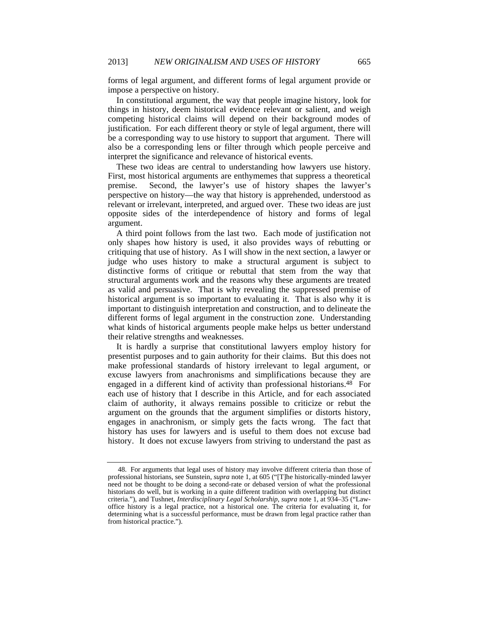forms of legal argument, and different forms of legal argument provide or impose a perspective on history.

In constitutional argument, the way that people imagine history, look for things in history, deem historical evidence relevant or salient, and weigh competing historical claims will depend on their background modes of justification. For each different theory or style of legal argument, there will be a corresponding way to use history to support that argument. There will also be a corresponding lens or filter through which people perceive and interpret the significance and relevance of historical events.

These two ideas are central to understanding how lawyers use history. First, most historical arguments are enthymemes that suppress a theoretical premise. Second, the lawyer's use of history shapes the lawyer's perspective on history—the way that history is apprehended, understood as relevant or irrelevant, interpreted, and argued over. These two ideas are just opposite sides of the interdependence of history and forms of legal argument.

A third point follows from the last two. Each mode of justification not only shapes how history is used, it also provides ways of rebutting or critiquing that use of history. As I will show in the next section, a lawyer or judge who uses history to make a structural argument is subject to distinctive forms of critique or rebuttal that stem from the way that structural arguments work and the reasons why these arguments are treated as valid and persuasive. That is why revealing the suppressed premise of historical argument is so important to evaluating it. That is also why it is important to distinguish interpretation and construction, and to delineate the different forms of legal argument in the construction zone. Understanding what kinds of historical arguments people make helps us better understand their relative strengths and weaknesses.

It is hardly a surprise that constitutional lawyers employ history for presentist purposes and to gain authority for their claims. But this does not make professional standards of history irrelevant to legal argument, or excuse lawyers from anachronisms and simplifications because they are engaged in a different kind of activity than professional historians.<sup>48</sup> For each use of history that I describe in this Article, and for each associated claim of authority, it always remains possible to criticize or rebut the argument on the grounds that the argument simplifies or distorts history, engages in anachronism, or simply gets the facts wrong. The fact that history has uses for lawyers and is useful to them does not excuse bad history. It does not excuse lawyers from striving to understand the past as

 <sup>48.</sup> For arguments that legal uses of history may involve different criteria than those of professional historians, see Sunstein, *supra* note 1, at 605 ("[T]he historically-minded lawyer need not be thought to be doing a second-rate or debased version of what the professional historians do well, but is working in a quite different tradition with overlapping but distinct criteria."), and Tushnet, *Interdisciplinary Legal Scholarship*, *supra* note 1, at 934–35 ("Lawoffice history is a legal practice, not a historical one. The criteria for evaluating it, for determining what is a successful performance, must be drawn from legal practice rather than from historical practice.").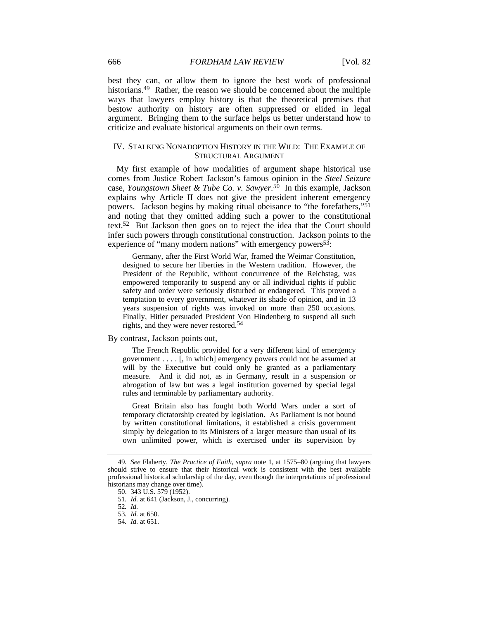best they can, or allow them to ignore the best work of professional historians.<sup>49</sup> Rather, the reason we should be concerned about the multiple ways that lawyers employ history is that the theoretical premises that bestow authority on history are often suppressed or elided in legal argument. Bringing them to the surface helps us better understand how to criticize and evaluate historical arguments on their own terms.

## IV. STALKING NONADOPTION HISTORY IN THE WILD: THE EXAMPLE OF STRUCTURAL ARGUMENT

My first example of how modalities of argument shape historical use comes from Justice Robert Jackson's famous opinion in the *Steel Seizure* case, *Youngstown Sheet & Tube Co. v. Sawyer.*50 In this example, Jackson explains why Article II does not give the president inherent emergency powers. Jackson begins by making ritual obeisance to "the forefathers,"51 and noting that they omitted adding such a power to the constitutional text.52 But Jackson then goes on to reject the idea that the Court should infer such powers through constitutional construction. Jackson points to the experience of "many modern nations" with emergency powers<sup>53</sup>:

 Germany, after the First World War, framed the Weimar Constitution, designed to secure her liberties in the Western tradition. However, the President of the Republic, without concurrence of the Reichstag, was empowered temporarily to suspend any or all individual rights if public safety and order were seriously disturbed or endangered. This proved a temptation to every government, whatever its shade of opinion, and in 13 years suspension of rights was invoked on more than 250 occasions. Finally, Hitler persuaded President Von Hindenberg to suspend all such rights, and they were never restored.54

#### By contrast, Jackson points out,

 The French Republic provided for a very different kind of emergency government . . . . [, in which] emergency powers could not be assumed at will by the Executive but could only be granted as a parliamentary measure. And it did not, as in Germany, result in a suspension or abrogation of law but was a legal institution governed by special legal rules and terminable by parliamentary authority.

 Great Britain also has fought both World Wars under a sort of temporary dictatorship created by legislation. As Parliament is not bound by written constitutional limitations, it established a crisis government simply by delegation to its Ministers of a larger measure than usual of its own unlimited power, which is exercised under its supervision by

<sup>49</sup>*. See* Flaherty, *The Practice of Faith*, *supra* note 1, at 1575–80 (arguing that lawyers should strive to ensure that their historical work is consistent with the best available professional historical scholarship of the day, even though the interpretations of professional historians may change over time).

 <sup>50. 343</sup> U.S. 579 (1952).

<sup>51</sup>*. Id.* at 641 (Jackson, J., concurring).

<sup>52</sup>*. Id.*

<sup>53</sup>*. Id.* at 650.

<sup>54</sup>*. Id.* at 651.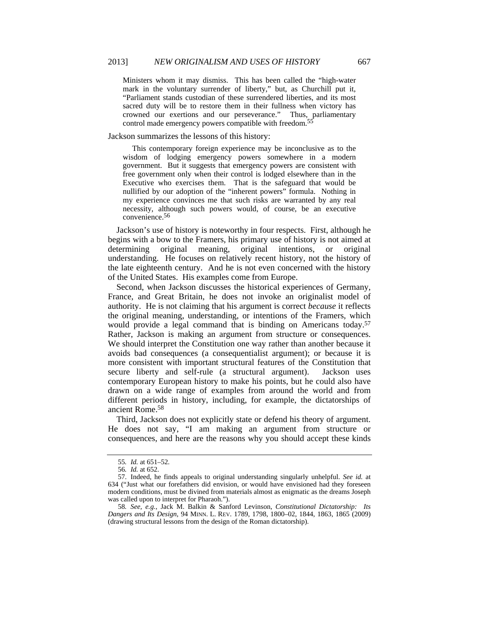Ministers whom it may dismiss. This has been called the "high-water mark in the voluntary surrender of liberty," but, as Churchill put it, "Parliament stands custodian of these surrendered liberties, and its most sacred duty will be to restore them in their fullness when victory has crowned our exertions and our perseverance." Thus, parliamentary control made emergency powers compatible with freedom.<sup>5</sup>

#### Jackson summarizes the lessons of this history:

 This contemporary foreign experience may be inconclusive as to the wisdom of lodging emergency powers somewhere in a modern government. But it suggests that emergency powers are consistent with free government only when their control is lodged elsewhere than in the Executive who exercises them. That is the safeguard that would be nullified by our adoption of the "inherent powers" formula. Nothing in my experience convinces me that such risks are warranted by any real necessity, although such powers would, of course, be an executive convenience.56

Jackson's use of history is noteworthy in four respects. First, although he begins with a bow to the Framers, his primary use of history is not aimed at determining original meaning, original intentions, or original understanding. He focuses on relatively recent history, not the history of the late eighteenth century. And he is not even concerned with the history of the United States. His examples come from Europe.

Second, when Jackson discusses the historical experiences of Germany, France, and Great Britain, he does not invoke an originalist model of authority. He is not claiming that his argument is correct *because* it reflects the original meaning, understanding, or intentions of the Framers, which would provide a legal command that is binding on Americans today.<sup>57</sup> Rather, Jackson is making an argument from structure or consequences. We should interpret the Constitution one way rather than another because it avoids bad consequences (a consequentialist argument); or because it is more consistent with important structural features of the Constitution that secure liberty and self-rule (a structural argument). Jackson uses contemporary European history to make his points, but he could also have drawn on a wide range of examples from around the world and from different periods in history, including, for example, the dictatorships of ancient Rome.58

Third, Jackson does not explicitly state or defend his theory of argument. He does not say, "I am making an argument from structure or consequences, and here are the reasons why you should accept these kinds

<sup>55</sup>*. Id.* at 651–52.

<sup>56</sup>*. Id.* at 652.

 <sup>57.</sup> Indeed, he finds appeals to original understanding singularly unhelpful. *See id.* at 634 ("Just what our forefathers did envision, or would have envisioned had they foreseen modern conditions, must be divined from materials almost as enigmatic as the dreams Joseph was called upon to interpret for Pharaoh.").

<sup>58</sup>*. See, e.g.*, Jack M. Balkin & Sanford Levinson, *Constitutional Dictatorship: Its Dangers and Its Design*, 94 MINN. L. REV. 1789, 1798, 1800–02, 1844, 1863, 1865 (2009) (drawing structural lessons from the design of the Roman dictatorship).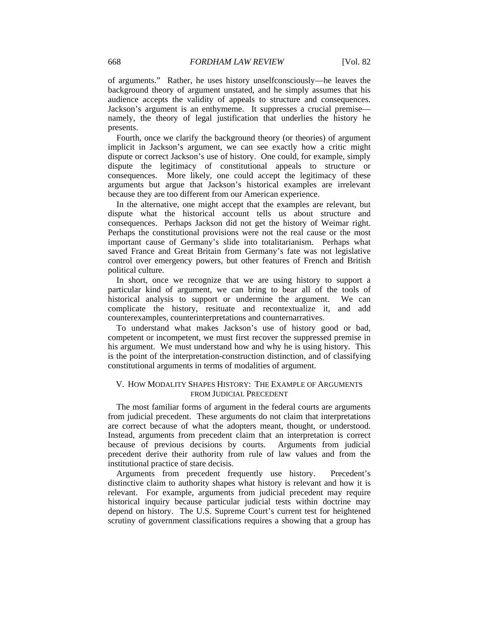of arguments." Rather, he uses history unselfconsciously—he leaves the background theory of argument unstated, and he simply assumes that his audience accepts the validity of appeals to structure and consequences. Jackson's argument is an enthymeme. It suppresses a crucial premise namely, the theory of legal justification that underlies the history he presents.

Fourth, once we clarify the background theory (or theories) of argument implicit in Jackson's argument, we can see exactly how a critic might dispute or correct Jackson's use of history. One could, for example, simply dispute the legitimacy of constitutional appeals to structure or consequences. More likely, one could accept the legitimacy of these arguments but argue that Jackson's historical examples are irrelevant because they are too different from our American experience.

In the alternative, one might accept that the examples are relevant, but dispute what the historical account tells us about structure and consequences. Perhaps Jackson did not get the history of Weimar right. Perhaps the constitutional provisions were not the real cause or the most important cause of Germany's slide into totalitarianism. Perhaps what saved France and Great Britain from Germany's fate was not legislative control over emergency powers, but other features of French and British political culture.

In short, once we recognize that we are using history to support a particular kind of argument, we can bring to bear all of the tools of historical analysis to support or undermine the argument. We can complicate the history, resituate and recontextualize it, and add counterexamples, counterinterpretations and counternarratives.

To understand what makes Jackson's use of history good or bad, competent or incompetent, we must first recover the suppressed premise in his argument. We must understand how and why he is using history. This is the point of the interpretation-construction distinction, and of classifying constitutional arguments in terms of modalities of argument.

## V. HOW MODALITY SHAPES HISTORY: THE EXAMPLE OF ARGUMENTS FROM JUDICIAL PRECEDENT

The most familiar forms of argument in the federal courts are arguments from judicial precedent. These arguments do not claim that interpretations are correct because of what the adopters meant, thought, or understood. Instead, arguments from precedent claim that an interpretation is correct because of previous decisions by courts. Arguments from judicial precedent derive their authority from rule of law values and from the institutional practice of stare decisis.

Arguments from precedent frequently use history. Precedent's distinctive claim to authority shapes what history is relevant and how it is relevant. For example, arguments from judicial precedent may require historical inquiry because particular judicial tests within doctrine may depend on history. The U.S. Supreme Court's current test for heightened scrutiny of government classifications requires a showing that a group has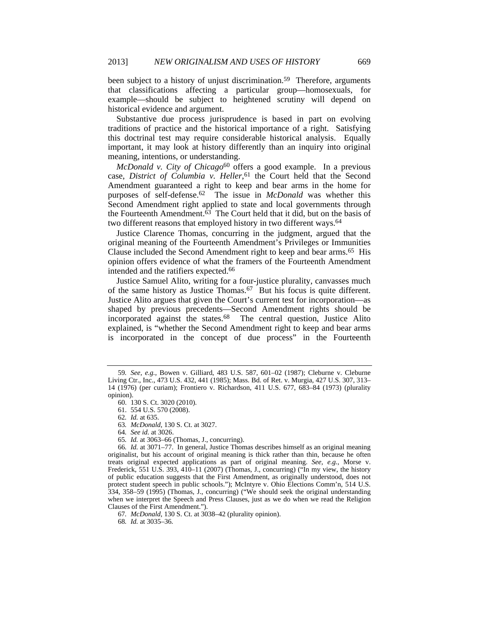been subject to a history of unjust discrimination.<sup>59</sup> Therefore, arguments that classifications affecting a particular group—homosexuals, for example—should be subject to heightened scrutiny will depend on historical evidence and argument.

Substantive due process jurisprudence is based in part on evolving traditions of practice and the historical importance of a right. Satisfying this doctrinal test may require considerable historical analysis. Equally important, it may look at history differently than an inquiry into original meaning, intentions, or understanding.

*McDonald v. City of Chicago*<sup>60</sup> offers a good example. In a previous case, *District of Columbia v. Heller*, 61 the Court held that the Second Amendment guaranteed a right to keep and bear arms in the home for purposes of self-defense.62 The issue in *McDonald* was whether this Second Amendment right applied to state and local governments through the Fourteenth Amendment. $\overline{63}$  The Court held that it did, but on the basis of two different reasons that employed history in two different ways.<sup>64</sup>

Justice Clarence Thomas, concurring in the judgment, argued that the original meaning of the Fourteenth Amendment's Privileges or Immunities Clause included the Second Amendment right to keep and bear arms.65 His opinion offers evidence of what the framers of the Fourteenth Amendment intended and the ratifiers expected.66

Justice Samuel Alito, writing for a four-justice plurality, canvasses much of the same history as Justice Thomas.67 But his focus is quite different. Justice Alito argues that given the Court's current test for incorporation—as shaped by previous precedents—Second Amendment rights should be incorporated against the states.<sup>68</sup> The central question, Justice Alito explained, is "whether the Second Amendment right to keep and bear arms is incorporated in the concept of due process" in the Fourteenth

62*. Id.* at 635.

63*. McDonald*, 130 S. Ct. at 3027.

64*. See id.* at 3026.

65*. Id.* at 3063–66 (Thomas, J., concurring).

66*. Id.* at 3071–77. In general, Justice Thomas describes himself as an original meaning originalist, but his account of original meaning is thick rather than thin, because he often treats original expected applications as part of original meaning. *See, e.g.*, Morse v. Frederick, 551 U.S. 393, 410-11 (2007) (Thomas, J., concurring) ("In my view, the history of public education suggests that the First Amendment, as originally understood, does not protect student speech in public schools."); McIntyre v. Ohio Elections Comm'n, 514 U.S. 334, 358–59 (1995) (Thomas, J., concurring) ("We should seek the original understanding when we interpret the Speech and Press Clauses, just as we do when we read the Religion Clauses of the First Amendment.").

67*. McDonald*, 130 S. Ct. at 3038–42 (plurality opinion).

68*. Id.* at 3035–36.

<sup>59</sup>*. See, e.g.*, Bowen v. Gilliard, 483 U.S. 587, 601–02 (1987); Cleburne v. Cleburne Living Ctr., Inc., 473 U.S. 432, 441 (1985); Mass. Bd. of Ret. v. Murgia, 427 U.S. 307, 313– 14 (1976) (per curiam); Frontiero v. Richardson, 411 U.S. 677, 683–84 (1973) (plurality opinion).

 <sup>60. 130</sup> S. Ct. 3020 (2010).

 <sup>61. 554</sup> U.S. 570 (2008).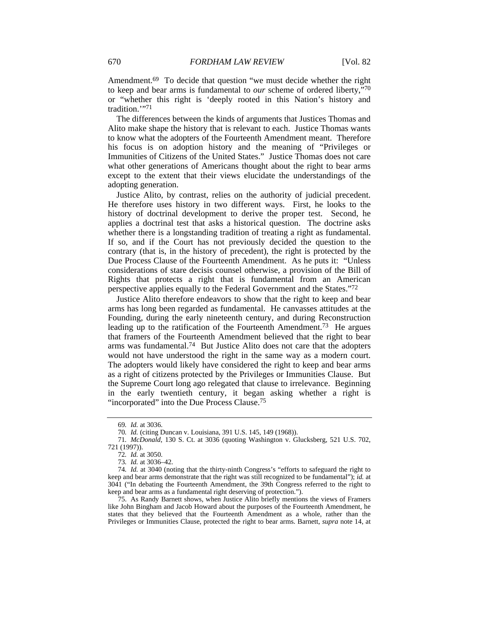Amendment.<sup>69</sup> To decide that question "we must decide whether the right to keep and bear arms is fundamental to *our* scheme of ordered liberty,"70 or "whether this right is 'deeply rooted in this Nation's history and tradition."71

The differences between the kinds of arguments that Justices Thomas and Alito make shape the history that is relevant to each. Justice Thomas wants to know what the adopters of the Fourteenth Amendment meant. Therefore his focus is on adoption history and the meaning of "Privileges or Immunities of Citizens of the United States." Justice Thomas does not care what other generations of Americans thought about the right to bear arms except to the extent that their views elucidate the understandings of the adopting generation.

Justice Alito, by contrast, relies on the authority of judicial precedent. He therefore uses history in two different ways. First, he looks to the history of doctrinal development to derive the proper test. Second, he applies a doctrinal test that asks a historical question. The doctrine asks whether there is a longstanding tradition of treating a right as fundamental. If so, and if the Court has not previously decided the question to the contrary (that is, in the history of precedent), the right is protected by the Due Process Clause of the Fourteenth Amendment. As he puts it: "Unless considerations of stare decisis counsel otherwise, a provision of the Bill of Rights that protects a right that is fundamental from an American perspective applies equally to the Federal Government and the States."72

Justice Alito therefore endeavors to show that the right to keep and bear arms has long been regarded as fundamental. He canvasses attitudes at the Founding, during the early nineteenth century, and during Reconstruction leading up to the ratification of the Fourteenth Amendment.73 He argues that framers of the Fourteenth Amendment believed that the right to bear arms was fundamental.74 But Justice Alito does not care that the adopters would not have understood the right in the same way as a modern court. The adopters would likely have considered the right to keep and bear arms as a right of citizens protected by the Privileges or Immunities Clause. But the Supreme Court long ago relegated that clause to irrelevance. Beginning in the early twentieth century, it began asking whether a right is "incorporated" into the Due Process Clause.75

 75. As Randy Barnett shows, when Justice Alito briefly mentions the views of Framers like John Bingham and Jacob Howard about the purposes of the Fourteenth Amendment, he states that they believed that the Fourteenth Amendment as a whole, rather than the Privileges or Immunities Clause, protected the right to bear arms. Barnett, *supra* note 14, at

<sup>69</sup>*. Id.* at 3036.

<sup>70</sup>*. Id.* (citing Duncan v. Louisiana, 391 U.S. 145, 149 (1968)).

<sup>71</sup>*. McDonald*, 130 S. Ct. at 3036 (quoting Washington v. Glucksberg, 521 U.S. 702, 721 (1997)).

<sup>72</sup>*. Id.* at 3050.

<sup>73</sup>*. Id.* at 3036–42.

<sup>74</sup>*. Id.* at 3040 (noting that the thirty-ninth Congress's "efforts to safeguard the right to keep and bear arms demonstrate that the right was still recognized to be fundamental"); *id.* at 3041 ("In debating the Fourteenth Amendment, the 39th Congress referred to the right to keep and bear arms as a fundamental right deserving of protection.").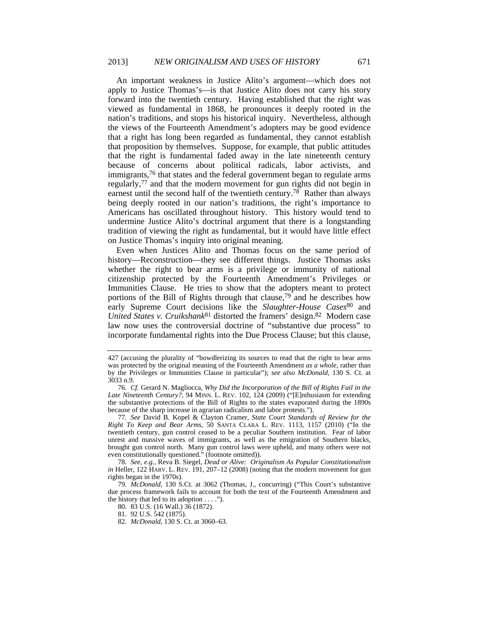An important weakness in Justice Alito's argument—which does not apply to Justice Thomas's—is that Justice Alito does not carry his story forward into the twentieth century. Having established that the right was viewed as fundamental in 1868, he pronounces it deeply rooted in the nation's traditions, and stops his historical inquiry. Nevertheless, although the views of the Fourteenth Amendment's adopters may be good evidence that a right has long been regarded as fundamental, they cannot establish that proposition by themselves. Suppose, for example, that public attitudes that the right is fundamental faded away in the late nineteenth century because of concerns about political radicals, labor activists, and immigrants,76 that states and the federal government began to regulate arms regularly,77 and that the modern movement for gun rights did not begin in earnest until the second half of the twentieth century.78 Rather than always being deeply rooted in our nation's traditions, the right's importance to Americans has oscillated throughout history. This history would tend to undermine Justice Alito's doctrinal argument that there is a longstanding tradition of viewing the right as fundamental, but it would have little effect on Justice Thomas's inquiry into original meaning.

Even when Justices Alito and Thomas focus on the same period of history—Reconstruction—they see different things. Justice Thomas asks whether the right to bear arms is a privilege or immunity of national citizenship protected by the Fourteenth Amendment's Privileges or Immunities Clause. He tries to show that the adopters meant to protect portions of the Bill of Rights through that clause,<sup>79</sup> and he describes how early Supreme Court decisions like the *Slaughter-House Cases*<sup>80</sup> and *United States v. Cruikshank*81 distorted the framers' design.82 Modern case law now uses the controversial doctrine of "substantive due process" to incorporate fundamental rights into the Due Process Clause; but this clause,

<sup>427 (</sup>accusing the plurality of "bowdlerizing its sources to read that the right to bear arms was protected by the original meaning of the Fourteenth Amendment *as a whole*, rather than by the Privileges or Immunities Clause in particular"); *see also McDonald*, 130 S. Ct. at 3033 n.9.

<sup>76</sup>*. Cf.* Gerard N. Magliocca, *Why Did the Incorporation of the Bill of Rights Fail in the Late Nineteenth Century?*, 94 MINN. L. REV. 102, 124 (2009) ("[E]nthusiasm for extending the substantive protections of the Bill of Rights to the states evaporated during the 1890s because of the sharp increase in agrarian radicalism and labor protests.").

<sup>77</sup>*. See* David B. Kopel & Clayton Cramer, *State Court Standards of Review for the Right To Keep and Bear Arms*, 50 SANTA CLARA L. REV. 1113, 1157 (2010) ("In the twentieth century, gun control ceased to be a peculiar Southern institution. Fear of labor unrest and massive waves of immigrants, as well as the emigration of Southern blacks, brought gun control north. Many gun control laws were upheld, and many others were not even constitutionally questioned." (footnote omitted)).

<sup>78</sup>*. See, e.g.*, Reva B. Siegel, *Dead or Alive: Originalism As Popular Constitutionalism in Heller, 122 HARV. L. REV.* 191, 207-12 (2008) (noting that the modern movement for gun rights began in the 1970s).

<sup>79</sup>*. McDonald*, 130 S.Ct. at 3062 (Thomas, J., concurring) ("This Court's substantive due process framework fails to account for both the text of the Fourteenth Amendment and the history that led to its adoption  $\dots$ .").

 <sup>80. 83</sup> U.S. (16 Wall.) 36 (1872).

 <sup>81. 92</sup> U.S. 542 (1875).

<sup>82</sup>*. McDonald*, 130 S. Ct. at 3060–63.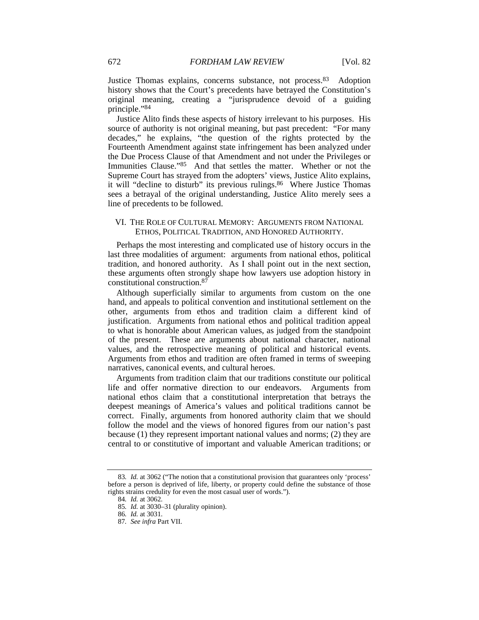Justice Thomas explains, concerns substance, not process.83 Adoption history shows that the Court's precedents have betrayed the Constitution's original meaning, creating a "jurisprudence devoid of a guiding principle."84

Justice Alito finds these aspects of history irrelevant to his purposes. His source of authority is not original meaning, but past precedent: "For many decades," he explains, "the question of the rights protected by the Fourteenth Amendment against state infringement has been analyzed under the Due Process Clause of that Amendment and not under the Privileges or Immunities Clause."85 And that settles the matter. Whether or not the Supreme Court has strayed from the adopters' views, Justice Alito explains, it will "decline to disturb" its previous rulings.86 Where Justice Thomas sees a betrayal of the original understanding, Justice Alito merely sees a line of precedents to be followed.

# VI. THE ROLE OF CULTURAL MEMORY: ARGUMENTS FROM NATIONAL ETHOS, POLITICAL TRADITION, AND HONORED AUTHORITY.

Perhaps the most interesting and complicated use of history occurs in the last three modalities of argument: arguments from national ethos, political tradition, and honored authority. As I shall point out in the next section, these arguments often strongly shape how lawyers use adoption history in constitutional construction.87

Although superficially similar to arguments from custom on the one hand, and appeals to political convention and institutional settlement on the other, arguments from ethos and tradition claim a different kind of justification. Arguments from national ethos and political tradition appeal to what is honorable about American values, as judged from the standpoint of the present. These are arguments about national character, national values, and the retrospective meaning of political and historical events. Arguments from ethos and tradition are often framed in terms of sweeping narratives, canonical events, and cultural heroes.

Arguments from tradition claim that our traditions constitute our political life and offer normative direction to our endeavors. Arguments from national ethos claim that a constitutional interpretation that betrays the deepest meanings of America's values and political traditions cannot be correct. Finally, arguments from honored authority claim that we should follow the model and the views of honored figures from our nation's past because (1) they represent important national values and norms; (2) they are central to or constitutive of important and valuable American traditions; or

<sup>83</sup>*. Id.* at 3062 ("The notion that a constitutional provision that guarantees only 'process' before a person is deprived of life, liberty, or property could define the substance of those rights strains credulity for even the most casual user of words.").

<sup>84</sup>*. Id.* at 3062.

<sup>85</sup>*. Id.* at 3030–31 (plurality opinion).

<sup>86</sup>*. Id.* at 3031.

<sup>87</sup>*. See infra* Part VII.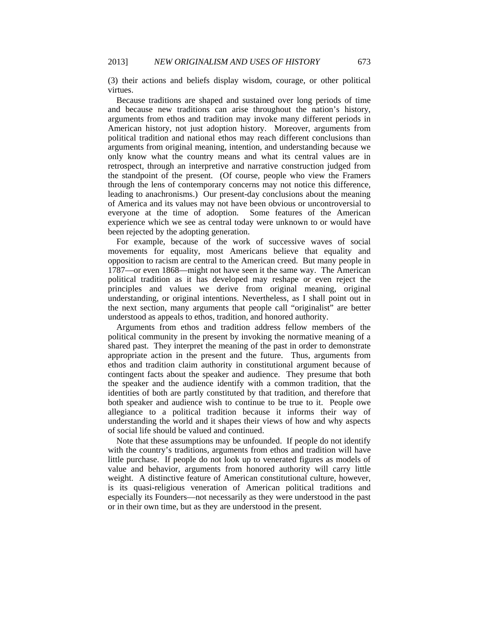(3) their actions and beliefs display wisdom, courage, or other political virtues.

Because traditions are shaped and sustained over long periods of time and because new traditions can arise throughout the nation's history, arguments from ethos and tradition may invoke many different periods in American history, not just adoption history. Moreover, arguments from political tradition and national ethos may reach different conclusions than arguments from original meaning, intention, and understanding because we only know what the country means and what its central values are in retrospect, through an interpretive and narrative construction judged from the standpoint of the present. (Of course, people who view the Framers through the lens of contemporary concerns may not notice this difference, leading to anachronisms.) Our present-day conclusions about the meaning of America and its values may not have been obvious or uncontroversial to everyone at the time of adoption. Some features of the American experience which we see as central today were unknown to or would have been rejected by the adopting generation.

For example, because of the work of successive waves of social movements for equality, most Americans believe that equality and opposition to racism are central to the American creed. But many people in 1787—or even 1868—might not have seen it the same way. The American political tradition as it has developed may reshape or even reject the principles and values we derive from original meaning, original understanding, or original intentions. Nevertheless, as I shall point out in the next section, many arguments that people call "originalist" are better understood as appeals to ethos, tradition, and honored authority.

Arguments from ethos and tradition address fellow members of the political community in the present by invoking the normative meaning of a shared past. They interpret the meaning of the past in order to demonstrate appropriate action in the present and the future. Thus, arguments from ethos and tradition claim authority in constitutional argument because of contingent facts about the speaker and audience. They presume that both the speaker and the audience identify with a common tradition, that the identities of both are partly constituted by that tradition, and therefore that both speaker and audience wish to continue to be true to it. People owe allegiance to a political tradition because it informs their way of understanding the world and it shapes their views of how and why aspects of social life should be valued and continued.

Note that these assumptions may be unfounded. If people do not identify with the country's traditions, arguments from ethos and tradition will have little purchase. If people do not look up to venerated figures as models of value and behavior, arguments from honored authority will carry little weight. A distinctive feature of American constitutional culture, however, is its quasi-religious veneration of American political traditions and especially its Founders—not necessarily as they were understood in the past or in their own time, but as they are understood in the present.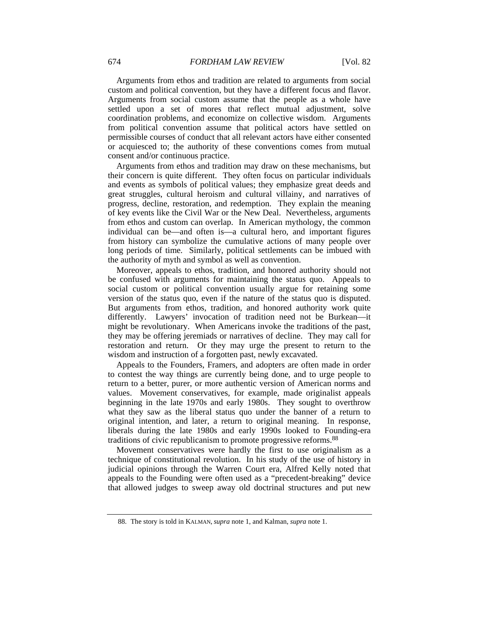Arguments from ethos and tradition are related to arguments from social custom and political convention, but they have a different focus and flavor. Arguments from social custom assume that the people as a whole have settled upon a set of mores that reflect mutual adjustment, solve coordination problems, and economize on collective wisdom. Arguments from political convention assume that political actors have settled on permissible courses of conduct that all relevant actors have either consented or acquiesced to; the authority of these conventions comes from mutual consent and/or continuous practice.

Arguments from ethos and tradition may draw on these mechanisms, but their concern is quite different. They often focus on particular individuals and events as symbols of political values; they emphasize great deeds and great struggles, cultural heroism and cultural villainy, and narratives of progress, decline, restoration, and redemption. They explain the meaning of key events like the Civil War or the New Deal. Nevertheless, arguments from ethos and custom can overlap. In American mythology, the common individual can be—and often is—a cultural hero, and important figures from history can symbolize the cumulative actions of many people over long periods of time. Similarly, political settlements can be imbued with the authority of myth and symbol as well as convention.

Moreover, appeals to ethos, tradition, and honored authority should not be confused with arguments for maintaining the status quo. Appeals to social custom or political convention usually argue for retaining some version of the status quo, even if the nature of the status quo is disputed. But arguments from ethos, tradition, and honored authority work quite differently. Lawyers' invocation of tradition need not be Burkean—it might be revolutionary. When Americans invoke the traditions of the past, they may be offering jeremiads or narratives of decline. They may call for restoration and return. Or they may urge the present to return to the wisdom and instruction of a forgotten past, newly excavated.

Appeals to the Founders, Framers, and adopters are often made in order to contest the way things are currently being done, and to urge people to return to a better, purer, or more authentic version of American norms and values. Movement conservatives, for example, made originalist appeals beginning in the late 1970s and early 1980s. They sought to overthrow what they saw as the liberal status quo under the banner of a return to original intention, and later, a return to original meaning. In response, liberals during the late 1980s and early 1990s looked to Founding-era traditions of civic republicanism to promote progressive reforms.88

Movement conservatives were hardly the first to use originalism as a technique of constitutional revolution. In his study of the use of history in judicial opinions through the Warren Court era, Alfred Kelly noted that appeals to the Founding were often used as a "precedent-breaking" device that allowed judges to sweep away old doctrinal structures and put new

 <sup>88.</sup> The story is told in KALMAN, *supra* note 1, and Kalman, *supra* note 1.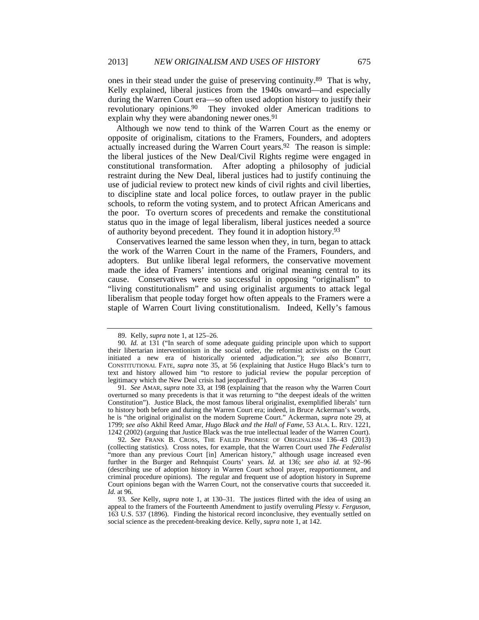ones in their stead under the guise of preserving continuity.89 That is why, Kelly explained, liberal justices from the 1940s onward—and especially during the Warren Court era—so often used adoption history to justify their revolutionary opinions.90 They invoked older American traditions to explain why they were abandoning newer ones.<sup>91</sup>

Although we now tend to think of the Warren Court as the enemy or opposite of originalism, citations to the Framers, Founders, and adopters actually increased during the Warren Court years.92 The reason is simple: the liberal justices of the New Deal/Civil Rights regime were engaged in constitutional transformation. After adopting a philosophy of judicial restraint during the New Deal, liberal justices had to justify continuing the use of judicial review to protect new kinds of civil rights and civil liberties, to discipline state and local police forces, to outlaw prayer in the public schools, to reform the voting system, and to protect African Americans and the poor. To overturn scores of precedents and remake the constitutional status quo in the image of legal liberalism, liberal justices needed a source of authority beyond precedent. They found it in adoption history.93

Conservatives learned the same lesson when they, in turn, began to attack the work of the Warren Court in the name of the Framers, Founders, and adopters. But unlike liberal legal reformers, the conservative movement made the idea of Framers' intentions and original meaning central to its cause. Conservatives were so successful in opposing "originalism" to "living constitutionalism" and using originalist arguments to attack legal liberalism that people today forget how often appeals to the Framers were a staple of Warren Court living constitutionalism. Indeed, Kelly's famous

 <sup>89.</sup> Kelly, *supra* note 1, at 125–26.

<sup>90</sup>*. Id.* at 131 ("In search of some adequate guiding principle upon which to support their libertarian interventionism in the social order, the reformist activists on the Court initiated a new era of historically oriented adjudication."); *see also* BOBBITT, CONSTITUTIONAL FATE, *supra* note 35, at 56 (explaining that Justice Hugo Black's turn to text and history allowed him "to restore to judicial review the popular perception of legitimacy which the New Deal crisis had jeopardized").

<sup>91</sup>*. See* AMAR, *supra* note 33, at 198 (explaining that the reason why the Warren Court overturned so many precedents is that it was returning to "the deepest ideals of the written Constitution"). Justice Black, the most famous liberal originalist, exemplified liberals' turn to history both before and during the Warren Court era; indeed, in Bruce Ackerman's words, he is "the original originalist on the modern Supreme Court." Ackerman, *supra* note 29, at 1799; *see also* Akhil Reed Amar, *Hugo Black and the Hall of Fame*, 53 ALA. L. REV. 1221, 1242 (2002) (arguing that Justice Black was the true intellectual leader of the Warren Court).

<sup>92</sup>*. See* FRANK B. CROSS, THE FAILED PROMISE OF ORIGINALISM 136–43 (2013) (collecting statistics). Cross notes, for example, that the Warren Court used *The Federalist* "more than any previous Court [in] American history," although usage increased even further in the Burger and Rehnquist Courts' years. *Id.* at 136; *see also id.* at 92–96 (describing use of adoption history in Warren Court school prayer, reapportionment, and criminal procedure opinions). The regular and frequent use of adoption history in Supreme Court opinions began with the Warren Court, not the conservative courts that succeeded it. *Id.* at 96.

<sup>93</sup>*. See* Kelly, *supra* note 1, at 130–31. The justices flirted with the idea of using an appeal to the framers of the Fourteenth Amendment to justify overruling *Plessy v. Ferguson*, 163 U.S. 537 (1896). Finding the historical record inconclusive, they eventually settled on social science as the precedent-breaking device. Kelly, *supra* note 1, at 142.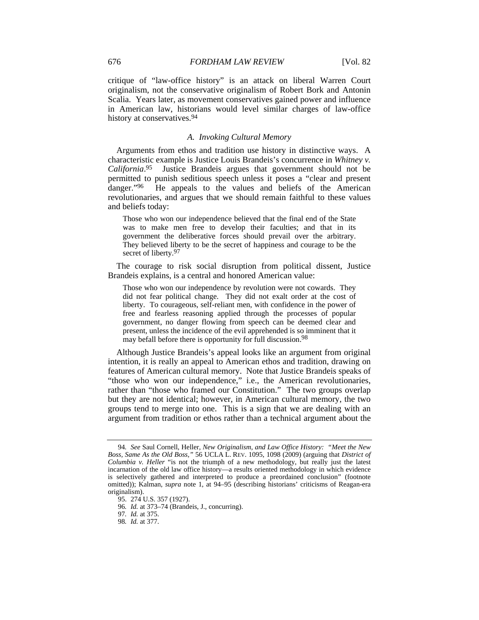critique of "law-office history" is an attack on liberal Warren Court originalism, not the conservative originalism of Robert Bork and Antonin Scalia. Years later, as movement conservatives gained power and influence in American law, historians would level similar charges of law-office history at conservatives.<sup>94</sup>

# *A. Invoking Cultural Memory*

Arguments from ethos and tradition use history in distinctive ways. A characteristic example is Justice Louis Brandeis's concurrence in *Whitney v. California*. 95 Justice Brandeis argues that government should not be permitted to punish seditious speech unless it poses a "clear and present danger."<sup>96</sup> He appeals to the values and beliefs of the American revolutionaries, and argues that we should remain faithful to these values and beliefs today:

Those who won our independence believed that the final end of the State was to make men free to develop their faculties; and that in its government the deliberative forces should prevail over the arbitrary. They believed liberty to be the secret of happiness and courage to be the secret of liberty.<sup>97</sup>

The courage to risk social disruption from political dissent, Justice Brandeis explains, is a central and honored American value:

Those who won our independence by revolution were not cowards. They did not fear political change. They did not exalt order at the cost of liberty. To courageous, self-reliant men, with confidence in the power of free and fearless reasoning applied through the processes of popular government, no danger flowing from speech can be deemed clear and present, unless the incidence of the evil apprehended is so imminent that it may befall before there is opportunity for full discussion.<sup>98</sup>

Although Justice Brandeis's appeal looks like an argument from original intention, it is really an appeal to American ethos and tradition, drawing on features of American cultural memory. Note that Justice Brandeis speaks of "those who won our independence," i.e., the American revolutionaries, rather than "those who framed our Constitution." The two groups overlap but they are not identical; however, in American cultural memory, the two groups tend to merge into one. This is a sign that we are dealing with an argument from tradition or ethos rather than a technical argument about the

<sup>94</sup>*. See* Saul Cornell, Heller*, New Originalism, and Law Office History: "Meet the New Boss, Same As the Old Boss*,*"* 56 UCLA L. REV. 1095, 1098 (2009) (arguing that *District of Columbia v. Heller* "is not the triumph of a new methodology, but really just the latest incarnation of the old law office history—a results oriented methodology in which evidence is selectively gathered and interpreted to produce a preordained conclusion" (footnote omitted)); Kalman, *supra* note 1, at 94–95 (describing historians' criticisms of Reagan-era originalism).

 <sup>95. 274</sup> U.S. 357 (1927).

<sup>96</sup>*. Id.* at 373–74 (Brandeis, J., concurring).

<sup>97</sup>*. Id.* at 375.

<sup>98</sup>*. Id.* at 377.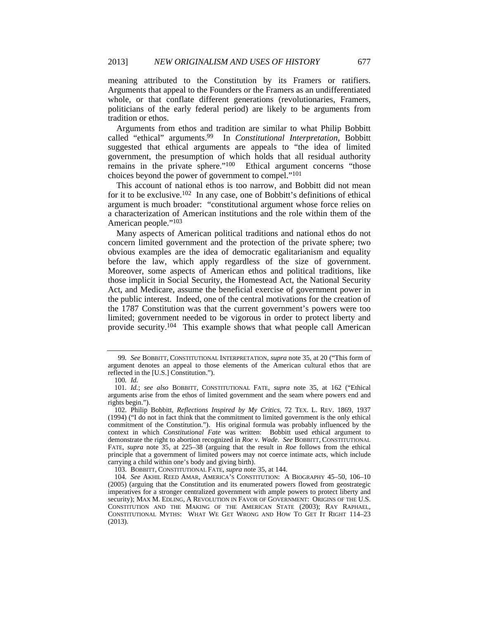meaning attributed to the Constitution by its Framers or ratifiers. Arguments that appeal to the Founders or the Framers as an undifferentiated whole, or that conflate different generations (revolutionaries, Framers, politicians of the early federal period) are likely to be arguments from tradition or ethos.

Arguments from ethos and tradition are similar to what Philip Bobbitt called "ethical" arguments.99 In *Constitutional Interpretation*, Bobbitt suggested that ethical arguments are appeals to "the idea of limited government, the presumption of which holds that all residual authority remains in the private sphere."100 Ethical argument concerns "those choices beyond the power of government to compel."101

This account of national ethos is too narrow, and Bobbitt did not mean for it to be exclusive.102 In any case, one of Bobbitt's definitions of ethical argument is much broader: "constitutional argument whose force relies on a characterization of American institutions and the role within them of the American people."103

Many aspects of American political traditions and national ethos do not concern limited government and the protection of the private sphere; two obvious examples are the idea of democratic egalitarianism and equality before the law, which apply regardless of the size of government. Moreover, some aspects of American ethos and political traditions, like those implicit in Social Security, the Homestead Act, the National Security Act, and Medicare, assume the beneficial exercise of government power in the public interest. Indeed, one of the central motivations for the creation of the 1787 Constitution was that the current government's powers were too limited; government needed to be vigorous in order to protect liberty and provide security.104 This example shows that what people call American

103. BOBBITT, CONSTITUTIONAL FATE, *supra* note 35, at 144.

<sup>99</sup>*. See* BOBBITT, CONSTITUTIONAL INTERPRETATION, *supra* note 35, at 20 ("This form of argument denotes an appeal to those elements of the American cultural ethos that are reflected in the [U.S.] Constitution.").

<sup>100</sup>*. Id.*

<sup>101</sup>*. Id.*; *see also* BOBBITT, CONSTITUTIONAL FATE, *supra* note 35, at 162 ("Ethical arguments arise from the ethos of limited government and the seam where powers end and rights begin.").

 <sup>102.</sup> Philip Bobbitt, *Reflections Inspired by My Critics*, 72 TEX. L. REV. 1869, 1937 (1994) ("I do not in fact think that the commitment to limited government is the only ethical commitment of the Constitution."). His original formula was probably influenced by the context in which *Constitutional Fate* was written: Bobbitt used ethical argument to demonstrate the right to abortion recognized in *Roe v. Wade*. *See* BOBBITT, CONSTITUTIONAL FATE, *supra* note 35, at 225–38 (arguing that the result in *Roe* follows from the ethical principle that a government of limited powers may not coerce intimate acts, which include carrying a child within one's body and giving birth).

<sup>104</sup>*. See* AKHIL REED AMAR, AMERICA'S CONSTITUTION: A BIOGRAPHY 45–50, 106–10 (2005) (arguing that the Constitution and its enumerated powers flowed from geostrategic imperatives for a stronger centralized government with ample powers to protect liberty and security); MAX M. EDLING, A REVOLUTION IN FAVOR OF GOVERNMENT: ORIGINS OF THE U.S. CONSTITUTION AND THE MAKING OF THE AMERICAN STATE (2003); RAY RAPHAEL, CONSTITUTIONAL MYTHS: WHAT WE GET WRONG AND HOW TO GET IT RIGHT 114–23 (2013).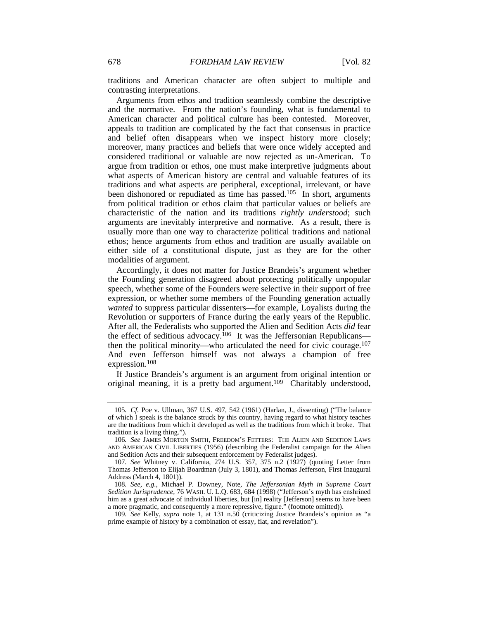traditions and American character are often subject to multiple and contrasting interpretations.

Arguments from ethos and tradition seamlessly combine the descriptive and the normative. From the nation's founding, what is fundamental to American character and political culture has been contested. Moreover, appeals to tradition are complicated by the fact that consensus in practice and belief often disappears when we inspect history more closely; moreover, many practices and beliefs that were once widely accepted and considered traditional or valuable are now rejected as un-American. To argue from tradition or ethos, one must make interpretive judgments about what aspects of American history are central and valuable features of its traditions and what aspects are peripheral, exceptional, irrelevant, or have been dishonored or repudiated as time has passed.<sup>105</sup> In short, arguments from political tradition or ethos claim that particular values or beliefs are characteristic of the nation and its traditions *rightly understood*; such arguments are inevitably interpretive and normative. As a result, there is usually more than one way to characterize political traditions and national ethos; hence arguments from ethos and tradition are usually available on either side of a constitutional dispute, just as they are for the other modalities of argument.

Accordingly, it does not matter for Justice Brandeis's argument whether the Founding generation disagreed about protecting politically unpopular speech, whether some of the Founders were selective in their support of free expression, or whether some members of the Founding generation actually *wanted* to suppress particular dissenters—for example, Loyalists during the Revolution or supporters of France during the early years of the Republic. After all, the Federalists who supported the Alien and Sedition Acts *did* fear the effect of seditious advocacy.<sup>106</sup> It was the Jeffersonian Republicans then the political minority—who articulated the need for civic courage.107 And even Jefferson himself was not always a champion of free expression.108

If Justice Brandeis's argument is an argument from original intention or original meaning, it is a pretty bad argument.109 Charitably understood,

<sup>105</sup>*. Cf.* Poe v. Ullman, 367 U.S. 497, 542 (1961) (Harlan, J., dissenting) ("The balance of which I speak is the balance struck by this country, having regard to what history teaches are the traditions from which it developed as well as the traditions from which it broke. That tradition is a living thing.").

<sup>106</sup>*. See* JAMES MORTON SMITH, FREEDOM'S FETTERS: THE ALIEN AND SEDITION LAWS AND AMERICAN CIVIL LIBERTIES (1956) (describing the Federalist campaign for the Alien and Sedition Acts and their subsequent enforcement by Federalist judges).

<sup>107</sup>*. See* Whitney v. California, 274 U.S. 357, 375 n.2 (1927) (quoting Letter from Thomas Jefferson to Elijah Boardman (July 3, 1801), and Thomas Jefferson, First Inaugural Address (March 4, 1801)).

<sup>108</sup>*. See, e.g.*, Michael P. Downey, Note, *The Jeffersonian Myth in Supreme Court Sedition Jurisprudence*, 76 WASH. U. L.Q. 683, 684 (1998) ("Jefferson's myth has enshrined him as a great advocate of individual liberties, but [in] reality [Jefferson] seems to have been a more pragmatic, and consequently a more repressive, figure." (footnote omitted)).

<sup>109</sup>*. See* Kelly, *supra* note 1, at 131 n.50 (criticizing Justice Brandeis's opinion as "a prime example of history by a combination of essay, fiat, and revelation").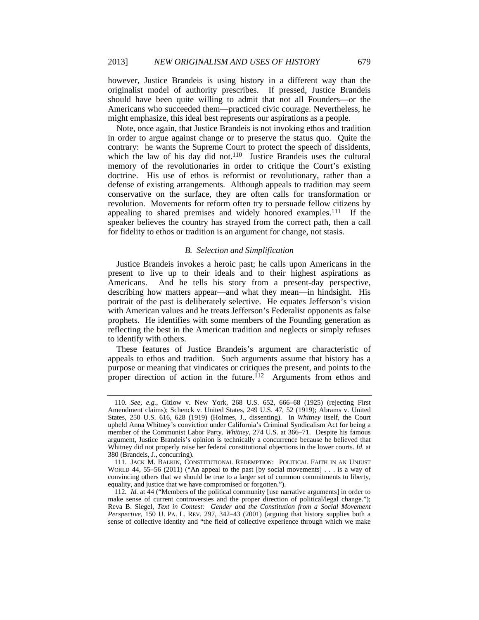however, Justice Brandeis is using history in a different way than the originalist model of authority prescribes. If pressed, Justice Brandeis should have been quite willing to admit that not all Founders—or the Americans who succeeded them—practiced civic courage. Nevertheless, he might emphasize, this ideal best represents our aspirations as a people.

Note, once again, that Justice Brandeis is not invoking ethos and tradition in order to argue against change or to preserve the status quo. Quite the contrary: he wants the Supreme Court to protect the speech of dissidents, which the law of his day did not.<sup>110</sup> Justice Brandeis uses the cultural memory of the revolutionaries in order to critique the Court's existing doctrine. His use of ethos is reformist or revolutionary, rather than a defense of existing arrangements. Although appeals to tradition may seem conservative on the surface, they are often calls for transformation or revolution. Movements for reform often try to persuade fellow citizens by appealing to shared premises and widely honored examples.111 If the speaker believes the country has strayed from the correct path, then a call for fidelity to ethos or tradition is an argument for change, not stasis.

# *B. Selection and Simplification*

Justice Brandeis invokes a heroic past; he calls upon Americans in the present to live up to their ideals and to their highest aspirations as Americans. And he tells his story from a present-day perspective, describing how matters appear—and what they mean—in hindsight. His portrait of the past is deliberately selective. He equates Jefferson's vision with American values and he treats Jefferson's Federalist opponents as false prophets. He identifies with some members of the Founding generation as reflecting the best in the American tradition and neglects or simply refuses to identify with others.

These features of Justice Brandeis's argument are characteristic of appeals to ethos and tradition. Such arguments assume that history has a purpose or meaning that vindicates or critiques the present, and points to the proper direction of action in the future.<sup> $112$ </sup> Arguments from ethos and

<sup>110</sup>*. See, e.g.*, Gitlow v. New York, 268 U.S. 652, 666–68 (1925) (rejecting First Amendment claims); Schenck v. United States, 249 U.S. 47, 52 (1919); Abrams v. United States, 250 U.S. 616, 628 (1919) (Holmes, J., dissenting). In *Whitney* itself, the Court upheld Anna Whitney's conviction under California's Criminal Syndicalism Act for being a member of the Communist Labor Party. *Whitney*, 274 U.S. at 366–71. Despite his famous argument, Justice Brandeis's opinion is technically a concurrence because he believed that Whitney did not properly raise her federal constitutional objections in the lower courts. *Id.* at 380 (Brandeis, J., concurring).

 <sup>111.</sup> JACK M. BALKIN, CONSTITUTIONAL REDEMPTION: POLITICAL FAITH IN AN UNJUST WORLD 44, 55–56 (2011) ("An appeal to the past [by social movements] . . . is a way of convincing others that we should be true to a larger set of common commitments to liberty, equality, and justice that we have compromised or forgotten.").

<sup>112</sup>*. Id.* at 44 ("Members of the political community [use narrative arguments] in order to make sense of current controversies and the proper direction of political/legal change."); Reva B. Siegel, *Text in Contest: Gender and the Constitution from a Social Movement Perspective*, 150 U. PA. L. REV. 297, 342–43 (2001) (arguing that history supplies both a sense of collective identity and "the field of collective experience through which we make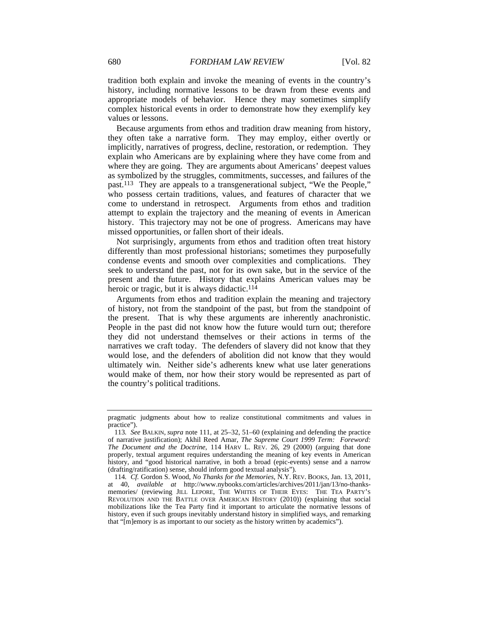tradition both explain and invoke the meaning of events in the country's history, including normative lessons to be drawn from these events and appropriate models of behavior. Hence they may sometimes simplify complex historical events in order to demonstrate how they exemplify key values or lessons.

Because arguments from ethos and tradition draw meaning from history, they often take a narrative form. They may employ, either overtly or implicitly, narratives of progress, decline, restoration, or redemption. They explain who Americans are by explaining where they have come from and where they are going. They are arguments about Americans' deepest values as symbolized by the struggles, commitments, successes, and failures of the past.113 They are appeals to a transgenerational subject, "We the People," who possess certain traditions, values, and features of character that we come to understand in retrospect. Arguments from ethos and tradition attempt to explain the trajectory and the meaning of events in American history. This trajectory may not be one of progress. Americans may have missed opportunities, or fallen short of their ideals.

Not surprisingly, arguments from ethos and tradition often treat history differently than most professional historians; sometimes they purposefully condense events and smooth over complexities and complications. They seek to understand the past, not for its own sake, but in the service of the present and the future. History that explains American values may be heroic or tragic, but it is always didactic. $114$ 

Arguments from ethos and tradition explain the meaning and trajectory of history, not from the standpoint of the past, but from the standpoint of the present. That is why these arguments are inherently anachronistic. People in the past did not know how the future would turn out; therefore they did not understand themselves or their actions in terms of the narratives we craft today. The defenders of slavery did not know that they would lose, and the defenders of abolition did not know that they would ultimately win. Neither side's adherents knew what use later generations would make of them, nor how their story would be represented as part of the country's political traditions.

pragmatic judgments about how to realize constitutional commitments and values in practice").

<sup>113</sup>*. See* BALKIN, *supra* note 111, at 25–32, 51–60 (explaining and defending the practice of narrative justification); Akhil Reed Amar, *The Supreme Court 1999 Term: Foreword: The Document and the Doctrine*, 114 HARV L. REV. 26, 29 (2000) (arguing that done properly, textual argument requires understanding the meaning of key events in American history, and "good historical narrative, in both a broad (epic-events) sense and a narrow (drafting/ratification) sense, should inform good textual analysis").

<sup>114</sup>*. Cf.* Gordon S. Wood, *No Thanks for the Memories*, N.Y. REV. BOOKS, Jan. 13, 2011, at 40, *available at* http://www.nybooks.com/articles/archives/2011/jan/13/no-thanksmemories/ (reviewing JILL LEPORE, THE WHITES OF THEIR EYES: THE TEA PARTY'S REVOLUTION AND THE BATTLE OVER AMERICAN HISTORY (2010)) (explaining that social mobilizations like the Tea Party find it important to articulate the normative lessons of history, even if such groups inevitably understand history in simplified ways, and remarking that "[m]emory is as important to our society as the history written by academics").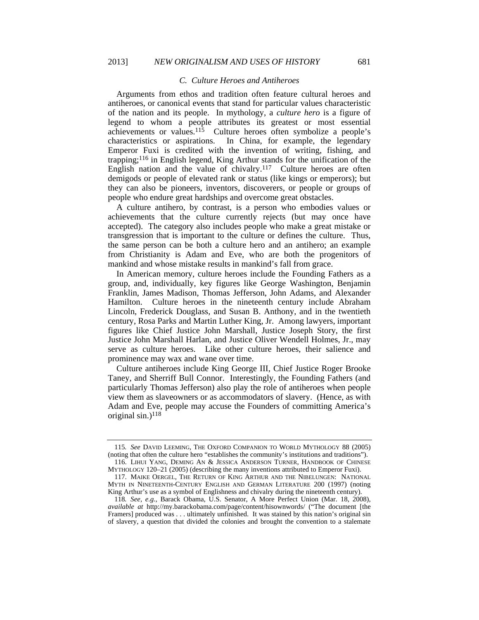#### *C. Culture Heroes and Antiheroes*

Arguments from ethos and tradition often feature cultural heroes and antiheroes, or canonical events that stand for particular values characteristic of the nation and its people. In mythology, a *culture hero* is a figure of legend to whom a people attributes its greatest or most essential achievements or values.115 Culture heroes often symbolize a people's characteristics or aspirations. In China, for example, the legendary Emperor Fuxi is credited with the invention of writing, fishing, and trapping;116 in English legend, King Arthur stands for the unification of the English nation and the value of chivalry.<sup>117</sup> Culture heroes are often demigods or people of elevated rank or status (like kings or emperors); but they can also be pioneers, inventors, discoverers, or people or groups of people who endure great hardships and overcome great obstacles.

A culture antihero, by contrast, is a person who embodies values or achievements that the culture currently rejects (but may once have accepted). The category also includes people who make a great mistake or transgression that is important to the culture or defines the culture. Thus, the same person can be both a culture hero and an antihero; an example from Christianity is Adam and Eve, who are both the progenitors of mankind and whose mistake results in mankind's fall from grace.

In American memory, culture heroes include the Founding Fathers as a group, and, individually, key figures like George Washington, Benjamin Franklin, James Madison, Thomas Jefferson, John Adams, and Alexander Hamilton. Culture heroes in the nineteenth century include Abraham Lincoln, Frederick Douglass, and Susan B. Anthony, and in the twentieth century, Rosa Parks and Martin Luther King, Jr. Among lawyers, important figures like Chief Justice John Marshall, Justice Joseph Story, the first Justice John Marshall Harlan, and Justice Oliver Wendell Holmes, Jr., may serve as culture heroes. Like other culture heroes, their salience and prominence may wax and wane over time.

Culture antiheroes include King George III, Chief Justice Roger Brooke Taney, and Sherriff Bull Connor. Interestingly, the Founding Fathers (and particularly Thomas Jefferson) also play the role of antiheroes when people view them as slaveowners or as accommodators of slavery. (Hence, as with Adam and Eve, people may accuse the Founders of committing America's original sin.) $118$ 

<sup>115</sup>*. See* DAVID LEEMING, THE OXFORD COMPANION TO WORLD MYTHOLOGY 88 (2005) (noting that often the culture hero "establishes the community's institutions and traditions").

 <sup>116.</sup> LIHUI YANG, DEMING AN & JESSICA ANDERSON TURNER, HANDBOOK OF CHINESE MYTHOLOGY 120–21 (2005) (describing the many inventions attributed to Emperor Fuxi).

 <sup>117.</sup> MAIKE OERGEL, THE RETURN OF KING ARTHUR AND THE NIBELUNGEN: NATIONAL MYTH IN NINETEENTH-CENTURY ENGLISH AND GERMAN LITERATURE 200 (1997) (noting King Arthur's use as a symbol of Englishness and chivalry during the nineteenth century).

<sup>118</sup>*. See, e.g.*, Barack Obama, U.S. Senator, A More Perfect Union (Mar. 18, 2008), *available at* http://my.barackobama.com/page/content/hisownwords/ ("The document [the Framers] produced was . . . ultimately unfinished. It was stained by this nation's original sin of slavery, a question that divided the colonies and brought the convention to a stalemate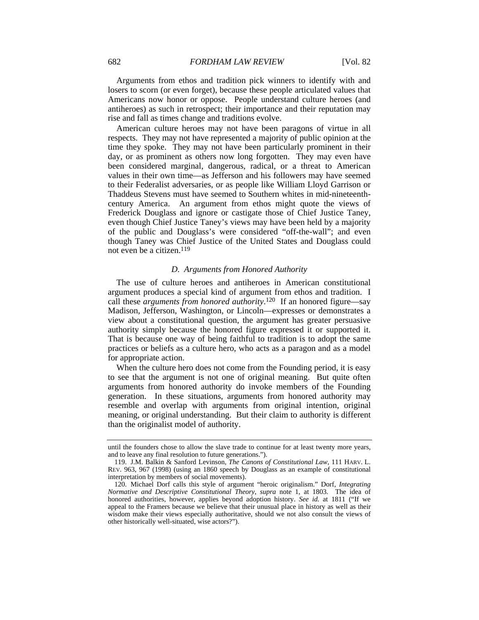Arguments from ethos and tradition pick winners to identify with and losers to scorn (or even forget), because these people articulated values that Americans now honor or oppose. People understand culture heroes (and antiheroes) as such in retrospect; their importance and their reputation may rise and fall as times change and traditions evolve.

American culture heroes may not have been paragons of virtue in all respects. They may not have represented a majority of public opinion at the time they spoke. They may not have been particularly prominent in their day, or as prominent as others now long forgotten. They may even have been considered marginal, dangerous, radical, or a threat to American values in their own time—as Jefferson and his followers may have seemed to their Federalist adversaries, or as people like William Lloyd Garrison or Thaddeus Stevens must have seemed to Southern whites in mid-nineteenthcentury America. An argument from ethos might quote the views of Frederick Douglass and ignore or castigate those of Chief Justice Taney, even though Chief Justice Taney's views may have been held by a majority of the public and Douglass's were considered "off-the-wall"; and even though Taney was Chief Justice of the United States and Douglass could not even be a citizen.119

### *D. Arguments from Honored Authority*

The use of culture heroes and antiheroes in American constitutional argument produces a special kind of argument from ethos and tradition. I call these *arguments from honored authority*. 120 If an honored figure—say Madison, Jefferson, Washington, or Lincoln—expresses or demonstrates a view about a constitutional question, the argument has greater persuasive authority simply because the honored figure expressed it or supported it. That is because one way of being faithful to tradition is to adopt the same practices or beliefs as a culture hero, who acts as a paragon and as a model for appropriate action.

When the culture hero does not come from the Founding period, it is easy to see that the argument is not one of original meaning. But quite often arguments from honored authority do invoke members of the Founding generation. In these situations, arguments from honored authority may resemble and overlap with arguments from original intention, original meaning, or original understanding. But their claim to authority is different than the originalist model of authority.

until the founders chose to allow the slave trade to continue for at least twenty more years, and to leave any final resolution to future generations.").

 <sup>119.</sup> J.M. Balkin & Sanford Levinson, *The Canons of Constitutional Law*, 111 HARV. L. REV. 963, 967 (1998) (using an 1860 speech by Douglass as an example of constitutional interpretation by members of social movements).

 <sup>120.</sup> Michael Dorf calls this style of argument "heroic originalism." Dorf, *Integrating Normative and Descriptive Constitutional Theory*, *supra* note 1, at 1803. The idea of honored authorities, however, applies beyond adoption history. *See id.* at 1811 ("If we appeal to the Framers because we believe that their unusual place in history as well as their wisdom make their views especially authoritative, should we not also consult the views of other historically well-situated, wise actors?").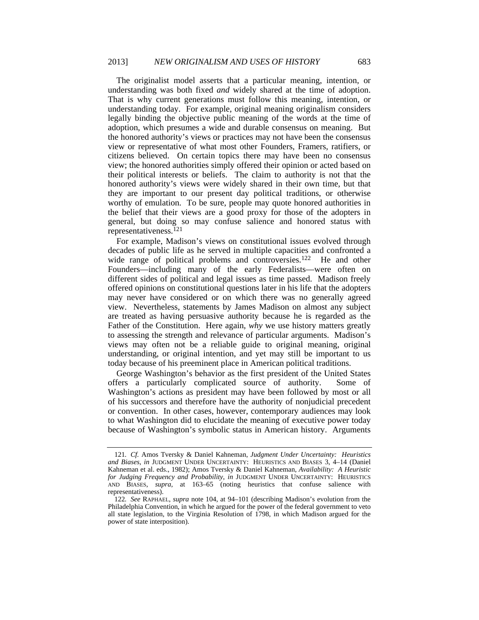The originalist model asserts that a particular meaning, intention, or understanding was both fixed *and* widely shared at the time of adoption. That is why current generations must follow this meaning, intention, or understanding today. For example, original meaning originalism considers legally binding the objective public meaning of the words at the time of adoption, which presumes a wide and durable consensus on meaning. But the honored authority's views or practices may not have been the consensus view or representative of what most other Founders, Framers, ratifiers, or citizens believed. On certain topics there may have been no consensus view; the honored authorities simply offered their opinion or acted based on their political interests or beliefs. The claim to authority is not that the honored authority's views were widely shared in their own time, but that they are important to our present day political traditions, or otherwise worthy of emulation. To be sure, people may quote honored authorities in the belief that their views are a good proxy for those of the adopters in general, but doing so may confuse salience and honored status with representativeness.121

For example, Madison's views on constitutional issues evolved through decades of public life as he served in multiple capacities and confronted a wide range of political problems and controversies.<sup>122</sup> He and other Founders—including many of the early Federalists—were often on different sides of political and legal issues as time passed. Madison freely offered opinions on constitutional questions later in his life that the adopters may never have considered or on which there was no generally agreed view. Nevertheless, statements by James Madison on almost any subject are treated as having persuasive authority because he is regarded as the Father of the Constitution. Here again, *why* we use history matters greatly to assessing the strength and relevance of particular arguments. Madison's views may often not be a reliable guide to original meaning, original understanding, or original intention, and yet may still be important to us today because of his preeminent place in American political traditions.

George Washington's behavior as the first president of the United States offers a particularly complicated source of authority. Some of Washington's actions as president may have been followed by most or all of his successors and therefore have the authority of nonjudicial precedent or convention. In other cases, however, contemporary audiences may look to what Washington did to elucidate the meaning of executive power today because of Washington's symbolic status in American history. Arguments

<sup>121</sup>*. Cf.* Amos Tversky & Daniel Kahneman, *Judgment Under Uncertainty: Heuristics and Biases*, *in* JUDGMENT UNDER UNCERTAINTY: HEURISTICS AND BIASES 3, 4–14 (Daniel Kahneman et al. eds., 1982); Amos Tversky & Daniel Kahneman, *Availability: A Heuristic for Judging Frequency and Probability*, *in* JUDGMENT UNDER UNCERTAINTY: HEURISTICS AND BIASES, *supra*, at 163–65 (noting heuristics that confuse salience with representativeness).

<sup>122</sup>*. See* RAPHAEL, *supra* note 104, at 94–101 (describing Madison's evolution from the Philadelphia Convention, in which he argued for the power of the federal government to veto all state legislation, to the Virginia Resolution of 1798, in which Madison argued for the power of state interposition).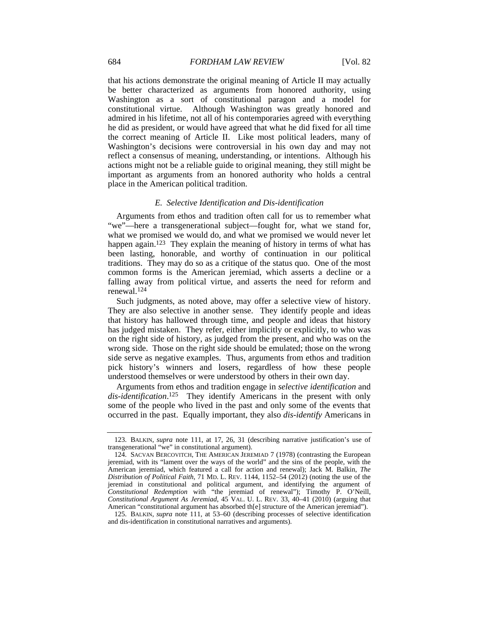that his actions demonstrate the original meaning of Article II may actually be better characterized as arguments from honored authority, using Washington as a sort of constitutional paragon and a model for constitutional virtue. Although Washington was greatly honored and admired in his lifetime, not all of his contemporaries agreed with everything he did as president, or would have agreed that what he did fixed for all time the correct meaning of Article II. Like most political leaders, many of Washington's decisions were controversial in his own day and may not reflect a consensus of meaning, understanding, or intentions. Although his actions might not be a reliable guide to original meaning, they still might be important as arguments from an honored authority who holds a central place in the American political tradition.

### *E. Selective Identification and Dis-identification*

Arguments from ethos and tradition often call for us to remember what "we"—here a transgenerational subject—fought for, what we stand for, what we promised we would do, and what we promised we would never let happen again.<sup>123</sup> They explain the meaning of history in terms of what has been lasting, honorable, and worthy of continuation in our political traditions. They may do so as a critique of the status quo. One of the most common forms is the American jeremiad, which asserts a decline or a falling away from political virtue, and asserts the need for reform and renewal.124

Such judgments, as noted above, may offer a selective view of history. They are also selective in another sense. They identify people and ideas that history has hallowed through time, and people and ideas that history has judged mistaken. They refer, either implicitly or explicitly, to who was on the right side of history, as judged from the present, and who was on the wrong side. Those on the right side should be emulated; those on the wrong side serve as negative examples. Thus, arguments from ethos and tradition pick history's winners and losers, regardless of how these people understood themselves or were understood by others in their own day.

Arguments from ethos and tradition engage in *selective identification* and *dis-identification*. 125 They identify Americans in the present with only some of the people who lived in the past and only some of the events that occurred in the past. Equally important, they also *dis-identify* Americans in

 <sup>123.</sup> BALKIN, *supra* note 111, at 17, 26, 31 (describing narrative justification's use of transgenerational "we" in constitutional argument).

 <sup>124.</sup> SACVAN BERCOVITCH, THE AMERICAN JEREMIAD 7 (1978) (contrasting the European jeremiad, with its "lament over the ways of the world" and the sins of the people, with the American jeremiad, which featured a call for action and renewal); Jack M. Balkin, *The Distribution of Political Faith*, 71 MD. L. REV. 1144, 1152–54 (2012) (noting the use of the jeremiad in constitutional and political argument, and identifying the argument of *Constitutional Redemption* with "the jeremiad of renewal"); Timothy P. O'Neill, *Constitutional Argument As Jeremiad*, 45 VAL. U. L. REV. 33, 40–41 (2010) (arguing that American "constitutional argument has absorbed th[e] structure of the American jeremiad").

 <sup>125.</sup> BALKIN, *supra* note 111, at 53–60 (describing processes of selective identification and dis-identification in constitutional narratives and arguments).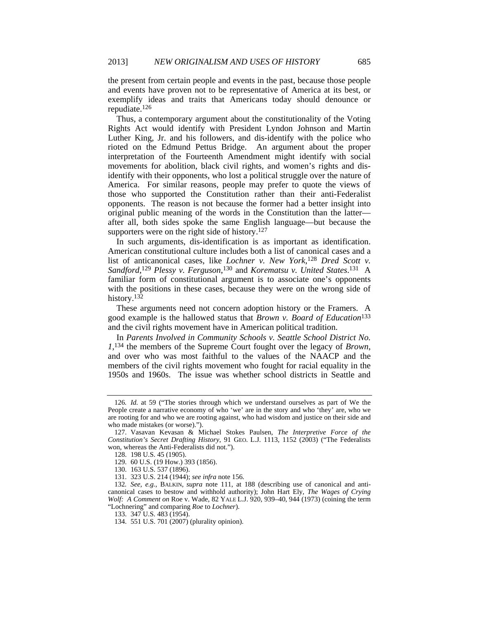the present from certain people and events in the past, because those people and events have proven not to be representative of America at its best, or exemplify ideas and traits that Americans today should denounce or repudiate.126

Thus, a contemporary argument about the constitutionality of the Voting Rights Act would identify with President Lyndon Johnson and Martin Luther King, Jr. and his followers, and dis-identify with the police who rioted on the Edmund Pettus Bridge. An argument about the proper interpretation of the Fourteenth Amendment might identify with social movements for abolition, black civil rights, and women's rights and disidentify with their opponents, who lost a political struggle over the nature of America. For similar reasons, people may prefer to quote the views of those who supported the Constitution rather than their anti-Federalist opponents. The reason is not because the former had a better insight into original public meaning of the words in the Constitution than the latter after all, both sides spoke the same English language—but because the supporters were on the right side of history.<sup>127</sup>

In such arguments, dis-identification is as important as identification. American constitutional culture includes both a list of canonical cases and a list of anticanonical cases, like *Lochner v. New York*, <sup>128</sup> *Dred Scott v. Sandford*, <sup>129</sup> *Plessy v. Ferguson*, 130 and *Korematsu v. United States*. 131 A familiar form of constitutional argument is to associate one's opponents with the positions in these cases, because they were on the wrong side of history.<sup>132</sup>

These arguments need not concern adoption history or the Framers. A good example is the hallowed status that *Brown v. Board of Education*<sup>133</sup> and the civil rights movement have in American political tradition.

In *Parents Involved in Community Schools v. Seattle School District No. 1*, 134 the members of the Supreme Court fought over the legacy of *Brown*, and over who was most faithful to the values of the NAACP and the members of the civil rights movement who fought for racial equality in the 1950s and 1960s. The issue was whether school districts in Seattle and

<sup>126</sup>*. Id.* at 59 ("The stories through which we understand ourselves as part of We the People create a narrative economy of who 'we' are in the story and who 'they' are, who we are rooting for and who we are rooting against, who had wisdom and justice on their side and who made mistakes (or worse).").

 <sup>127.</sup> Vasavan Kevasan & Michael Stokes Paulsen, *The Interpretive Force of the Constitution's Secret Drafting History*, 91 GEO. L.J. 1113, 1152 (2003) ("The Federalists won, whereas the Anti-Federalists did not.").

 <sup>128. 198</sup> U.S. 45 (1905).

 <sup>129. 60</sup> U.S. (19 How.) 393 (1856).

 <sup>130. 163</sup> U.S. 537 (1896).

 <sup>131. 323</sup> U.S. 214 (1944); *see infra* note 156.

<sup>132</sup>*. See, e.g.*, BALKIN, *supra* note 111, at 188 (describing use of canonical and anticanonical cases to bestow and withhold authority); John Hart Ely, *The Wages of Crying Wolf: A Comment on* Roe v. Wade, 82 YALE L.J. 920, 939–40, 944 (1973) (coining the term "Lochnering" and comparing *Roe* to *Lochner*).

 <sup>133. 347</sup> U.S. 483 (1954).

 <sup>134. 551</sup> U.S. 701 (2007) (plurality opinion).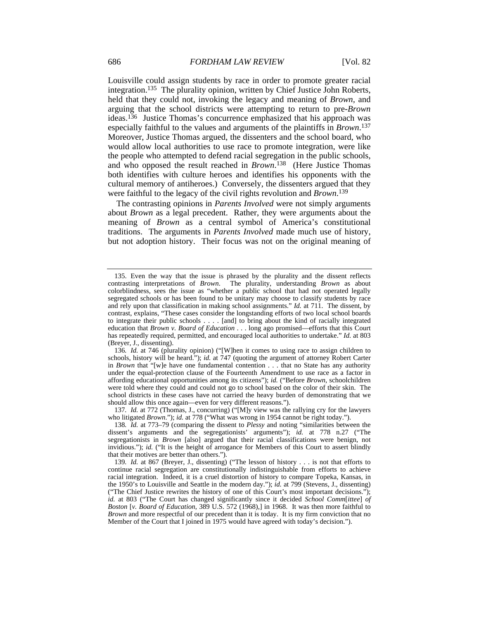Louisville could assign students by race in order to promote greater racial integration.135 The plurality opinion, written by Chief Justice John Roberts, held that they could not, invoking the legacy and meaning of *Brown,* and arguing that the school districts were attempting to return to pre-*Brown* ideas.136 Justice Thomas's concurrence emphasized that his approach was especially faithful to the values and arguments of the plaintiffs in *Brown*. 137 Moreover, Justice Thomas argued, the dissenters and the school board, who would allow local authorities to use race to promote integration, were like the people who attempted to defend racial segregation in the public schools, and who opposed the result reached in *Brown*. 138 (Here Justice Thomas both identifies with culture heroes and identifies his opponents with the cultural memory of antiheroes.) Conversely, the dissenters argued that they were faithful to the legacy of the civil rights revolution and *Brown*. 139

The contrasting opinions in *Parents Involved* were not simply arguments about *Brown* as a legal precedent. Rather, they were arguments about the meaning of *Brown* as a central symbol of America's constitutional traditions. The arguments in *Parents Involved* made much use of history, but not adoption history. Their focus was not on the original meaning of

 <sup>135.</sup> Even the way that the issue is phrased by the plurality and the dissent reflects contrasting interpretations of *Brown*. The plurality, understanding *Brown* as about colorblindness, sees the issue as "whether a public school that had not operated legally segregated schools or has been found to be unitary may choose to classify students by race and rely upon that classification in making school assignments." *Id.* at 711. The dissent, by contrast, explains, "These cases consider the longstanding efforts of two local school boards to integrate their public schools . . . . [and] to bring about the kind of racially integrated education that *Brown v. Board of Education* . . . long ago promised—efforts that this Court has repeatedly required, permitted, and encouraged local authorities to undertake." *Id.* at 803 (Breyer, J., dissenting).

<sup>136</sup>*. Id.* at 746 (plurality opinion) ("[W]hen it comes to using race to assign children to schools, history will be heard."); *id.* at 747 (quoting the argument of attorney Robert Carter in *Brown* that "[w]e have one fundamental contention . . . that no State has any authority under the equal-protection clause of the Fourteenth Amendment to use race as a factor in affording educational opportunities among its citizens"); *id.* ("Before *Brown*, schoolchildren were told where they could and could not go to school based on the color of their skin. The school districts in these cases have not carried the heavy burden of demonstrating that we should allow this once again—even for very different reasons.").

<sup>137</sup>*. Id.* at 772 (Thomas, J., concurring) ("[M]y view was the rallying cry for the lawyers who litigated *Brown*."); *id.* at 778 ("What was wrong in 1954 cannot be right today.").

<sup>138</sup>*. Id.* at 773–79 (comparing the dissent to *Plessy* and noting "similarities between the dissent's arguments and the segregationists' arguments"); *id.* at 778 n.27 ("The segregationists in *Brown* [also] argued that their racial classifications were benign, not invidious."); *id.* ("It is the height of arrogance for Members of this Court to assert blindly that their motives are better than others.").

<sup>139</sup>*. Id.* at 867 (Breyer, J., dissenting) ("The lesson of history . . . is not that efforts to continue racial segregation are constitutionally indistinguishable from efforts to achieve racial integration. Indeed, it is a cruel distortion of history to compare Topeka, Kansas, in the 1950's to Louisville and Seattle in the modern day."); *id.* at 799 (Stevens, J., dissenting) ("The Chief Justice rewrites the history of one of this Court's most important decisions."); *id.* at 803 ("The Court has changed significantly since it decided *School Comm*[*ittee*] *of Boston* [*v. Board of Education*, 389 U.S. 572 (1968),] in 1968. It was then more faithful to *Brown* and more respectful of our precedent than it is today. It is my firm conviction that no Member of the Court that I joined in 1975 would have agreed with today's decision.").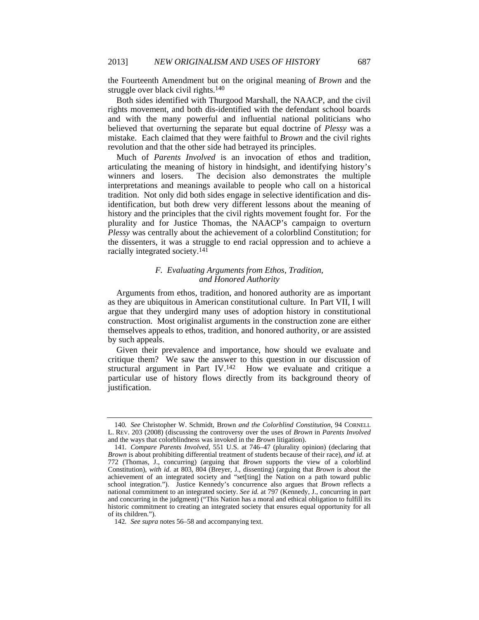the Fourteenth Amendment but on the original meaning of *Brown* and the struggle over black civil rights.140

Both sides identified with Thurgood Marshall, the NAACP, and the civil rights movement, and both dis-identified with the defendant school boards and with the many powerful and influential national politicians who believed that overturning the separate but equal doctrine of *Plessy* was a mistake. Each claimed that they were faithful to *Brown* and the civil rights revolution and that the other side had betrayed its principles.

Much of *Parents Involved* is an invocation of ethos and tradition, articulating the meaning of history in hindsight, and identifying history's winners and losers. The decision also demonstrates the multiple interpretations and meanings available to people who call on a historical tradition. Not only did both sides engage in selective identification and disidentification, but both drew very different lessons about the meaning of history and the principles that the civil rights movement fought for. For the plurality and for Justice Thomas, the NAACP's campaign to overturn *Plessy* was centrally about the achievement of a colorblind Constitution; for the dissenters, it was a struggle to end racial oppression and to achieve a racially integrated society.141

# *F. Evaluating Arguments from Ethos, Tradition, and Honored Authority*

Arguments from ethos, tradition, and honored authority are as important as they are ubiquitous in American constitutional culture. In Part VII, I will argue that they undergird many uses of adoption history in constitutional construction. Most originalist arguments in the construction zone are either themselves appeals to ethos, tradition, and honored authority, or are assisted by such appeals.

Given their prevalence and importance, how should we evaluate and critique them? We saw the answer to this question in our discussion of structural argument in Part IV.142 How we evaluate and critique a particular use of history flows directly from its background theory of justification.

<sup>140</sup>*. See* Christopher W. Schmidt, Brown *and the Colorblind Constitution*, 94 CORNELL L. REV. 203 (2008) (discussing the controversy over the uses of *Brown* in *Parents Involved* and the ways that colorblindness was invoked in the *Brown* litigation).

<sup>141</sup>*. Compare Parents Involved*, 551 U.S. at 746–47 (plurality opinion) (declaring that *Brown* is about prohibiting differential treatment of students because of their race), *and id.* at 772 (Thomas, J., concurring) (arguing that *Brown* supports the view of a colorblind Constitution), *with id*. at 803, 804 (Breyer, J., dissenting) (arguing that *Brown* is about the achievement of an integrated society and "set[ting] the Nation on a path toward public school integration."). Justice Kennedy's concurrence also argues that *Brown* reflects a national commitment to an integrated society. *See id.* at 797 (Kennedy, J., concurring in part and concurring in the judgment) ("This Nation has a moral and ethical obligation to fulfill its historic commitment to creating an integrated society that ensures equal opportunity for all of its children.").

<sup>142</sup>*. See supra* notes 56–58 and accompanying text.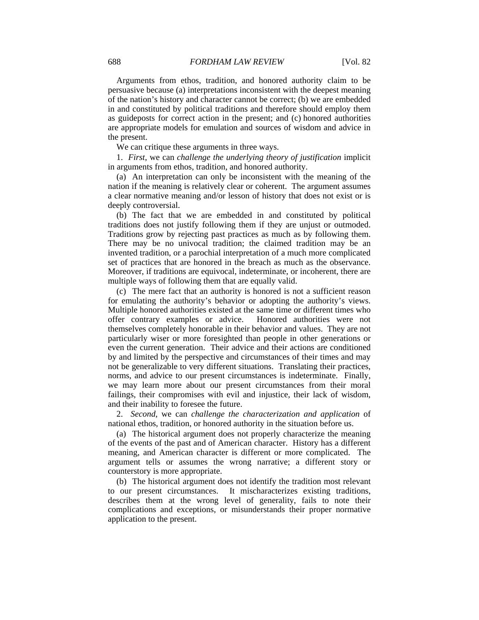Arguments from ethos, tradition, and honored authority claim to be persuasive because (a) interpretations inconsistent with the deepest meaning of the nation's history and character cannot be correct; (b) we are embedded in and constituted by political traditions and therefore should employ them as guideposts for correct action in the present; and (c) honored authorities are appropriate models for emulation and sources of wisdom and advice in the present.

We can critique these arguments in three ways.

1. *First*, we can *challenge the underlying theory of justification* implicit in arguments from ethos, tradition, and honored authority.

(a) An interpretation can only be inconsistent with the meaning of the nation if the meaning is relatively clear or coherent. The argument assumes a clear normative meaning and/or lesson of history that does not exist or is deeply controversial.

(b) The fact that we are embedded in and constituted by political traditions does not justify following them if they are unjust or outmoded. Traditions grow by rejecting past practices as much as by following them. There may be no univocal tradition; the claimed tradition may be an invented tradition, or a parochial interpretation of a much more complicated set of practices that are honored in the breach as much as the observance. Moreover, if traditions are equivocal, indeterminate, or incoherent, there are multiple ways of following them that are equally valid.

(c) The mere fact that an authority is honored is not a sufficient reason for emulating the authority's behavior or adopting the authority's views. Multiple honored authorities existed at the same time or different times who offer contrary examples or advice. Honored authorities were not themselves completely honorable in their behavior and values. They are not particularly wiser or more foresighted than people in other generations or even the current generation. Their advice and their actions are conditioned by and limited by the perspective and circumstances of their times and may not be generalizable to very different situations. Translating their practices, norms, and advice to our present circumstances is indeterminate. Finally, we may learn more about our present circumstances from their moral failings, their compromises with evil and injustice, their lack of wisdom, and their inability to foresee the future.

2. *Second*, we can *challenge the characterization and application* of national ethos, tradition, or honored authority in the situation before us.

(a) The historical argument does not properly characterize the meaning of the events of the past and of American character. History has a different meaning, and American character is different or more complicated. The argument tells or assumes the wrong narrative; a different story or counterstory is more appropriate.

(b) The historical argument does not identify the tradition most relevant to our present circumstances. It mischaracterizes existing traditions, describes them at the wrong level of generality, fails to note their complications and exceptions, or misunderstands their proper normative application to the present.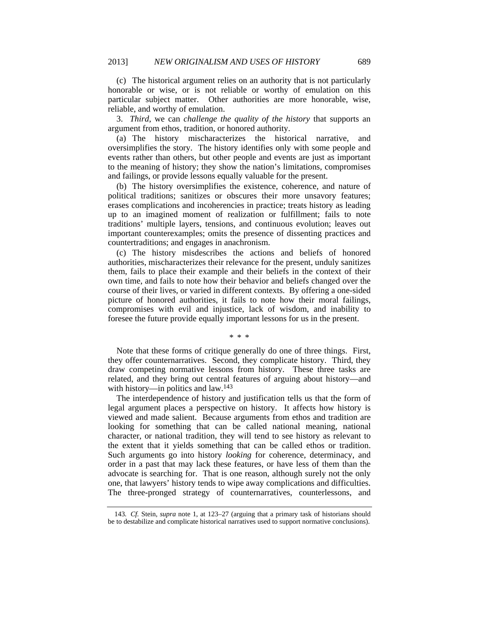(c) The historical argument relies on an authority that is not particularly honorable or wise, or is not reliable or worthy of emulation on this particular subject matter. Other authorities are more honorable, wise, reliable, and worthy of emulation.

3. *Third*, we can *challenge the quality of the history* that supports an argument from ethos, tradition, or honored authority.

(a) The history mischaracterizes the historical narrative, and oversimplifies the story. The history identifies only with some people and events rather than others, but other people and events are just as important to the meaning of history; they show the nation's limitations, compromises and failings, or provide lessons equally valuable for the present.

(b) The history oversimplifies the existence, coherence, and nature of political traditions; sanitizes or obscures their more unsavory features; erases complications and incoherencies in practice; treats history as leading up to an imagined moment of realization or fulfillment; fails to note traditions' multiple layers, tensions, and continuous evolution; leaves out important counterexamples; omits the presence of dissenting practices and countertraditions; and engages in anachronism.

(c) The history misdescribes the actions and beliefs of honored authorities, mischaracterizes their relevance for the present, unduly sanitizes them, fails to place their example and their beliefs in the context of their own time, and fails to note how their behavior and beliefs changed over the course of their lives, or varied in different contexts. By offering a one-sided picture of honored authorities, it fails to note how their moral failings, compromises with evil and injustice, lack of wisdom, and inability to foresee the future provide equally important lessons for us in the present.

\* \* \*

Note that these forms of critique generally do one of three things. First, they offer counternarratives. Second, they complicate history. Third, they draw competing normative lessons from history. These three tasks are related, and they bring out central features of arguing about history—and with history—in politics and law.143

The interdependence of history and justification tells us that the form of legal argument places a perspective on history. It affects how history is viewed and made salient. Because arguments from ethos and tradition are looking for something that can be called national meaning, national character, or national tradition, they will tend to see history as relevant to the extent that it yields something that can be called ethos or tradition. Such arguments go into history *looking* for coherence, determinacy, and order in a past that may lack these features, or have less of them than the advocate is searching for. That is one reason, although surely not the only one, that lawyers' history tends to wipe away complications and difficulties. The three-pronged strategy of counternarratives, counterlessons, and

<sup>143</sup>*. Cf.* Stein, *supra* note 1, at 123–27 (arguing that a primary task of historians should be to destabilize and complicate historical narratives used to support normative conclusions).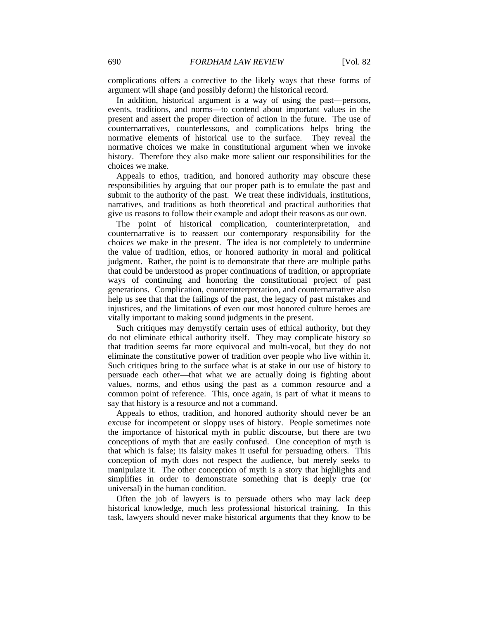complications offers a corrective to the likely ways that these forms of argument will shape (and possibly deform) the historical record.

In addition, historical argument is a way of using the past—persons, events, traditions, and norms—to contend about important values in the present and assert the proper direction of action in the future. The use of counternarratives, counterlessons, and complications helps bring the normative elements of historical use to the surface. They reveal the normative choices we make in constitutional argument when we invoke history. Therefore they also make more salient our responsibilities for the choices we make.

Appeals to ethos, tradition, and honored authority may obscure these responsibilities by arguing that our proper path is to emulate the past and submit to the authority of the past. We treat these individuals, institutions, narratives, and traditions as both theoretical and practical authorities that give us reasons to follow their example and adopt their reasons as our own.

The point of historical complication, counterinterpretation, and counternarrative is to reassert our contemporary responsibility for the choices we make in the present. The idea is not completely to undermine the value of tradition, ethos, or honored authority in moral and political judgment. Rather, the point is to demonstrate that there are multiple paths that could be understood as proper continuations of tradition, or appropriate ways of continuing and honoring the constitutional project of past generations. Complication, counterinterpretation, and counternarrative also help us see that that the failings of the past, the legacy of past mistakes and injustices, and the limitations of even our most honored culture heroes are vitally important to making sound judgments in the present.

Such critiques may demystify certain uses of ethical authority, but they do not eliminate ethical authority itself. They may complicate history so that tradition seems far more equivocal and multi-vocal, but they do not eliminate the constitutive power of tradition over people who live within it. Such critiques bring to the surface what is at stake in our use of history to persuade each other—that what we are actually doing is fighting about values, norms, and ethos using the past as a common resource and a common point of reference. This, once again, is part of what it means to say that history is a resource and not a command.

Appeals to ethos, tradition, and honored authority should never be an excuse for incompetent or sloppy uses of history. People sometimes note the importance of historical myth in public discourse, but there are two conceptions of myth that are easily confused. One conception of myth is that which is false; its falsity makes it useful for persuading others. This conception of myth does not respect the audience, but merely seeks to manipulate it. The other conception of myth is a story that highlights and simplifies in order to demonstrate something that is deeply true (or universal) in the human condition.

Often the job of lawyers is to persuade others who may lack deep historical knowledge, much less professional historical training. In this task, lawyers should never make historical arguments that they know to be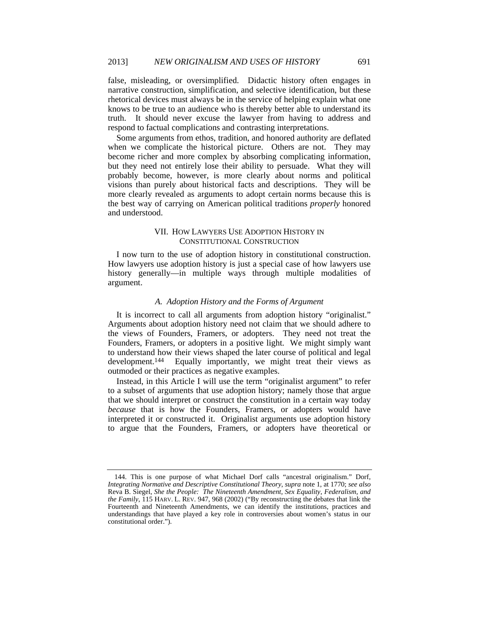false, misleading, or oversimplified. Didactic history often engages in narrative construction, simplification, and selective identification, but these rhetorical devices must always be in the service of helping explain what one knows to be true to an audience who is thereby better able to understand its truth. It should never excuse the lawyer from having to address and respond to factual complications and contrasting interpretations.

Some arguments from ethos, tradition, and honored authority are deflated when we complicate the historical picture. Others are not. They may become richer and more complex by absorbing complicating information, but they need not entirely lose their ability to persuade. What they will probably become, however, is more clearly about norms and political visions than purely about historical facts and descriptions. They will be more clearly revealed as arguments to adopt certain norms because this is the best way of carrying on American political traditions *properly* honored and understood.

# VII. HOW LAWYERS USE ADOPTION HISTORY IN CONSTITUTIONAL CONSTRUCTION

I now turn to the use of adoption history in constitutional construction. How lawyers use adoption history is just a special case of how lawyers use history generally—in multiple ways through multiple modalities of argument.

# *A. Adoption History and the Forms of Argument*

It is incorrect to call all arguments from adoption history "originalist." Arguments about adoption history need not claim that we should adhere to the views of Founders, Framers, or adopters. They need not treat the Founders, Framers, or adopters in a positive light. We might simply want to understand how their views shaped the later course of political and legal development.<sup>144</sup> Equally importantly, we might treat their views as outmoded or their practices as negative examples.

Instead, in this Article I will use the term "originalist argument" to refer to a subset of arguments that use adoption history; namely those that argue that we should interpret or construct the constitution in a certain way today *because* that is how the Founders, Framers, or adopters would have interpreted it or constructed it. Originalist arguments use adoption history to argue that the Founders, Framers, or adopters have theoretical or

 <sup>144.</sup> This is one purpose of what Michael Dorf calls "ancestral originalism." Dorf, *Integrating Normative and Descriptive Constitutional Theory*, *supra* note 1, at 1770; *see also* Reva B. Siegel, *She the People: The Nineteenth Amendment, Sex Equality, Federalism, and the Family*, 115 HARV. L. REV. 947, 968 (2002) ("By reconstructing the debates that link the Fourteenth and Nineteenth Amendments, we can identify the institutions, practices and understandings that have played a key role in controversies about women's status in our constitutional order.").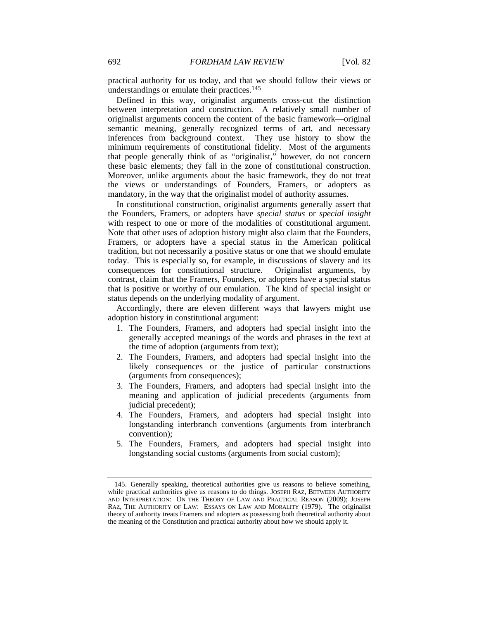practical authority for us today, and that we should follow their views or understandings or emulate their practices.145

Defined in this way, originalist arguments cross-cut the distinction between interpretation and construction. A relatively small number of originalist arguments concern the content of the basic framework—original semantic meaning, generally recognized terms of art, and necessary inferences from background context. They use history to show the inferences from background context. minimum requirements of constitutional fidelity. Most of the arguments that people generally think of as "originalist," however, do not concern these basic elements; they fall in the zone of constitutional construction. Moreover, unlike arguments about the basic framework, they do not treat the views or understandings of Founders, Framers, or adopters as mandatory, in the way that the originalist model of authority assumes.

In constitutional construction, originalist arguments generally assert that the Founders, Framers, or adopters have *special status* or *special insight* with respect to one or more of the modalities of constitutional argument. Note that other uses of adoption history might also claim that the Founders, Framers, or adopters have a special status in the American political tradition, but not necessarily a positive status or one that we should emulate today. This is especially so, for example, in discussions of slavery and its consequences for constitutional structure. Originalist arguments, by contrast, claim that the Framers, Founders, or adopters have a special status that is positive or worthy of our emulation. The kind of special insight or status depends on the underlying modality of argument.

Accordingly, there are eleven different ways that lawyers might use adoption history in constitutional argument:

- 1. The Founders, Framers, and adopters had special insight into the generally accepted meanings of the words and phrases in the text at the time of adoption (arguments from text);
- 2. The Founders, Framers, and adopters had special insight into the likely consequences or the justice of particular constructions (arguments from consequences);
- 3. The Founders, Framers, and adopters had special insight into the meaning and application of judicial precedents (arguments from judicial precedent);
- 4. The Founders, Framers, and adopters had special insight into longstanding interbranch conventions (arguments from interbranch convention);
- 5. The Founders, Framers, and adopters had special insight into longstanding social customs (arguments from social custom);

 <sup>145.</sup> Generally speaking, theoretical authorities give us reasons to believe something, while practical authorities give us reasons to do things. JOSEPH RAZ, BETWEEN AUTHORITY AND INTERPRETATION: ON THE THEORY OF LAW AND PRACTICAL REASON (2009); JOSEPH RAZ, THE AUTHORITY OF LAW: ESSAYS ON LAW AND MORALITY (1979). The originalist theory of authority treats Framers and adopters as possessing both theoretical authority about the meaning of the Constitution and practical authority about how we should apply it.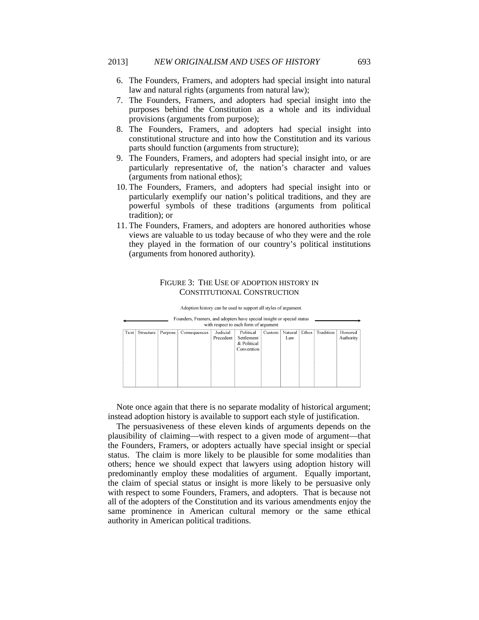- 6. The Founders, Framers, and adopters had special insight into natural law and natural rights (arguments from natural law);
- 7. The Founders, Framers, and adopters had special insight into the purposes behind the Constitution as a whole and its individual provisions (arguments from purpose);
- 8. The Founders, Framers, and adopters had special insight into constitutional structure and into how the Constitution and its various parts should function (arguments from structure);
- 9. The Founders, Framers, and adopters had special insight into, or are particularly representative of, the nation's character and values (arguments from national ethos);
- 10. The Founders, Framers, and adopters had special insight into or particularly exemplify our nation's political traditions, and they are powerful symbols of these traditions (arguments from political tradition); or
- 11. The Founders, Framers, and adopters are honored authorities whose views are valuable to us today because of who they were and the role they played in the formation of our country's political institutions (arguments from honored authority).

#### FIGURE 3: THE USE OF ADOPTION HISTORY IN CONSTITUTIONAL CONSTRUCTION

|      | Founders, Framers, and adopters have special insight or special status<br>with respect to each form of argument |         |              |                       |                                                      |        |                |       |           |                      |
|------|-----------------------------------------------------------------------------------------------------------------|---------|--------------|-----------------------|------------------------------------------------------|--------|----------------|-------|-----------|----------------------|
| Text | Structure                                                                                                       | Purpose | Consequences | Judicial<br>Precedent | Political<br>Settlement<br>& Political<br>Convention | Custom | Natural<br>Law | Ethos | Tradition | Honored<br>Authority |

Adoption history can be used to support all styles of argument.

Note once again that there is no separate modality of historical argument; instead adoption history is available to support each style of justification.

The persuasiveness of these eleven kinds of arguments depends on the plausibility of claiming—with respect to a given mode of argument—that the Founders, Framers, or adopters actually have special insight or special status. The claim is more likely to be plausible for some modalities than others; hence we should expect that lawyers using adoption history will predominantly employ these modalities of argument. Equally important, the claim of special status or insight is more likely to be persuasive only with respect to some Founders, Framers, and adopters. That is because not all of the adopters of the Constitution and its various amendments enjoy the same prominence in American cultural memory or the same ethical authority in American political traditions.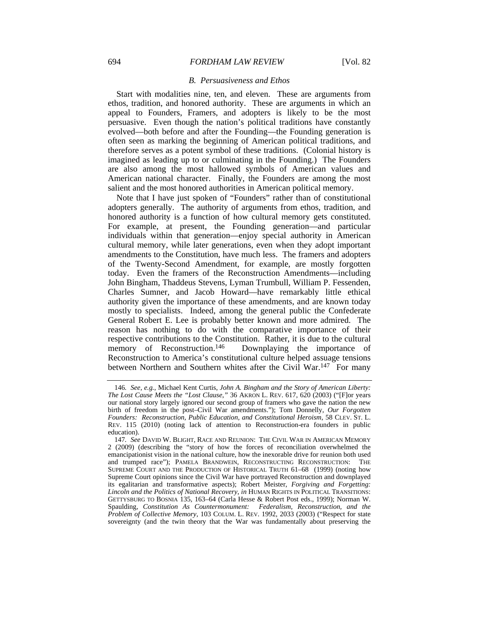#### *B. Persuasiveness and Ethos*

Start with modalities nine, ten, and eleven. These are arguments from ethos, tradition, and honored authority. These are arguments in which an appeal to Founders, Framers, and adopters is likely to be the most persuasive. Even though the nation's political traditions have constantly evolved—both before and after the Founding—the Founding generation is often seen as marking the beginning of American political traditions, and therefore serves as a potent symbol of these traditions. (Colonial history is imagined as leading up to or culminating in the Founding.) The Founders are also among the most hallowed symbols of American values and American national character. Finally, the Founders are among the most salient and the most honored authorities in American political memory.

Note that I have just spoken of "Founders" rather than of constitutional adopters generally. The authority of arguments from ethos, tradition, and honored authority is a function of how cultural memory gets constituted. For example, at present, the Founding generation—and particular individuals within that generation—enjoy special authority in American cultural memory, while later generations, even when they adopt important amendments to the Constitution, have much less. The framers and adopters of the Twenty-Second Amendment, for example, are mostly forgotten today. Even the framers of the Reconstruction Amendments—including John Bingham, Thaddeus Stevens, Lyman Trumbull, William P. Fessenden, Charles Sumner, and Jacob Howard—have remarkably little ethical authority given the importance of these amendments, and are known today mostly to specialists. Indeed, among the general public the Confederate General Robert E. Lee is probably better known and more admired. The reason has nothing to do with the comparative importance of their respective contributions to the Constitution. Rather, it is due to the cultural memory of Reconstruction.<sup>146</sup> Downplaying the importance of Downplaying the importance of Reconstruction to America's constitutional culture helped assuage tensions between Northern and Southern whites after the Civil War.<sup>147</sup> For many

<sup>146</sup>*. See, e.g.*, Michael Kent Curtis, *John A. Bingham and the Story of American Liberty: The Lost Cause Meets the "Lost Clause*,*"* 36 AKRON L. REV. 617, 620 (2003) ("[F]or years our national story largely ignored our second group of framers who gave the nation the new birth of freedom in the post–Civil War amendments."); Tom Donnelly, *Our Forgotten Founders: Reconstruction, Public Education, and Constitutional Heroism*, 58 CLEV. ST. L. REV. 115 (2010) (noting lack of attention to Reconstruction-era founders in public education).

<sup>147</sup>*. See* DAVID W. BLIGHT, RACE AND REUNION: THE CIVIL WAR IN AMERICAN MEMORY 2 (2009) (describing the "story of how the forces of reconciliation overwhelmed the emancipationist vision in the national culture, how the inexorable drive for reunion both used and trumped race"); PAMELA BRANDWEIN, RECONSTRUCTING RECONSTRUCTION: THE SUPREME COURT AND THE PRODUCTION OF HISTORICAL TRUTH 61–68 (1999) (noting how Supreme Court opinions since the Civil War have portrayed Reconstruction and downplayed its egalitarian and transformative aspects); Robert Meister, *Forgiving and Forgetting: Lincoln and the Politics of National Recovery*, *in* HUMAN RIGHTS IN POLITICAL TRANSITIONS: GETTYSBURG TO BOSNIA 135, 163–64 (Carla Hesse & Robert Post eds., 1999); Norman W. Spaulding, *Constitution As Countermonument: Federalism, Reconstruction, and the Problem of Collective Memory*, 103 COLUM. L. REV. 1992, 2033 (2003) ("Respect for state sovereignty (and the twin theory that the War was fundamentally about preserving the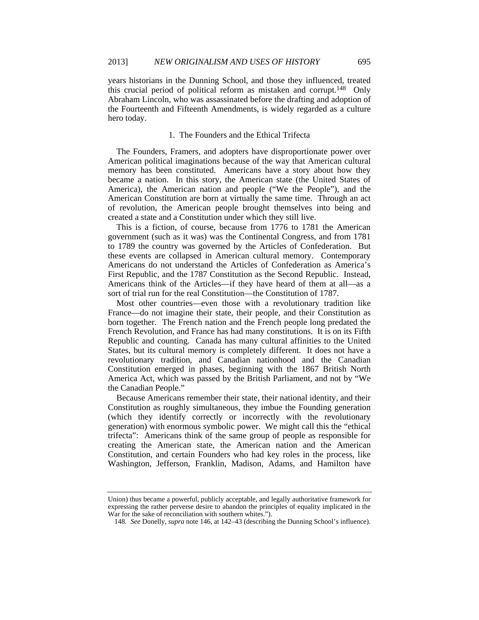years historians in the Dunning School, and those they influenced, treated this crucial period of political reform as mistaken and corrupt.148 Only Abraham Lincoln, who was assassinated before the drafting and adoption of the Fourteenth and Fifteenth Amendments, is widely regarded as a culture hero today.

## 1. The Founders and the Ethical Trifecta

The Founders, Framers, and adopters have disproportionate power over American political imaginations because of the way that American cultural memory has been constituted. Americans have a story about how they became a nation. In this story, the American state (the United States of America), the American nation and people ("We the People"), and the American Constitution are born at virtually the same time. Through an act of revolution, the American people brought themselves into being and created a state and a Constitution under which they still live.

This is a fiction, of course, because from 1776 to 1781 the American government (such as it was) was the Continental Congress, and from 1781 to 1789 the country was governed by the Articles of Confederation. But these events are collapsed in American cultural memory. Contemporary Americans do not understand the Articles of Confederation as America's First Republic, and the 1787 Constitution as the Second Republic. Instead, Americans think of the Articles—if they have heard of them at all—as a sort of trial run for the real Constitution—the Constitution of 1787.

Most other countries—even those with a revolutionary tradition like France—do not imagine their state, their people, and their Constitution as born together. The French nation and the French people long predated the French Revolution, and France has had many constitutions. It is on its Fifth Republic and counting. Canada has many cultural affinities to the United States, but its cultural memory is completely different. It does not have a revolutionary tradition, and Canadian nationhood and the Canadian Constitution emerged in phases, beginning with the 1867 British North America Act, which was passed by the British Parliament, and not by "We the Canadian People."

Because Americans remember their state, their national identity, and their Constitution as roughly simultaneous, they imbue the Founding generation (which they identify correctly or incorrectly with the revolutionary generation) with enormous symbolic power. We might call this the "ethical trifecta": Americans think of the same group of people as responsible for creating the American state, the American nation and the American Constitution, and certain Founders who had key roles in the process, like Washington, Jefferson, Franklin, Madison, Adams, and Hamilton have

Union) thus became a powerful, publicly acceptable, and legally authoritative framework for expressing the rather perverse desire to abandon the principles of equality implicated in the War for the sake of reconciliation with southern whites.").

<sup>148</sup>*. See* Donelly, *supra* note 146, at 142–43 (describing the Dunning School's influence).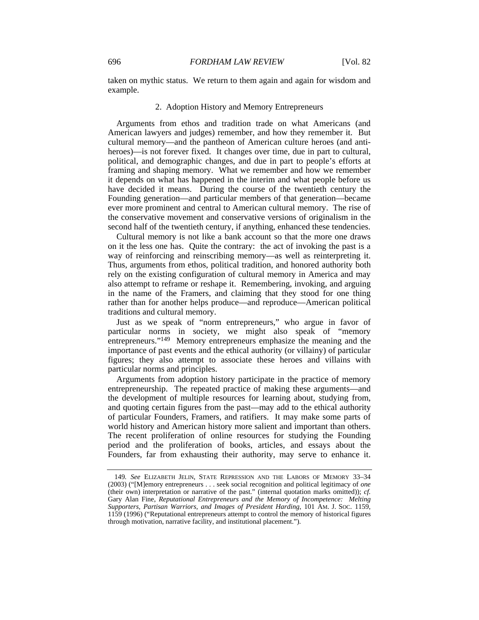taken on mythic status. We return to them again and again for wisdom and example.

### 2. Adoption History and Memory Entrepreneurs

Arguments from ethos and tradition trade on what Americans (and American lawyers and judges) remember, and how they remember it. But cultural memory—and the pantheon of American culture heroes (and antiheroes)—is not forever fixed. It changes over time, due in part to cultural, political, and demographic changes, and due in part to people's efforts at framing and shaping memory. What we remember and how we remember it depends on what has happened in the interim and what people before us have decided it means. During the course of the twentieth century the Founding generation—and particular members of that generation—became ever more prominent and central to American cultural memory. The rise of the conservative movement and conservative versions of originalism in the second half of the twentieth century, if anything, enhanced these tendencies.

Cultural memory is not like a bank account so that the more one draws on it the less one has. Quite the contrary: the act of invoking the past is a way of reinforcing and reinscribing memory—as well as reinterpreting it. Thus, arguments from ethos, political tradition, and honored authority both rely on the existing configuration of cultural memory in America and may also attempt to reframe or reshape it. Remembering, invoking, and arguing in the name of the Framers, and claiming that they stood for one thing rather than for another helps produce—and reproduce—American political traditions and cultural memory.

Just as we speak of "norm entrepreneurs," who argue in favor of particular norms in society, we might also speak of "memory entrepreneurs."<sup>149</sup> Memory entrepreneurs emphasize the meaning and the importance of past events and the ethical authority (or villainy) of particular figures; they also attempt to associate these heroes and villains with particular norms and principles.

Arguments from adoption history participate in the practice of memory entrepreneurship. The repeated practice of making these arguments—and the development of multiple resources for learning about, studying from, and quoting certain figures from the past—may add to the ethical authority of particular Founders, Framers, and ratifiers. It may make some parts of world history and American history more salient and important than others. The recent proliferation of online resources for studying the Founding period and the proliferation of books, articles, and essays about the Founders, far from exhausting their authority, may serve to enhance it.

<sup>149</sup>*. See* ELIZABETH JELIN, STATE REPRESSION AND THE LABORS OF MEMORY 33–34 (2003) ("[M]emory entrepreneurs . . . seek social recognition and political legitimacy of *one* (their own) interpretation or narrative of the past." (internal quotation marks omitted)); *cf.* Gary Alan Fine, *Reputational Entrepreneurs and the Memory of Incompetence: Melting Supporters, Partisan Warriors, and Images of President Harding*, 101 AM. J. SOC. 1159, 1159 (1996) ("Reputational entrepreneurs attempt to control the memory of historical figures through motivation, narrative facility, and institutional placement.").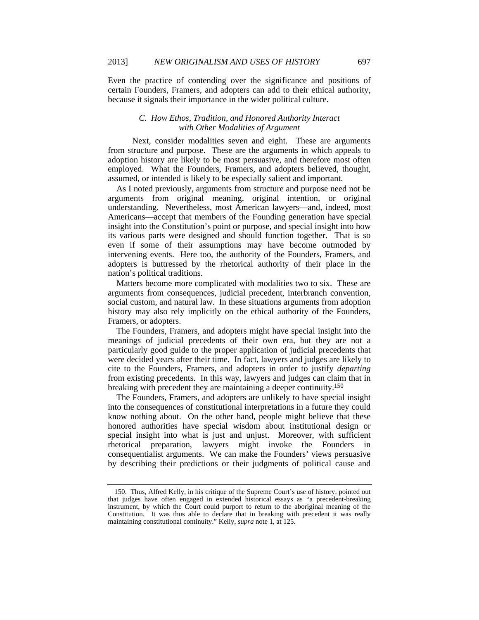Even the practice of contending over the significance and positions of certain Founders, Framers, and adopters can add to their ethical authority, because it signals their importance in the wider political culture.

# *C. How Ethos, Tradition, and Honored Authority Interact with Other Modalities of Argument*

 Next, consider modalities seven and eight. These are arguments from structure and purpose. These are the arguments in which appeals to adoption history are likely to be most persuasive, and therefore most often employed. What the Founders, Framers, and adopters believed, thought, assumed, or intended is likely to be especially salient and important.

As I noted previously, arguments from structure and purpose need not be arguments from original meaning, original intention, or original understanding. Nevertheless, most American lawyers—and, indeed, most Americans—accept that members of the Founding generation have special insight into the Constitution's point or purpose, and special insight into how its various parts were designed and should function together. That is so even if some of their assumptions may have become outmoded by intervening events. Here too, the authority of the Founders, Framers, and adopters is buttressed by the rhetorical authority of their place in the nation's political traditions.

Matters become more complicated with modalities two to six. These are arguments from consequences, judicial precedent, interbranch convention, social custom, and natural law. In these situations arguments from adoption history may also rely implicitly on the ethical authority of the Founders, Framers, or adopters.

The Founders, Framers, and adopters might have special insight into the meanings of judicial precedents of their own era, but they are not a particularly good guide to the proper application of judicial precedents that were decided years after their time. In fact, lawyers and judges are likely to cite to the Founders, Framers, and adopters in order to justify *departing* from existing precedents. In this way, lawyers and judges can claim that in breaking with precedent they are maintaining a deeper continuity.150

The Founders, Framers, and adopters are unlikely to have special insight into the consequences of constitutional interpretations in a future they could know nothing about. On the other hand, people might believe that these honored authorities have special wisdom about institutional design or special insight into what is just and unjust. Moreover, with sufficient rhetorical preparation, lawyers might invoke the Founders in consequentialist arguments. We can make the Founders' views persuasive by describing their predictions or their judgments of political cause and

 <sup>150.</sup> Thus, Alfred Kelly, in his critique of the Supreme Court's use of history, pointed out that judges have often engaged in extended historical essays as "a precedent-breaking instrument, by which the Court could purport to return to the aboriginal meaning of the Constitution. It was thus able to declare that in breaking with precedent it was really maintaining constitutional continuity." Kelly, *supra* note 1, at 125.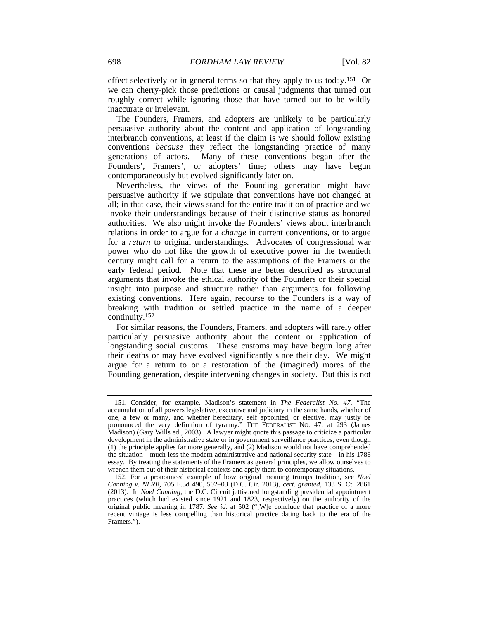effect selectively or in general terms so that they apply to us today.151 Or we can cherry-pick those predictions or causal judgments that turned out roughly correct while ignoring those that have turned out to be wildly inaccurate or irrelevant.

The Founders, Framers, and adopters are unlikely to be particularly persuasive authority about the content and application of longstanding interbranch conventions, at least if the claim is we should follow existing conventions *because* they reflect the longstanding practice of many generations of actors. Many of these conventions began after the Founders', Framers', or adopters' time; others may have begun contemporaneously but evolved significantly later on.

Nevertheless, the views of the Founding generation might have persuasive authority if we stipulate that conventions have not changed at all; in that case, their views stand for the entire tradition of practice and we invoke their understandings because of their distinctive status as honored authorities. We also might invoke the Founders' views about interbranch relations in order to argue for a *change* in current conventions, or to argue for a *return* to original understandings. Advocates of congressional war power who do not like the growth of executive power in the twentieth century might call for a return to the assumptions of the Framers or the early federal period. Note that these are better described as structural arguments that invoke the ethical authority of the Founders or their special insight into purpose and structure rather than arguments for following existing conventions. Here again, recourse to the Founders is a way of breaking with tradition or settled practice in the name of a deeper continuity.152

For similar reasons, the Founders, Framers, and adopters will rarely offer particularly persuasive authority about the content or application of longstanding social customs. These customs may have begun long after their deaths or may have evolved significantly since their day. We might argue for a return to or a restoration of the (imagined) mores of the Founding generation, despite intervening changes in society. But this is not

 <sup>151.</sup> Consider, for example, Madison's statement in *The Federalist No. 47*, "The accumulation of all powers legislative, executive and judiciary in the same hands, whether of one, a few or many, and whether hereditary, self appointed, or elective, may justly be pronounced the very definition of tyranny." THE FEDERALIST NO. 47, at 293 (James Madison) (Gary Wills ed., 2003). A lawyer might quote this passage to criticize a particular development in the administrative state or in government surveillance practices, even though (1) the principle applies far more generally, and (2) Madison would not have comprehended the situation—much less the modern administrative and national security state—in his 1788 essay. By treating the statements of the Framers as general principles, we allow ourselves to wrench them out of their historical contexts and apply them to contemporary situations.

 <sup>152.</sup> For a pronounced example of how original meaning trumps tradition, see *Noel Canning v. NLRB*, 705 F.3d 490, 502–03 (D.C. Cir. 2013), *cert. granted*, 133 S. Ct. 2861 (2013). In *Noel Canning*, the D.C. Circuit jettisoned longstanding presidential appointment practices (which had existed since 1921 and 1823, respectively) on the authority of the original public meaning in 1787. *See id.* at 502 ("[W]e conclude that practice of a more recent vintage is less compelling than historical practice dating back to the era of the Framers.").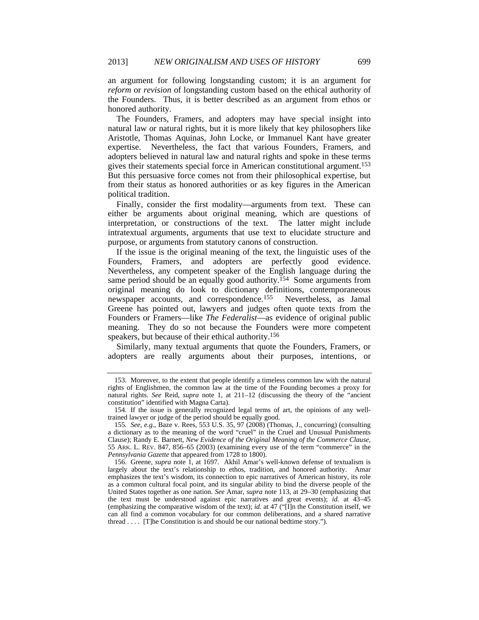an argument for following longstanding custom; it is an argument for *reform* or *revision* of longstanding custom based on the ethical authority of the Founders. Thus, it is better described as an argument from ethos or honored authority.

The Founders, Framers, and adopters may have special insight into natural law or natural rights, but it is more likely that key philosophers like Aristotle, Thomas Aquinas, John Locke, or Immanuel Kant have greater expertise. Nevertheless, the fact that various Founders, Framers, and adopters believed in natural law and natural rights and spoke in these terms gives their statements special force in American constitutional argument.153 But this persuasive force comes not from their philosophical expertise, but from their status as honored authorities or as key figures in the American political tradition.

Finally, consider the first modality—arguments from text. These can either be arguments about original meaning, which are questions of interpretation, or constructions of the text. The latter might include intratextual arguments, arguments that use text to elucidate structure and purpose, or arguments from statutory canons of construction.

If the issue is the original meaning of the text, the linguistic uses of the Founders, Framers, and adopters are perfectly good evidence. Nevertheless, any competent speaker of the English language during the same period should be an equally good authority.<sup>154</sup> Some arguments from original meaning do look to dictionary definitions, contemporaneous newspaper accounts, and correspondence.155 Nevertheless, as Jamal Greene has pointed out, lawyers and judges often quote texts from the Founders or Framers—like *The Federalist*—as evidence of original public meaning. They do so not because the Founders were more competent speakers, but because of their ethical authority.156

Similarly, many textual arguments that quote the Founders, Framers, or adopters are really arguments about their purposes, intentions, or

 <sup>153.</sup> Moreover, to the extent that people identify a timeless common law with the natural rights of Englishmen, the common law at the time of the Founding becomes a proxy for natural rights. *See* Reid, *supra* note 1, at 211–12 (discussing the theory of the "ancient constitution" identified with Magna Carta).

 <sup>154.</sup> If the issue is generally recognized legal terms of art, the opinions of any welltrained lawyer or judge of the period should be equally good.

<sup>155</sup>*. See, e.g.*, Baze v. Rees, 553 U.S. 35, 97 (2008) (Thomas, J., concurring) (consulting a dictionary as to the meaning of the word "cruel" in the Cruel and Unusual Punishments Clause); Randy E. Barnett, *New Evidence of the Original Meaning of the Commerce Clause*, 55 ARK. L. REV. 847, 856–65 (2003) (examining every use of the term "commerce" in the *Pennsylvania Gazette* that appeared from 1728 to 1800).

 <sup>156.</sup> Greene, *supra* note 1, at 1697. Akhil Amar's well-known defense of textualism is largely about the text's relationship to ethos, tradition, and honored authority. Amar emphasizes the text's wisdom, its connection to epic narratives of American history, its role as a common cultural focal point, and its singular ability to bind the diverse people of the United States together as one nation. *See* Amar, *supra* note 113, at 29–30 (emphasizing that the text must be understood against epic narratives and great events); *id.* at 43–45 (emphasizing the comparative wisdom of the text); *id.* at 47 ("[I]n the Constitution itself, we can all find a common vocabulary for our common deliberations, and a shared narrative thread . . . . [T]he Constitution is and should be our national bedtime story.").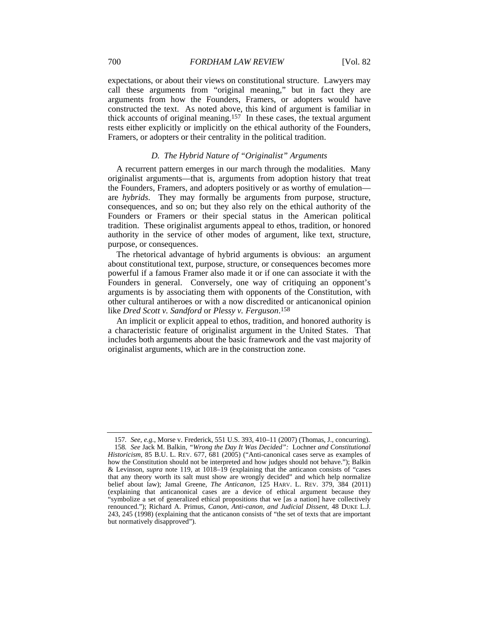expectations, or about their views on constitutional structure. Lawyers may call these arguments from "original meaning," but in fact they are arguments from how the Founders, Framers, or adopters would have constructed the text. As noted above, this kind of argument is familiar in thick accounts of original meaning.157 In these cases, the textual argument rests either explicitly or implicitly on the ethical authority of the Founders, Framers, or adopters or their centrality in the political tradition.

# *D. The Hybrid Nature of "Originalist" Arguments*

A recurrent pattern emerges in our march through the modalities. Many originalist arguments—that is, arguments from adoption history that treat the Founders, Framers, and adopters positively or as worthy of emulation are *hybrids*. They may formally be arguments from purpose, structure, consequences, and so on; but they also rely on the ethical authority of the Founders or Framers or their special status in the American political tradition. These originalist arguments appeal to ethos, tradition, or honored authority in the service of other modes of argument, like text, structure, purpose, or consequences.

The rhetorical advantage of hybrid arguments is obvious: an argument about constitutional text, purpose, structure, or consequences becomes more powerful if a famous Framer also made it or if one can associate it with the Founders in general. Conversely, one way of critiquing an opponent's arguments is by associating them with opponents of the Constitution, with other cultural antiheroes or with a now discredited or anticanonical opinion like *Dred Scott v. Sandford* or *Plessy v. Ferguson*. 158

An implicit or explicit appeal to ethos, tradition, and honored authority is a characteristic feature of originalist argument in the United States. That includes both arguments about the basic framework and the vast majority of originalist arguments, which are in the construction zone.

<sup>157</sup>*. See, e.g.*, Morse v. Frederick, 551 U.S. 393, 410–11 (2007) (Thomas, J., concurring). 158*. See* Jack M. Balkin, *"Wrong the Day It Was Decided":* Lochner *and Constitutional Historicism*, 85 B.U. L. REV. 677, 681 (2005) ("Anti-canonical cases serve as examples of how the Constitution should not be interpreted and how judges should not behave."); Balkin & Levinson, *supra* note 119, at 1018–19 (explaining that the anticanon consists of "cases that any theory worth its salt must show are wrongly decided" and which help normalize belief about law); Jamal Greene, *The Anticanon*, 125 HARV. L. REV. 379, 384 (2011) (explaining that anticanonical cases are a device of ethical argument because they "symbolize a set of generalized ethical propositions that we [as a nation] have collectively renounced."); Richard A. Primus, *Canon, Anti-canon, and Judicial Dissent*, 48 DUKE L.J. 243, 245 (1998) (explaining that the anticanon consists of "the set of texts that are important but normatively disapproved").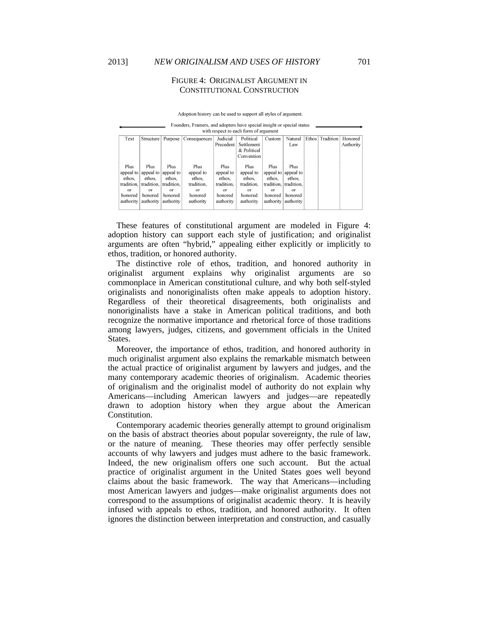## FIGURE 4: ORIGINALIST ARGUMENT IN CONSTITUTIONAL CONSTRUCTION

|  |  | Adoption history can be used to support all styles of argument.                    |  |
|--|--|------------------------------------------------------------------------------------|--|
|  |  | Farin dans - Farin sin - an d'a dantam barra an safal finafalte an an safal atatri |  |

| T ounders, Francis, and adopters have special insight of special status<br>with respect to each form of argument |                       |                       |                       |                       |                                        |                        |                             |                    |           |                      |
|------------------------------------------------------------------------------------------------------------------|-----------------------|-----------------------|-----------------------|-----------------------|----------------------------------------|------------------------|-----------------------------|--------------------|-----------|----------------------|
| Text                                                                                                             | Structure             | Purpose               | Consequences          | Judicial<br>Precedent | Political<br>Settlement<br>& Political | Custom                 | Natural<br>Law              | Ethos <sup>1</sup> | Tradition | Honored<br>Authority |
|                                                                                                                  |                       |                       |                       |                       | Convention                             |                        |                             |                    |           |                      |
| Plus<br>appeal to                                                                                                | Plus<br>appeal to     | Plus<br>appeal to     | Plus<br>appeal to     | Plus<br>appeal to     | Plus<br>appeal to                      | Plus                   | Plus<br>appeal to appeal to |                    |           |                      |
| ethos.<br>tradition.                                                                                             | ethos.<br>tradition.  | ethos.<br>tradition.  | ethos.<br>tradition.  | ethos.<br>tradition.  | ethos.<br>tradition.                   | ethos.<br>tradition.   | ethos.<br>tradition.        |                    |           |                      |
| or<br>honored                                                                                                    | $\alpha$ r<br>honored | $\alpha$ r<br>honored | $\alpha$ r<br>honored | $\alpha$ r<br>honored | $\alpha$ r<br>honored                  | $_{\alpha}$<br>honored | $\alpha$ r<br>honored       |                    |           |                      |
| authority                                                                                                        | authority             | authority             | authority             | authority             | authority                              |                        | authority   authority       |                    |           |                      |

These features of constitutional argument are modeled in Figure 4: adoption history can support each style of justification; and originalist arguments are often "hybrid," appealing either explicitly or implicitly to ethos, tradition, or honored authority.

The distinctive role of ethos, tradition, and honored authority in originalist argument explains why originalist arguments are so commonplace in American constitutional culture, and why both self-styled originalists and nonoriginalists often make appeals to adoption history. Regardless of their theoretical disagreements, both originalists and nonoriginalists have a stake in American political traditions, and both recognize the normative importance and rhetorical force of those traditions among lawyers, judges, citizens, and government officials in the United States.

Moreover, the importance of ethos, tradition, and honored authority in much originalist argument also explains the remarkable mismatch between the actual practice of originalist argument by lawyers and judges, and the many contemporary academic theories of originalism. Academic theories of originalism and the originalist model of authority do not explain why Americans—including American lawyers and judges—are repeatedly drawn to adoption history when they argue about the American Constitution.

Contemporary academic theories generally attempt to ground originalism on the basis of abstract theories about popular sovereignty, the rule of law, or the nature of meaning. These theories may offer perfectly sensible accounts of why lawyers and judges must adhere to the basic framework. Indeed, the new originalism offers one such account. But the actual practice of originalist argument in the United States goes well beyond claims about the basic framework. The way that Americans—including most American lawyers and judges—make originalist arguments does not correspond to the assumptions of originalist academic theory. It is heavily infused with appeals to ethos, tradition, and honored authority. It often ignores the distinction between interpretation and construction, and casually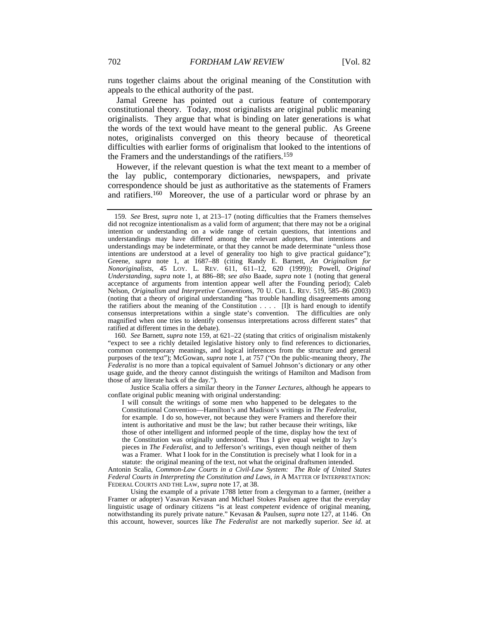runs together claims about the original meaning of the Constitution with appeals to the ethical authority of the past.

Jamal Greene has pointed out a curious feature of contemporary constitutional theory. Today, most originalists are original public meaning originalists. They argue that what is binding on later generations is what the words of the text would have meant to the general public. As Greene notes, originalists converged on this theory because of theoretical difficulties with earlier forms of originalism that looked to the intentions of the Framers and the understandings of the ratifiers.159

However, if the relevant question is what the text meant to a member of the lay public, contemporary dictionaries, newspapers, and private correspondence should be just as authoritative as the statements of Framers and ratifiers.160 Moreover, the use of a particular word or phrase by an

160*. See* Barnett, *supra* note 159, at 621–22 (stating that critics of originalism mistakenly "expect to see a richly detailed legislative history only to find references to dictionaries, common contemporary meanings, and logical inferences from the structure and general purposes of the text"); McGowan, *supra* note 1, at 757 ("On the public-meaning theory, *The Federalist* is no more than a topical equivalent of Samuel Johnson's dictionary or any other usage guide, and the theory cannot distinguish the writings of Hamilton and Madison from those of any literate hack of the day.").

 Justice Scalia offers a similar theory in the *Tanner Lectures*, although he appears to conflate original public meaning with original understanding:

I will consult the writings of some men who happened to be delegates to the Constitutional Convention—Hamilton's and Madison's writings in *The Federalist*, for example. I do so, however, not because they were Framers and therefore their intent is authoritative and must be the law; but rather because their writings, like those of other intelligent and informed people of the time, display how the text of the Constitution was originally understood. Thus I give equal weight to Jay's pieces in *The Federalist*, and to Jefferson's writings, even though neither of them was a Framer. What I look for in the Constitution is precisely what I look for in a statute: the original meaning of the text, not what the original draftsmen intended.

Antonin Scalia, *Common-Law Courts in a Civil-Law System: The Role of United States Federal Courts in Interpreting the Constitution and Laws*, *in* A MATTER OF INTERPRETATION: FEDERAL COURTS AND THE LAW, *supra* note 17, at 38.

 Using the example of a private 1788 letter from a clergyman to a farmer, (neither a Framer or adopter) Vasavan Kevasan and Michael Stokes Paulsen agree that the everyday linguistic usage of ordinary citizens "is at least *competent* evidence of original meaning, notwithstanding its purely private nature." Kevasan & Paulsen, *supra* note 127, at 1146. On this account, however, sources like *The Federalist* are not markedly superior. *See id.* at

<sup>159</sup>*. See* Brest, *supra* note 1, at 213–17 (noting difficulties that the Framers themselves did not recognize intentionalism as a valid form of argument; that there may not be a original intention or understanding on a wide range of certain questions, that intentions and understandings may have differed among the relevant adopters, that intentions and understandings may be indeterminate, or that they cannot be made determinate "unless those intentions are understood at a level of generality too high to give practical guidance"); Greene, *supra* note 1, at 1687–88 (citing Randy E. Barnett, *An Originalism for Nonoriginalists*, 45 LOY. L. REV. 611, 611–12, 620 (1999)); Powell, *Original Understanding*, *supra* note 1, at 886–88; *see also* Baade, *supra* note 1 (noting that general acceptance of arguments from intention appear well after the Founding period); Caleb Nelson, *Originalism and Interpretive Conventions*, 70 U. CHI. L. REV. 519, 585–86 (2003) (noting that a theory of original understanding "has trouble handling disagreements among the ratifiers about the meaning of the Constitution . . . . [I]t is hard enough to identify consensus interpretations within a single state's convention. The difficulties are only magnified when one tries to identify consensus interpretations across different states" that ratified at different times in the debate).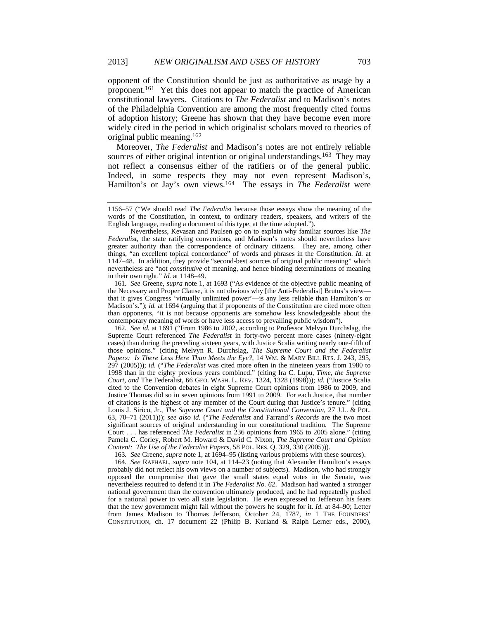opponent of the Constitution should be just as authoritative as usage by a proponent.161 Yet this does not appear to match the practice of American constitutional lawyers. Citations to *The Federalist* and to Madison's notes of the Philadelphia Convention are among the most frequently cited forms of adoption history; Greene has shown that they have become even more widely cited in the period in which originalist scholars moved to theories of original public meaning.162

Moreover, *The Federalist* and Madison's notes are not entirely reliable sources of either original intention or original understandings.<sup>163</sup> They may not reflect a consensus either of the ratifiers or of the general public. Indeed, in some respects they may not even represent Madison's, Hamilton's or Jay's own views.164 The essays in *The Federalist* were

161*. See* Greene, *supra* note 1, at 1693 ("As evidence of the objective public meaning of the Necessary and Proper Clause, it is not obvious why [the Anti-Federalist] Brutus's view that it gives Congress 'virtually unlimited power'—is any less reliable than Hamilton's or Madison's."); *id.* at 1694 (arguing that if proponents of the Constitution are cited more often than opponents, "it is not because opponents are somehow less knowledgeable about the contemporary meaning of words or have less access to prevailing public wisdom").

162*. See id.* at 1691 ("From 1986 to 2002, according to Professor Melvyn Durchslag, the Supreme Court referenced *The Federalist* in forty-two percent more cases (ninety-eight cases) than during the preceding sixteen years, with Justice Scalia writing nearly one-fifth of those opinions." (citing Melvyn R. Durchslag, *The Supreme Court and the Federalist Papers: Is There Less Here Than Meets the Eye?*, 14 WM. & MARY BILL RTS. J. 243, 295, 297 (2005))); *id.* ("*The Federalist* was cited more often in the nineteen years from 1980 to 1998 than in the eighty previous years combined." (citing Ira C. Lupu, *Time, the Supreme Court, and* The Federalist, 66 GEO. WASH. L. REV. 1324, 1328 (1998))); *id.* ("Justice Scalia cited to the Convention debates in eight Supreme Court opinions from 1986 to 2009, and Justice Thomas did so in seven opinions from 1991 to 2009. For each Justice, that number of citations is the highest of any member of the Court during that Justice's tenure." (citing Louis J. Sirico, Jr., *The Supreme Court and the Constitutional Convention*, 27 J.L. & POL. 63, 70–71 (2011))); *see also id.* ("*The Federalist* and Farrand's *Records* are the two most significant sources of original understanding in our constitutional tradition. The Supreme Court . . . has referenced *The Federalist* in 236 opinions from 1965 to 2005 alone." (citing Pamela C. Corley, Robert M. Howard & David C. Nixon, *The Supreme Court and Opinion Content: The Use of the Federalist Papers*, 58 POL. RES. Q. 329, 330 (2005))).

163*. See* Greene, *supra* note 1, at 1694–95 (listing various problems with these sources).

164*. See* RAPHAEL, *supra* note 104, at 114–23 (noting that Alexander Hamilton's essays probably did not reflect his own views on a number of subjects). Madison, who had strongly opposed the compromise that gave the small states equal votes in the Senate, was nevertheless required to defend it in *The Federalist No. 62*. Madison had wanted a stronger national government than the convention ultimately produced, and he had repeatedly pushed for a national power to veto all state legislation. He even expressed to Jefferson his fears that the new government might fail without the powers he sought for it. *Id.* at 84–90; Letter from James Madison to Thomas Jefferson, October 24, 1787, *in* 1 THE FOUNDERS' CONSTITUTION, ch. 17 document 22 (Philip B. Kurland & Ralph Lerner eds., 2000),

<sup>1156–57 (&</sup>quot;We should read *The Federalist* because those essays show the meaning of the words of the Constitution, in context, to ordinary readers, speakers, and writers of the English language, reading a document of this type, at the time adopted.").

Nevertheless, Kevasan and Paulsen go on to explain why familiar sources like *The Federalist*, the state ratifying conventions, and Madison's notes should nevertheless have greater authority than the correspondence of ordinary citizens. They are, among other things, "an excellent topical concordance" of words and phrases in the Constitution. *Id.* at 1147–48. In addition, they provide "second-best sources of original public meaning" which nevertheless are "not *constitutive* of meaning, and hence binding determinations of meaning in their own right." *Id.* at 1148–49.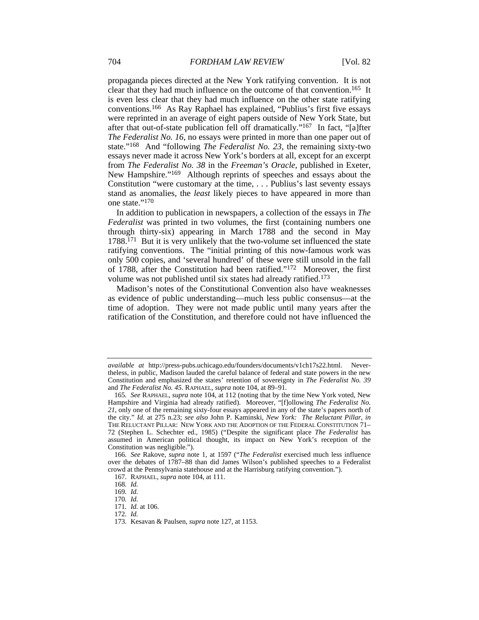propaganda pieces directed at the New York ratifying convention. It is not clear that they had much influence on the outcome of that convention.165 It is even less clear that they had much influence on the other state ratifying conventions.166 As Ray Raphael has explained, "Publius's first five essays were reprinted in an average of eight papers outside of New York State, but after that out-of-state publication fell off dramatically."167 In fact, "[a]fter *The Federalist No. 16*, no essays were printed in more than one paper out of state."168 And "following *The Federalist No. 23*, the remaining sixty-two essays never made it across New York's borders at all, except for an excerpt from *The Federalist No. 38* in the *Freeman's Oracle*, published in Exeter, New Hampshire."169 Although reprints of speeches and essays about the Constitution "were customary at the time, . . . Publius's last seventy essays stand as anomalies, the *least* likely pieces to have appeared in more than one state."170

In addition to publication in newspapers, a collection of the essays in *The Federalist* was printed in two volumes, the first (containing numbers one through thirty-six) appearing in March 1788 and the second in May 1788.171 But it is very unlikely that the two-volume set influenced the state ratifying conventions. The "initial printing of this now-famous work was only 500 copies, and 'several hundred' of these were still unsold in the fall of 1788, after the Constitution had been ratified."172 Moreover, the first volume was not published until six states had already ratified.173

Madison's notes of the Constitutional Convention also have weaknesses as evidence of public understanding—much less public consensus—at the time of adoption. They were not made public until many years after the ratification of the Constitution, and therefore could not have influenced the

*available at* http://press-pubs.uchicago.edu/founders/documents/v1ch17s22.html. Nevertheless, in public, Madison lauded the careful balance of federal and state powers in the new Constitution and emphasized the states' retention of sovereignty in *The Federalist No. 39* and *The Federalist No. 45*. RAPHAEL, *supra* note 104, at 89–91.

<sup>165</sup>*. See* RAPHAEL, *supra* note 104, at 112 (noting that by the time New York voted, New Hampshire and Virginia had already ratified). Moreover, "[f]ollowing *The Federalist No. 21*, only one of the remaining sixty-four essays appeared in any of the state's papers north of the city." *Id.* at 275 n.23; *see also* John P. Kaminski, *New York: The Reluctant Pillar*, *in* THE RELUCTANT PILLAR: NEW YORK AND THE ADOPTION OF THE FEDERAL CONSTITUTION 71– 72 (Stephen L. Schechter ed., 1985) ("Despite the significant place *The Federalist* has assumed in American political thought, its impact on New York's reception of the Constitution was negligible.").

<sup>166</sup>*. See* Rakove, *supra* note 1, at 1597 ("*The Federalist* exercised much less influence over the debates of 1787–88 than did James Wilson's published speeches to a Federalist crowd at the Pennsylvania statehouse and at the Harrisburg ratifying convention.").

 <sup>167.</sup> RAPHAEL, *supra* note 104, at 111.

<sup>168</sup>*. Id.*

<sup>169</sup>*. Id.*

<sup>170</sup>*. Id.*

<sup>171</sup>*. Id.* at 106.

<sup>172</sup>*. Id.*

 <sup>173.</sup> Kesavan & Paulsen, *supra* note 127, at 1153.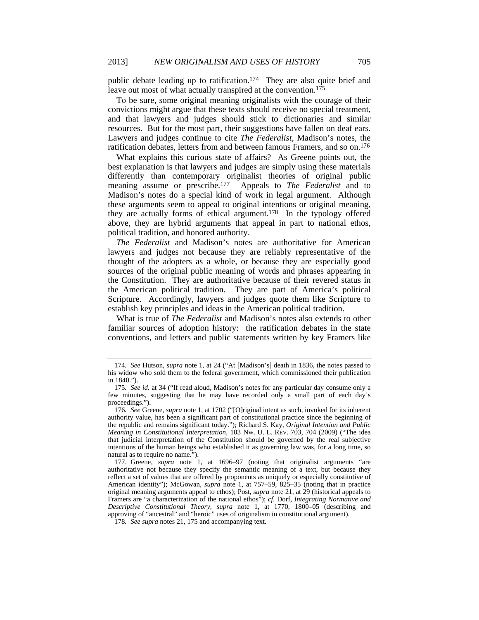public debate leading up to ratification.174 They are also quite brief and leave out most of what actually transpired at the convention.<sup>175</sup>

To be sure, some original meaning originalists with the courage of their convictions might argue that these texts should receive no special treatment, and that lawyers and judges should stick to dictionaries and similar resources. But for the most part, their suggestions have fallen on deaf ears. Lawyers and judges continue to cite *The Federalist*, Madison's notes, the ratification debates, letters from and between famous Framers, and so on.176

What explains this curious state of affairs? As Greene points out, the best explanation is that lawyers and judges are simply using these materials differently than contemporary originalist theories of original public meaning assume or prescribe.<sup>177</sup> Appeals to *The Federalist* and to Appeals to *The Federalist* and to Madison's notes do a special kind of work in legal argument. Although these arguments seem to appeal to original intentions or original meaning, they are actually forms of ethical argument.178 In the typology offered above, they are hybrid arguments that appeal in part to national ethos, political tradition, and honored authority.

*The Federalist* and Madison's notes are authoritative for American lawyers and judges not because they are reliably representative of the thought of the adopters as a whole, or because they are especially good sources of the original public meaning of words and phrases appearing in the Constitution. They are authoritative because of their revered status in the American political tradition. They are part of America's political Scripture. Accordingly, lawyers and judges quote them like Scripture to establish key principles and ideas in the American political tradition.

What is true of *The Federalist* and Madison's notes also extends to other familiar sources of adoption history: the ratification debates in the state conventions, and letters and public statements written by key Framers like

<sup>174</sup>*. See* Hutson, *supra* note 1, at 24 ("At [Madison's] death in 1836, the notes passed to his widow who sold them to the federal government, which commissioned their publication in 1840.").

<sup>175</sup>*. See id.* at 34 ("If read aloud, Madison's notes for any particular day consume only a few minutes, suggesting that he may have recorded only a small part of each day's proceedings.").

<sup>176</sup>*. See* Greene, *supra* note 1, at 1702 ("[O]riginal intent as such, invoked for its inherent authority value, has been a significant part of constitutional practice since the beginning of the republic and remains significant today."); Richard S. Kay, *Original Intention and Public Meaning in Constitutional Interpretation*, 103 NW. U. L. REV. 703, 704 (2009) ("The idea that judicial interpretation of the Constitution should be governed by the real subjective intentions of the human beings who established it as governing law was, for a long time, so natural as to require no name.").

 <sup>177.</sup> Greene, *supra* note 1, at 1696–97 (noting that originalist arguments "are authoritative not because they specify the semantic meaning of a text, but because they reflect a set of values that are offered by proponents as uniquely or especially constitutive of American identity"); McGowan, *supra* note 1, at 757–59, 825–35 (noting that in practice original meaning arguments appeal to ethos); Post, *supra* note 21, at 29 (historical appeals to Framers are "a characterization of the national ethos"); *cf.* Dorf, *Integrating Normative and Descriptive Constitutional Theory*, *supra* note 1, at 1770, 1800–05 (describing and approving of "ancestral" and "heroic" uses of originalism in constitutional argument).

<sup>178</sup>*. See supra* notes 21, 175 and accompanying text.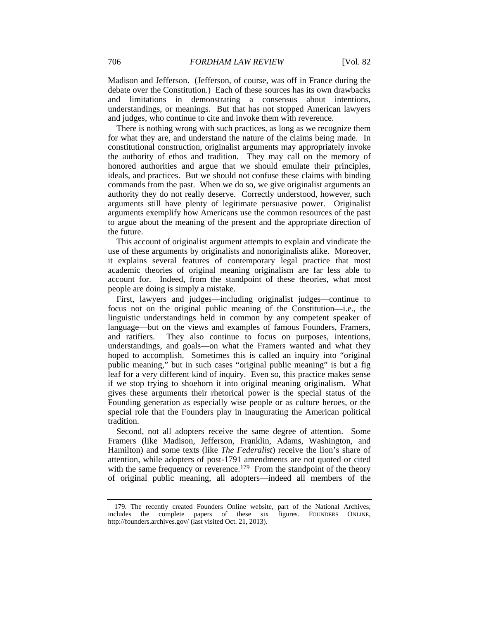Madison and Jefferson. (Jefferson, of course, was off in France during the debate over the Constitution.) Each of these sources has its own drawbacks and limitations in demonstrating a consensus about intentions, understandings, or meanings. But that has not stopped American lawyers and judges, who continue to cite and invoke them with reverence.

There is nothing wrong with such practices, as long as we recognize them for what they are, and understand the nature of the claims being made. In constitutional construction, originalist arguments may appropriately invoke the authority of ethos and tradition. They may call on the memory of honored authorities and argue that we should emulate their principles, ideals, and practices. But we should not confuse these claims with binding commands from the past. When we do so, we give originalist arguments an authority they do not really deserve. Correctly understood, however, such arguments still have plenty of legitimate persuasive power. Originalist arguments exemplify how Americans use the common resources of the past to argue about the meaning of the present and the appropriate direction of the future.

This account of originalist argument attempts to explain and vindicate the use of these arguments by originalists and nonoriginalists alike. Moreover, it explains several features of contemporary legal practice that most academic theories of original meaning originalism are far less able to account for. Indeed, from the standpoint of these theories, what most people are doing is simply a mistake.

First, lawyers and judges—including originalist judges—continue to focus not on the original public meaning of the Constitution—i.e., the linguistic understandings held in common by any competent speaker of language—but on the views and examples of famous Founders, Framers, and ratifiers. They also continue to focus on purposes, intentions, They also continue to focus on purposes, intentions, understandings, and goals—on what the Framers wanted and what they hoped to accomplish. Sometimes this is called an inquiry into "original public meaning," but in such cases "original public meaning" is but a fig leaf for a very different kind of inquiry. Even so, this practice makes sense if we stop trying to shoehorn it into original meaning originalism. What gives these arguments their rhetorical power is the special status of the Founding generation as especially wise people or as culture heroes, or the special role that the Founders play in inaugurating the American political tradition.

Second, not all adopters receive the same degree of attention. Some Framers (like Madison, Jefferson, Franklin, Adams, Washington, and Hamilton) and some texts (like *The Federalist*) receive the lion's share of attention, while adopters of post-1791 amendments are not quoted or cited with the same frequency or reverence.<sup>179</sup> From the standpoint of the theory of original public meaning, all adopters—indeed all members of the

 <sup>179.</sup> The recently created Founders Online website, part of the National Archives, includes the complete papers of these six figures. FOUNDERS ONLINE, http://founders.archives.gov/ (last visited Oct. 21, 2013).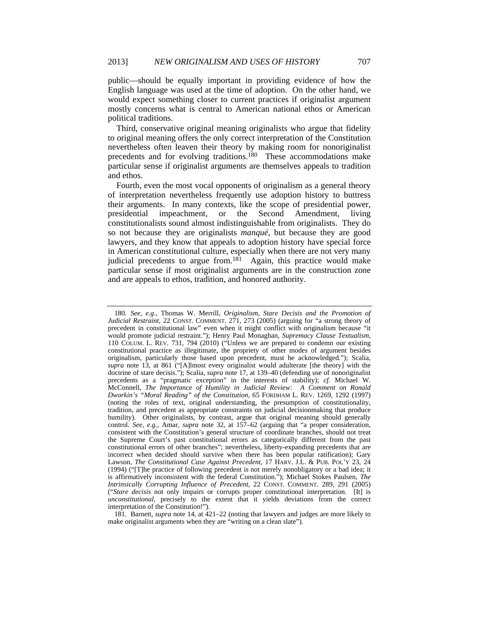public—should be equally important in providing evidence of how the English language was used at the time of adoption. On the other hand, we would expect something closer to current practices if originalist argument mostly concerns what is central to American national ethos or American political traditions.

Third, conservative original meaning originalists who argue that fidelity to original meaning offers the only correct interpretation of the Constitution nevertheless often leaven their theory by making room for nonoriginalist precedents and for evolving traditions.180 These accommodations make particular sense if originalist arguments are themselves appeals to tradition and ethos.

Fourth, even the most vocal opponents of originalism as a general theory of interpretation nevertheless frequently use adoption history to buttress their arguments. In many contexts, like the scope of presidential power, presidential impeachment, or the Second Amendment, living constitutionalists sound almost indistinguishable from originalists. They do so not because they are originalists *manqué*, but because they are good lawyers, and they know that appeals to adoption history have special force in American constitutional culture, especially when there are not very many judicial precedents to argue from.<sup>181</sup> Again, this practice would make particular sense if most originalist arguments are in the construction zone and are appeals to ethos, tradition, and honored authority.

<sup>180</sup>*. See, e.g.*, Thomas W. Merrill, *Originalism, Stare Decisis and the Promotion of Judicial Restraint*, 22 CONST. COMMENT. 271, 273 (2005) (arguing for "a strong theory of precedent in constitutional law" even when it might conflict with originalism because "it would promote judicial restraint."); Henry Paul Monaghan, *Supremacy Clause Textualism*, 110 COLUM. L. REV. 731, 794 (2010) ("Unless we are prepared to condemn our existing constitutional practice as illegitimate, the propriety of other modes of argument besides originalism, particularly those based upon precedent, must be acknowledged."); Scalia, *supra* note 13, at 861 ("[A]lmost every originalist would adulterate [the theory] with the doctrine of stare decisis."); Scalia, *supra* note 17, at 139–40 (defending use of nonoriginalist precedents as a "pragmatic exception" in the interests of stability); *cf.* Michael W. McConnell, *The Importance of Humility in Judicial Review: A Comment on Ronald Dworkin's "Moral Reading" of the Constitution*, 65 FORDHAM L. REV. 1269, 1292 (1997) (noting the roles of text, original understanding, the presumption of constitutionality, tradition, and precedent as appropriate constraints on judicial decisionmaking that produce humility). Other originalists, by contrast, argue that original meaning should generally control. *See, e.g.*, Amar, *supra* note 32, at 157–62 (arguing that "a proper consideration, consistent with the Constitution's general structure of coordinate branches, should not treat the Supreme Court's past constitutional errors as categorically different from the past constitutional errors of other branches"; nevertheless, liberty-expanding precedents that are incorrect when decided should survive when there has been popular ratification); Gary Lawson, *The Constitutional Case Against Precedent*, 17 HARV. J.L. & PUB. POL'Y 23, 24 (1994) ("[T]he practice of following precedent is not merely nonobligatory or a bad idea; it is affirmatively inconsistent with the federal Constitution."); Michael Stokes Paulsen, *The Intrinsically Corrupting Influence of Precedent*, 22 CONST. COMMENT. 289, 291 (2005) ("*Stare decisis* not only impairs or corrupts proper constitutional interpretation. [It] is *unconstitutional*, precisely to the extent that it yields deviations from the correct interpretation of the Constitution!").

 <sup>181.</sup> Barnett, *supra* note 14, at 421–22 (noting that lawyers and judges are more likely to make originalist arguments when they are "writing on a clean slate").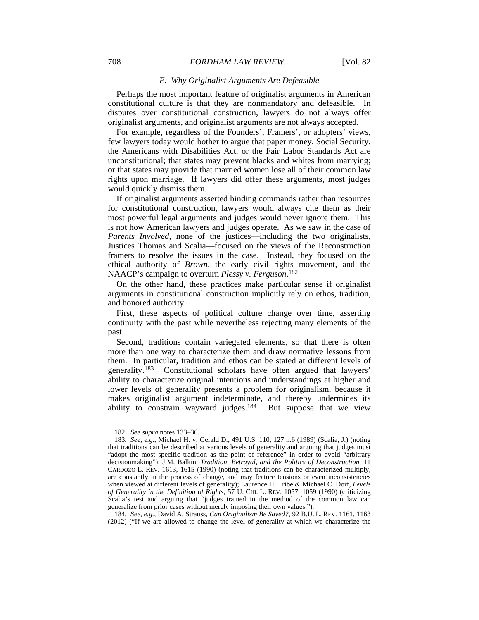### 708 *FORDHAM LAW REVIEW* [Vol. 82

#### *E. Why Originalist Arguments Are Defeasible*

Perhaps the most important feature of originalist arguments in American constitutional culture is that they are nonmandatory and defeasible. In disputes over constitutional construction, lawyers do not always offer originalist arguments, and originalist arguments are not always accepted.

For example, regardless of the Founders', Framers', or adopters' views, few lawyers today would bother to argue that paper money, Social Security, the Americans with Disabilities Act, or the Fair Labor Standards Act are unconstitutional; that states may prevent blacks and whites from marrying; or that states may provide that married women lose all of their common law rights upon marriage. If lawyers did offer these arguments, most judges would quickly dismiss them.

If originalist arguments asserted binding commands rather than resources for constitutional construction, lawyers would always cite them as their most powerful legal arguments and judges would never ignore them. This is not how American lawyers and judges operate. As we saw in the case of *Parents Involved*, none of the justices—including the two originalists, Justices Thomas and Scalia—focused on the views of the Reconstruction framers to resolve the issues in the case. Instead, they focused on the ethical authority of *Brown*, the early civil rights movement, and the NAACP's campaign to overturn *Plessy v. Ferguson*. 182

On the other hand, these practices make particular sense if originalist arguments in constitutional construction implicitly rely on ethos, tradition, and honored authority.

First, these aspects of political culture change over time, asserting continuity with the past while nevertheless rejecting many elements of the past.

Second, traditions contain variegated elements, so that there is often more than one way to characterize them and draw normative lessons from them. In particular, tradition and ethos can be stated at different levels of generality.183 Constitutional scholars have often argued that lawyers' ability to characterize original intentions and understandings at higher and lower levels of generality presents a problem for originalism, because it makes originalist argument indeterminate, and thereby undermines its ability to constrain wayward judges.184 But suppose that we view

184*. See, e.g.*, David A. Strauss, *Can Originalism Be Saved?*, 92 B.U. L. REV. 1161, 1163 (2012) ("If we are allowed to change the level of generality at which we characterize the

 <sup>182.</sup> *See supra* notes 133–36.

<sup>183</sup>*. See, e.g.*, Michael H. v. Gerald D., 491 U.S. 110, 127 n.6 (1989) (Scalia, J.) (noting that traditions can be described at various levels of generality and arguing that judges must "adopt the most specific tradition as the point of reference" in order to avoid "arbitrary decisionmaking"); J.M. Balkin, *Tradition, Betrayal, and the Politics of Deconstruction*, 11 CARDOZO L. REV. 1613, 1615 (1990) (noting that traditions can be characterized multiply, are constantly in the process of change, and may feature tensions or even inconsistencies when viewed at different levels of generality); Laurence H. Tribe & Michael C. Dorf, *Levels of Generality in the Definition of Rights*, 57 U. CHI. L. REV. 1057, 1059 (1990) (criticizing Scalia's test and arguing that "judges trained in the method of the common law can generalize from prior cases without merely imposing their own values.").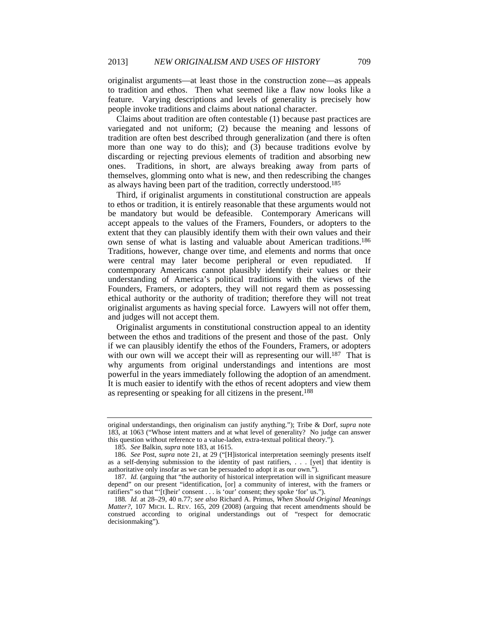originalist arguments—at least those in the construction zone—as appeals to tradition and ethos. Then what seemed like a flaw now looks like a feature. Varying descriptions and levels of generality is precisely how people invoke traditions and claims about national character.

Claims about tradition are often contestable (1) because past practices are variegated and not uniform; (2) because the meaning and lessons of tradition are often best described through generalization (and there is often more than one way to do this); and (3) because traditions evolve by discarding or rejecting previous elements of tradition and absorbing new ones. Traditions, in short, are always breaking away from parts of themselves, glomming onto what is new, and then redescribing the changes as always having been part of the tradition, correctly understood.185

Third, if originalist arguments in constitutional construction are appeals to ethos or tradition, it is entirely reasonable that these arguments would not be mandatory but would be defeasible. Contemporary Americans will accept appeals to the values of the Framers, Founders, or adopters to the extent that they can plausibly identify them with their own values and their own sense of what is lasting and valuable about American traditions.186 Traditions, however, change over time, and elements and norms that once were central may later become peripheral or even repudiated. If contemporary Americans cannot plausibly identify their values or their understanding of America's political traditions with the views of the Founders, Framers, or adopters, they will not regard them as possessing ethical authority or the authority of tradition; therefore they will not treat originalist arguments as having special force. Lawyers will not offer them, and judges will not accept them.

Originalist arguments in constitutional construction appeal to an identity between the ethos and traditions of the present and those of the past. Only if we can plausibly identify the ethos of the Founders, Framers, or adopters with our own will we accept their will as representing our will.<sup>187</sup> That is why arguments from original understandings and intentions are most powerful in the years immediately following the adoption of an amendment. It is much easier to identify with the ethos of recent adopters and view them as representing or speaking for all citizens in the present.188

original understandings, then originalism can justify anything."); Tribe & Dorf, *supra* note 183, at 1063 ("Whose intent matters and at what level of generality? No judge can answer this question without reference to a value-laden, extra-textual political theory.").

 <sup>185.</sup> *See* Balkin, *supra* note 183, at 1615.

<sup>186</sup>*. See* Post, *supra* note 21, at 29 ("[H]istorical interpretation seemingly presents itself as a self-denying submission to the identity of past ratifiers, . . . [yet] that identity is authoritative only insofar as we can be persuaded to adopt it as our own.").

<sup>187</sup>*. Id.* (arguing that "the authority of historical interpretation will in significant measure depend" on our present "identification, [or] a community of interest, with the framers or ratifiers" so that "'[t]heir' consent . . . is 'our' consent; they spoke 'for' us.").

<sup>188</sup>*. Id.* at 28–29, 40 n.77; *see also* Richard A. Primus, *When Should Original Meanings Matter?*, 107 MICH. L. REV. 165, 209 (2008) (arguing that recent amendments should be construed according to original understandings out of "respect for democratic decisionmaking").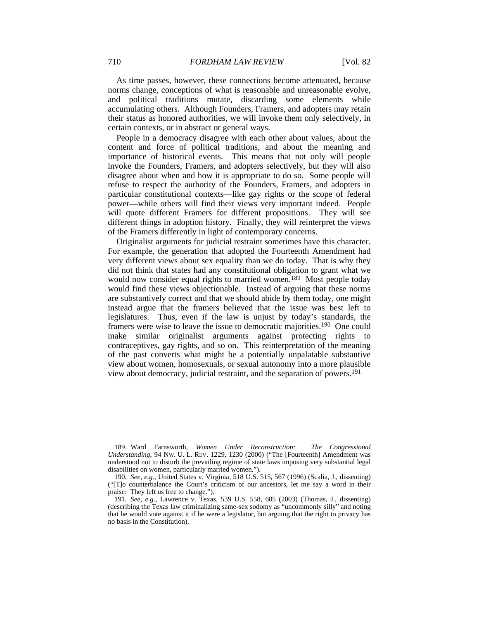As time passes, however, these connections become attenuated, because norms change, conceptions of what is reasonable and unreasonable evolve, and political traditions mutate, discarding some elements while accumulating others. Although Founders, Framers, and adopters may retain their status as honored authorities, we will invoke them only selectively, in certain contexts, or in abstract or general ways.

People in a democracy disagree with each other about values, about the content and force of political traditions, and about the meaning and importance of historical events. This means that not only will people invoke the Founders, Framers, and adopters selectively, but they will also disagree about when and how it is appropriate to do so. Some people will refuse to respect the authority of the Founders, Framers, and adopters in particular constitutional contexts—like gay rights or the scope of federal power—while others will find their views very important indeed. People will quote different Framers for different propositions. They will see different things in adoption history. Finally, they will reinterpret the views of the Framers differently in light of contemporary concerns.

Originalist arguments for judicial restraint sometimes have this character. For example, the generation that adopted the Fourteenth Amendment had very different views about sex equality than we do today. That is why they did not think that states had any constitutional obligation to grant what we would now consider equal rights to married women.<sup>189</sup> Most people today would find these views objectionable. Instead of arguing that these norms are substantively correct and that we should abide by them today, one might instead argue that the framers believed that the issue was best left to legislatures. Thus, even if the law is unjust by today's standards, the framers were wise to leave the issue to democratic majorities.190 One could make similar originalist arguments against protecting rights to contraceptives, gay rights, and so on. This reinterpretation of the meaning of the past converts what might be a potentially unpalatable substantive view about women, homosexuals, or sexual autonomy into a more plausible view about democracy, judicial restraint, and the separation of powers.191

 <sup>189.</sup> Ward Farnsworth, *Women Under Reconstruction: The Congressional Understanding*, 94 NW. U. L. REV. 1229, 1230 (2000) ("The [Fourteenth] Amendment was understood not to disturb the prevailing regime of state laws imposing very substantial legal disabilities on women, particularly married women.").

<sup>190</sup>*. See, e.g.*, United States v. Virginia, 518 U.S. 515, 567 (1996) (Scalia, J., dissenting) ("[T]o counterbalance the Court's criticism of our ancestors, let me say a word in their praise: They left us free to change.").

<sup>191</sup>*. See, e.g.*, Lawrence v. Texas, 539 U.S. 558, 605 (2003) (Thomas, J., dissenting) (describing the Texas law criminalizing same-sex sodomy as "uncommonly silly" and noting that he would vote against it if he were a legislator, but arguing that the right to privacy has no basis in the Constitution).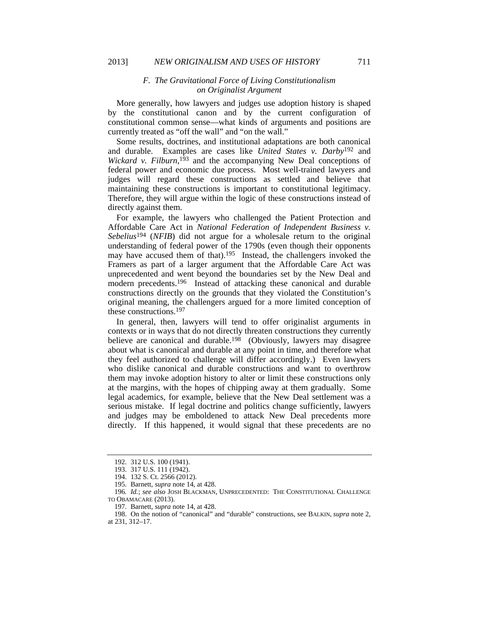### *F. The Gravitational Force of Living Constitutionalism on Originalist Argument*

More generally, how lawyers and judges use adoption history is shaped by the constitutional canon and by the current configuration of constitutional common sense—what kinds of arguments and positions are currently treated as "off the wall" and "on the wall."

Some results, doctrines, and institutional adaptations are both canonical and durable. Examples are cases like *United States v. Darby*192 and *Wickard v. Filburn*, 193 and the accompanying New Deal conceptions of federal power and economic due process. Most well-trained lawyers and judges will regard these constructions as settled and believe that maintaining these constructions is important to constitutional legitimacy. Therefore, they will argue within the logic of these constructions instead of directly against them.

For example, the lawyers who challenged the Patient Protection and Affordable Care Act in *National Federation of Independent Business v. Sebelius*194 (*NFIB*) did not argue for a wholesale return to the original understanding of federal power of the 1790s (even though their opponents may have accused them of that).<sup>195</sup> Instead, the challengers invoked the Framers as part of a larger argument that the Affordable Care Act was unprecedented and went beyond the boundaries set by the New Deal and modern precedents.196 Instead of attacking these canonical and durable constructions directly on the grounds that they violated the Constitution's original meaning, the challengers argued for a more limited conception of these constructions.197

In general, then, lawyers will tend to offer originalist arguments in contexts or in ways that do not directly threaten constructions they currently believe are canonical and durable.<sup>198</sup> (Obviously, lawyers may disagree about what is canonical and durable at any point in time, and therefore what they feel authorized to challenge will differ accordingly.) Even lawyers who dislike canonical and durable constructions and want to overthrow them may invoke adoption history to alter or limit these constructions only at the margins, with the hopes of chipping away at them gradually. Some legal academics, for example, believe that the New Deal settlement was a serious mistake. If legal doctrine and politics change sufficiently, lawyers and judges may be emboldened to attack New Deal precedents more directly. If this happened, it would signal that these precedents are no

 <sup>192. 312</sup> U.S. 100 (1941).

 <sup>193. 317</sup> U.S. 111 (1942).

 <sup>194. 132</sup> S. Ct. 2566 (2012).

 <sup>195.</sup> Barnett, *supra* note 14, at 428.

<sup>196</sup>*. Id.*; *see also* JOSH BLACKMAN, UNPRECEDENTED: THE CONSTITUTIONAL CHALLENGE TO OBAMACARE (2013).

 <sup>197.</sup> Barnett, *supra* note 14, at 428.

 <sup>198.</sup> On the notion of "canonical" and "durable" constructions, see BALKIN, *supra* note 2, at 231, 312–17.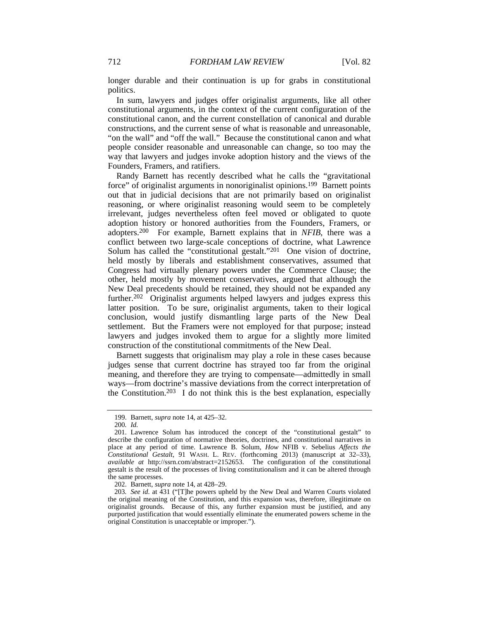longer durable and their continuation is up for grabs in constitutional politics.

In sum, lawyers and judges offer originalist arguments, like all other constitutional arguments, in the context of the current configuration of the constitutional canon, and the current constellation of canonical and durable constructions, and the current sense of what is reasonable and unreasonable, "on the wall" and "off the wall." Because the constitutional canon and what people consider reasonable and unreasonable can change, so too may the way that lawyers and judges invoke adoption history and the views of the Founders, Framers, and ratifiers.

Randy Barnett has recently described what he calls the "gravitational force" of originalist arguments in nonoriginalist opinions.199 Barnett points out that in judicial decisions that are not primarily based on originalist reasoning, or where originalist reasoning would seem to be completely irrelevant, judges nevertheless often feel moved or obligated to quote adoption history or honored authorities from the Founders, Framers, or adopters.200 For example, Barnett explains that in *NFIB*, there was a conflict between two large-scale conceptions of doctrine, what Lawrence Solum has called the "constitutional gestalt."<sup>201</sup> One vision of doctrine, held mostly by liberals and establishment conservatives, assumed that Congress had virtually plenary powers under the Commerce Clause; the other, held mostly by movement conservatives, argued that although the New Deal precedents should be retained, they should not be expanded any further.202 Originalist arguments helped lawyers and judges express this latter position. To be sure, originalist arguments, taken to their logical conclusion, would justify dismantling large parts of the New Deal settlement. But the Framers were not employed for that purpose; instead lawyers and judges invoked them to argue for a slightly more limited construction of the constitutional commitments of the New Deal.

Barnett suggests that originalism may play a role in these cases because judges sense that current doctrine has strayed too far from the original meaning, and therefore they are trying to compensate—admittedly in small ways—from doctrine's massive deviations from the correct interpretation of the Constitution.<sup>203</sup> I do not think this is the best explanation, especially

 <sup>199.</sup> Barnett, *supra* note 14, at 425–32.

<sup>200</sup>*. Id.*

 <sup>201.</sup> Lawrence Solum has introduced the concept of the "constitutional gestalt" to describe the configuration of normative theories, doctrines, and constitutional narratives in place at any period of time. Lawrence B. Solum, *How* NFIB v. Sebelius *Affects the Constitutional Gestalt*, 91 WASH. L. REV. (forthcoming 2013) (manuscript at 32–33), *available at* http://ssrn.com/abstract=2152653. The configuration of the constitutional gestalt is the result of the processes of living constitutionalism and it can be altered through the same processes.

 <sup>202.</sup> Barnett, *supra* note 14, at 428–29.

<sup>203</sup>*. See id.* at 431 ("[T]he powers upheld by the New Deal and Warren Courts violated the original meaning of the Constitution, and this expansion was, therefore, illegitimate on originalist grounds. Because of this, any further expansion must be justified, and any purported justification that would essentially eliminate the enumerated powers scheme in the original Constitution is unacceptable or improper.").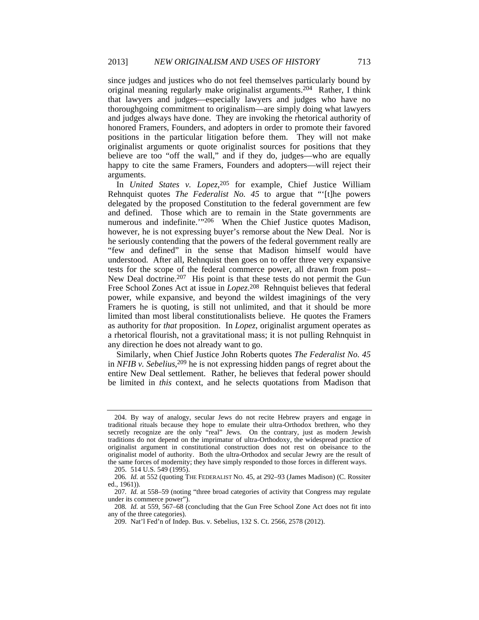since judges and justices who do not feel themselves particularly bound by original meaning regularly make originalist arguments.204 Rather, I think that lawyers and judges—especially lawyers and judges who have no thoroughgoing commitment to originalism—are simply doing what lawyers and judges always have done. They are invoking the rhetorical authority of honored Framers, Founders, and adopters in order to promote their favored positions in the particular litigation before them. They will not make originalist arguments or quote originalist sources for positions that they believe are too "off the wall," and if they do, judges—who are equally happy to cite the same Framers, Founders and adopters—will reject their arguments.

In *United States v. Lopez*, 205 for example, Chief Justice William Rehnquist quotes *The Federalist No. 45* to argue that "'[t]he powers delegated by the proposed Constitution to the federal government are few and defined. Those which are to remain in the State governments are numerous and indefinite.'"<sup>206</sup> When the Chief Justice quotes Madison, however, he is not expressing buyer's remorse about the New Deal. Nor is he seriously contending that the powers of the federal government really are "few and defined" in the sense that Madison himself would have understood. After all, Rehnquist then goes on to offer three very expansive tests for the scope of the federal commerce power, all drawn from post– New Deal doctrine.<sup>207</sup> His point is that these tests do not permit the Gun Free School Zones Act at issue in *Lopez*. 208 Rehnquist believes that federal power, while expansive, and beyond the wildest imaginings of the very Framers he is quoting, is still not unlimited, and that it should be more limited than most liberal constitutionalists believe. He quotes the Framers as authority for *that* proposition. In *Lopez*, originalist argument operates as a rhetorical flourish, not a gravitational mass; it is not pulling Rehnquist in any direction he does not already want to go.

Similarly, when Chief Justice John Roberts quotes *The Federalist No. 45* in *NFIB v. Sebelius*, 209 he is not expressing hidden pangs of regret about the entire New Deal settlement. Rather, he believes that federal power should be limited in *this* context, and he selects quotations from Madison that

 <sup>204.</sup> By way of analogy, secular Jews do not recite Hebrew prayers and engage in traditional rituals because they hope to emulate their ultra-Orthodox brethren, who they secretly recognize are the only "real" Jews. On the contrary, just as modern Jewish traditions do not depend on the imprimatur of ultra-Orthodoxy, the widespread practice of originalist argument in constitutional construction does not rest on obeisance to the originalist model of authority. Both the ultra-Orthodox and secular Jewry are the result of the same forces of modernity; they have simply responded to those forces in different ways.

 <sup>205. 514</sup> U.S. 549 (1995).

<sup>206</sup>*. Id.* at 552 (quoting THE FEDERALIST NO. 45, at 292–93 (James Madison) (C. Rossiter ed., 1961)).

<sup>207</sup>*. Id.* at 558–59 (noting "three broad categories of activity that Congress may regulate under its commerce power").

<sup>208</sup>*. Id.* at 559, 567–68 (concluding that the Gun Free School Zone Act does not fit into any of the three categories).

 <sup>209.</sup> Nat'l Fed'n of Indep. Bus. v. Sebelius, 132 S. Ct. 2566, 2578 (2012).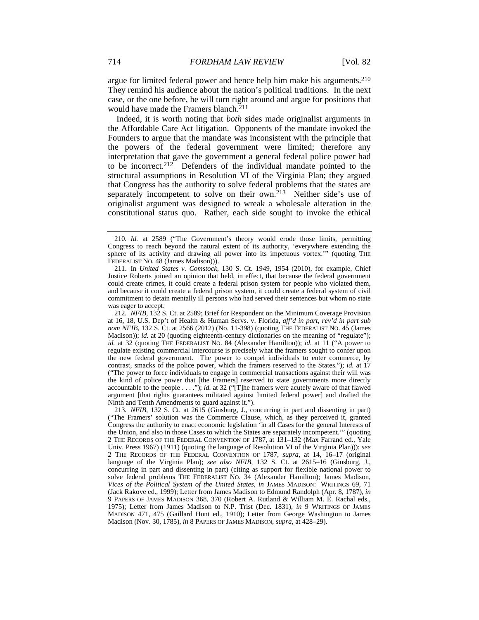argue for limited federal power and hence help him make his arguments.210 They remind his audience about the nation's political traditions. In the next case, or the one before, he will turn right around and argue for positions that would have made the Framers blanch.<sup>211</sup>

Indeed, it is worth noting that *both* sides made originalist arguments in the Affordable Care Act litigation. Opponents of the mandate invoked the Founders to argue that the mandate was inconsistent with the principle that the powers of the federal government were limited; therefore any interpretation that gave the government a general federal police power had to be incorrect.212 Defenders of the individual mandate pointed to the structural assumptions in Resolution VI of the Virginia Plan; they argued that Congress has the authority to solve federal problems that the states are separately incompetent to solve on their own.<sup>213</sup> Neither side's use of originalist argument was designed to wreak a wholesale alteration in the constitutional status quo. Rather, each side sought to invoke the ethical

212*. NFIB*, 132 S. Ct. at 2589; Brief for Respondent on the Minimum Coverage Provision at 16, 18, U.S. Dep't of Health & Human Servs. v. Florida, *aff'd in part, rev'd in part sub nom NFIB*, 132 S. Ct. at 2566 (2012) (No. 11-398) (quoting THE FEDERALIST NO. 45 (James Madison)); *id.* at 20 (quoting eighteenth-century dictionaries on the meaning of "regulate"); *id.* at 32 (quoting THE FEDERALIST NO. 84 (Alexander Hamilton)); *id.* at 11 ("A power to regulate existing commercial intercourse is precisely what the framers sought to confer upon the new federal government. The power to compel individuals to enter commerce, by contrast, smacks of the police power, which the framers reserved to the States."); *id.* at 17 ("The power to force individuals to engage in commercial transactions against their will was the kind of police power that [the Framers] reserved to state governments more directly accountable to the people . . . ."); *id.* at 32 ("[T]he framers were acutely aware of that flawed argument [that rights guarantees militated against limited federal power] and drafted the Ninth and Tenth Amendments to guard against it.").

213*. NFIB*, 132 S. Ct. at 2615 (Ginsburg, J., concurring in part and dissenting in part) ("The Framers' solution was the Commerce Clause, which, as they perceived it, granted Congress the authority to enact economic legislation 'in all Cases for the general Interests of the Union, and also in those Cases to which the States are separately incompetent.'" (quoting 2 THE RECORDS OF THE FEDERAL CONVENTION OF 1787, at 131–132 (Max Farrand ed., Yale Univ. Press 1967) (1911) (quoting the language of Resolution VI of the Virginia Plan))); *see* 2 THE RECORDS OF THE FEDERAL CONVENTION OF 1787, *supra*, at 14, 16–17 (original language of the Virginia Plan); *see also NFIB*, 132 S. Ct. at 2615–16 (Ginsburg, J., concurring in part and dissenting in part) (citing as support for flexible national power to solve federal problems THE FEDERALIST NO. 34 (Alexander Hamilton); James Madison, *Vices of the Political System of the United States*, *in* JAMES MADISON: WRITINGS 69, 71 (Jack Rakove ed., 1999); Letter from James Madison to Edmund Randolph (Apr. 8, 1787), *in* 9 PAPERS OF JAMES MADISON 368, 370 (Robert A. Rutland & William M. E. Rachal eds., 1975); Letter from James Madison to N.P. Trist (Dec. 1831), *in* 9 WRITINGS OF JAMES MADISON 471, 475 (Gaillard Hunt ed., 1910); Letter from George Washington to James Madison (Nov. 30, 1785), *in* 8 PAPERS OF JAMES MADISON, *supra*, at 428–29).

<sup>210</sup>*. Id.* at 2589 ("The Government's theory would erode those limits, permitting Congress to reach beyond the natural extent of its authority, 'everywhere extending the sphere of its activity and drawing all power into its impetuous vortex.'" (quoting THE FEDERALIST NO. 48 (James Madison))).

 <sup>211.</sup> In *United States v. Comstock*, 130 S. Ct. 1949, 1954 (2010), for example, Chief Justice Roberts joined an opinion that held, in effect, that because the federal government could create crimes, it could create a federal prison system for people who violated them, and because it could create a federal prison system, it could create a federal system of civil commitment to detain mentally ill persons who had served their sentences but whom no state was eager to accept.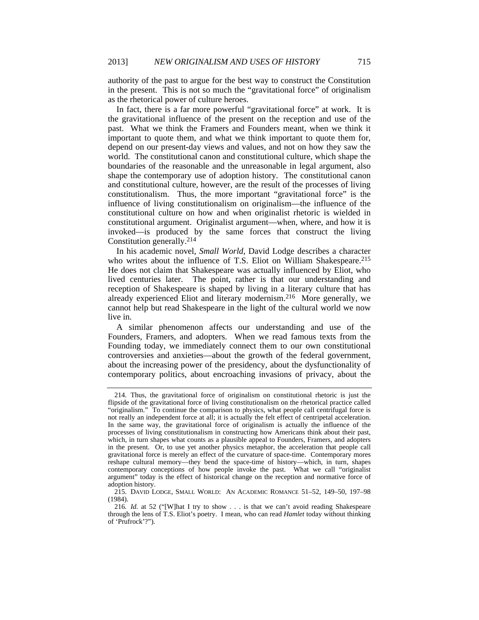authority of the past to argue for the best way to construct the Constitution in the present. This is not so much the "gravitational force" of originalism as the rhetorical power of culture heroes.

In fact, there is a far more powerful "gravitational force" at work. It is the gravitational influence of the present on the reception and use of the past. What we think the Framers and Founders meant, when we think it important to quote them, and what we think important to quote them for, depend on our present-day views and values, and not on how they saw the world. The constitutional canon and constitutional culture, which shape the boundaries of the reasonable and the unreasonable in legal argument, also shape the contemporary use of adoption history. The constitutional canon and constitutional culture, however, are the result of the processes of living constitutionalism. Thus, the more important "gravitational force" is the influence of living constitutionalism on originalism—the influence of the constitutional culture on how and when originalist rhetoric is wielded in constitutional argument. Originalist argument—when, where, and how it is invoked—is produced by the same forces that construct the living Constitution generally.214

In his academic novel, *Small World*, David Lodge describes a character who writes about the influence of T.S. Eliot on William Shakespeare.<sup>215</sup> He does not claim that Shakespeare was actually influenced by Eliot, who lived centuries later. The point, rather is that our understanding and reception of Shakespeare is shaped by living in a literary culture that has already experienced Eliot and literary modernism.216 More generally, we cannot help but read Shakespeare in the light of the cultural world we now live in.

A similar phenomenon affects our understanding and use of the Founders, Framers, and adopters. When we read famous texts from the Founding today, we immediately connect them to our own constitutional controversies and anxieties—about the growth of the federal government, about the increasing power of the presidency, about the dysfunctionality of contemporary politics, about encroaching invasions of privacy, about the

 <sup>214.</sup> Thus, the gravitational force of originalism on constitutional rhetoric is just the flipside of the gravitational force of living constitutionalism on the rhetorical practice called "originalism." To continue the comparison to physics, what people call centrifugal force is not really an independent force at all; it is actually the felt effect of centripetal acceleration. In the same way, the gravitational force of originalism is actually the influence of the processes of living constitutionalism in constructing how Americans think about their past, which, in turn shapes what counts as a plausible appeal to Founders, Framers, and adopters in the present. Or, to use yet another physics metaphor, the acceleration that people call gravitational force is merely an effect of the curvature of space-time. Contemporary mores reshape cultural memory—they bend the space-time of history—which, in turn, shapes contemporary conceptions of how people invoke the past. What we call "originalist argument" today is the effect of historical change on the reception and normative force of adoption history.

 <sup>215.</sup> DAVID LODGE, SMALL WORLD: AN ACADEMIC ROMANCE 51–52, 149–50, 197–98 (1984).

<sup>216</sup>*. Id.* at 52 ("[W]hat I try to show . . . is that we can't avoid reading Shakespeare through the lens of T.S. Eliot's poetry. I mean, who can read *Hamlet* today without thinking of 'Prufrock'?").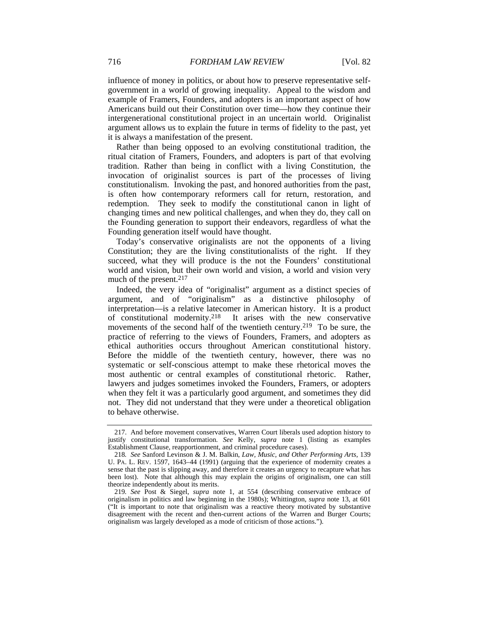influence of money in politics, or about how to preserve representative selfgovernment in a world of growing inequality. Appeal to the wisdom and example of Framers, Founders, and adopters is an important aspect of how Americans build out their Constitution over time—how they continue their intergenerational constitutional project in an uncertain world. Originalist argument allows us to explain the future in terms of fidelity to the past, yet it is always a manifestation of the present.

Rather than being opposed to an evolving constitutional tradition, the ritual citation of Framers, Founders, and adopters is part of that evolving tradition. Rather than being in conflict with a living Constitution, the invocation of originalist sources is part of the processes of living constitutionalism. Invoking the past, and honored authorities from the past, is often how contemporary reformers call for return, restoration, and redemption. They seek to modify the constitutional canon in light of changing times and new political challenges, and when they do, they call on the Founding generation to support their endeavors, regardless of what the Founding generation itself would have thought.

Today's conservative originalists are not the opponents of a living Constitution; they are the living constitutionalists of the right. If they succeed, what they will produce is the not the Founders' constitutional world and vision, but their own world and vision, a world and vision very much of the present.217

Indeed, the very idea of "originalist" argument as a distinct species of argument, and of "originalism" as a distinctive philosophy of interpretation—is a relative latecomer in American history. It is a product of constitutional modernity.<sup>218</sup> It arises with the new conservative It arises with the new conservative movements of the second half of the twentieth century.219 To be sure, the practice of referring to the views of Founders, Framers, and adopters as ethical authorities occurs throughout American constitutional history. Before the middle of the twentieth century, however, there was no systematic or self-conscious attempt to make these rhetorical moves the most authentic or central examples of constitutional rhetoric. Rather, lawyers and judges sometimes invoked the Founders, Framers, or adopters when they felt it was a particularly good argument, and sometimes they did not. They did not understand that they were under a theoretical obligation to behave otherwise.

 <sup>217.</sup> And before movement conservatives, Warren Court liberals used adoption history to justify constitutional transformation. *See* Kelly, *supra* note 1 (listing as examples Establishment Clause, reapportionment, and criminal procedure cases).

<sup>218</sup>*. See* Sanford Levinson & J. M. Balkin, *Law, Music, and Other Performing Arts*, 139 U. PA. L. REV. 1597, 1643–44 (1991) (arguing that the experience of modernity creates a sense that the past is slipping away, and therefore it creates an urgency to recapture what has been lost). Note that although this may explain the origins of originalism, one can still theorize independently about its merits.

<sup>219</sup>*. See* Post & Siegel, *supra* note 1, at 554 (describing conservative embrace of originalism in politics and law beginning in the 1980s); Whittington, *supra* note 13, at 601 ("It is important to note that originalism was a reactive theory motivated by substantive disagreement with the recent and then-current actions of the Warren and Burger Courts; originalism was largely developed as a mode of criticism of those actions.").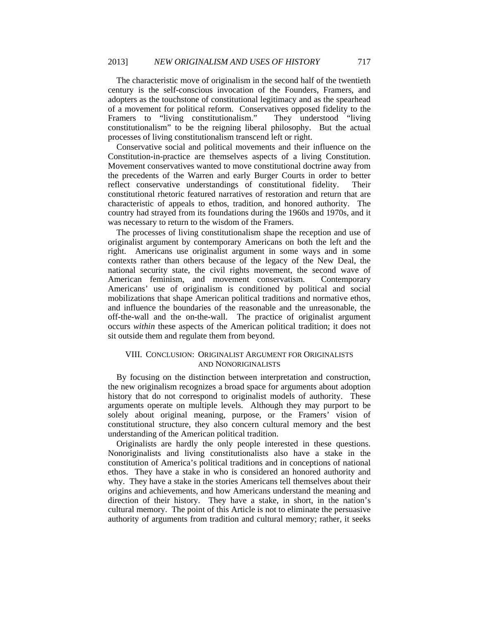The characteristic move of originalism in the second half of the twentieth century is the self-conscious invocation of the Founders, Framers, and adopters as the touchstone of constitutional legitimacy and as the spearhead of a movement for political reform. Conservatives opposed fidelity to the Framers to "living constitutionalism." They understood "living constitutionalism" to be the reigning liberal philosophy. But the actual processes of living constitutionalism transcend left or right.

Conservative social and political movements and their influence on the Constitution-in-practice are themselves aspects of a living Constitution. Movement conservatives wanted to move constitutional doctrine away from the precedents of the Warren and early Burger Courts in order to better reflect conservative understandings of constitutional fidelity. Their constitutional rhetoric featured narratives of restoration and return that are characteristic of appeals to ethos, tradition, and honored authority. The country had strayed from its foundations during the 1960s and 1970s, and it was necessary to return to the wisdom of the Framers.

The processes of living constitutionalism shape the reception and use of originalist argument by contemporary Americans on both the left and the right. Americans use originalist argument in some ways and in some contexts rather than others because of the legacy of the New Deal, the national security state, the civil rights movement, the second wave of American feminism, and movement conservatism. Contemporary Americans' use of originalism is conditioned by political and social mobilizations that shape American political traditions and normative ethos, and influence the boundaries of the reasonable and the unreasonable, the off-the-wall and the on-the-wall. The practice of originalist argument occurs *within* these aspects of the American political tradition; it does not sit outside them and regulate them from beyond.

## VIII. CONCLUSION: ORIGINALIST ARGUMENT FOR ORIGINALISTS AND NONORIGINALISTS

By focusing on the distinction between interpretation and construction, the new originalism recognizes a broad space for arguments about adoption history that do not correspond to originalist models of authority. These arguments operate on multiple levels. Although they may purport to be solely about original meaning, purpose, or the Framers' vision of constitutional structure, they also concern cultural memory and the best understanding of the American political tradition.

Originalists are hardly the only people interested in these questions. Nonoriginalists and living constitutionalists also have a stake in the constitution of America's political traditions and in conceptions of national ethos. They have a stake in who is considered an honored authority and why. They have a stake in the stories Americans tell themselves about their origins and achievements, and how Americans understand the meaning and direction of their history. They have a stake, in short, in the nation's cultural memory. The point of this Article is not to eliminate the persuasive authority of arguments from tradition and cultural memory; rather, it seeks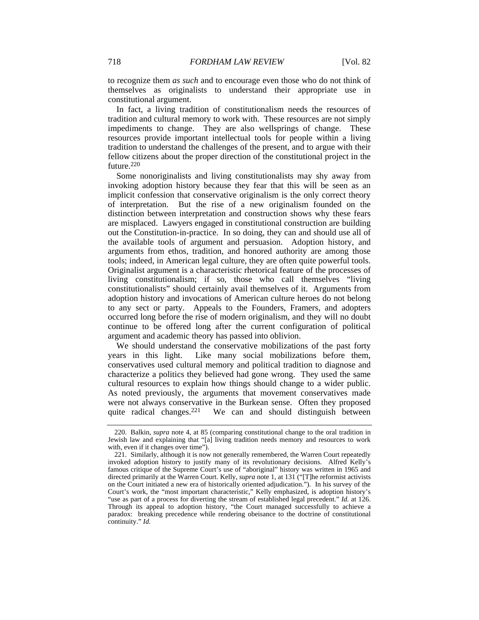to recognize them *as such* and to encourage even those who do not think of themselves as originalists to understand their appropriate use in constitutional argument.

In fact, a living tradition of constitutionalism needs the resources of tradition and cultural memory to work with. These resources are not simply impediments to change. They are also wellsprings of change. These resources provide important intellectual tools for people within a living tradition to understand the challenges of the present, and to argue with their fellow citizens about the proper direction of the constitutional project in the future.<sup>220</sup>

Some nonoriginalists and living constitutionalists may shy away from invoking adoption history because they fear that this will be seen as an implicit confession that conservative originalism is the only correct theory of interpretation. But the rise of a new originalism founded on the distinction between interpretation and construction shows why these fears are misplaced. Lawyers engaged in constitutional construction are building out the Constitution-in-practice. In so doing, they can and should use all of the available tools of argument and persuasion. Adoption history, and arguments from ethos, tradition, and honored authority are among those tools; indeed, in American legal culture, they are often quite powerful tools. Originalist argument is a characteristic rhetorical feature of the processes of living constitutionalism; if so, those who call themselves "living constitutionalists" should certainly avail themselves of it. Arguments from adoption history and invocations of American culture heroes do not belong to any sect or party. Appeals to the Founders, Framers, and adopters occurred long before the rise of modern originalism, and they will no doubt continue to be offered long after the current configuration of political argument and academic theory has passed into oblivion.

We should understand the conservative mobilizations of the past forty years in this light. Like many social mobilizations before them, conservatives used cultural memory and political tradition to diagnose and characterize a politics they believed had gone wrong. They used the same cultural resources to explain how things should change to a wider public. As noted previously, the arguments that movement conservatives made were not always conservative in the Burkean sense. Often they proposed quite radical changes.<sup>221</sup> We can and should distinguish between

 <sup>220.</sup> Balkin, *supra* note 4, at 85 (comparing constitutional change to the oral tradition in Jewish law and explaining that "[a] living tradition needs memory and resources to work with, even if it changes over time").

 <sup>221.</sup> Similarly, although it is now not generally remembered, the Warren Court repeatedly invoked adoption history to justify many of its revolutionary decisions. Alfred Kelly's famous critique of the Supreme Court's use of "aboriginal" history was written in 1965 and directed primarily at the Warren Court. Kelly, *supra* note 1, at 131 ("[T]he reformist activists on the Court initiated a new era of historically oriented adjudication."). In his survey of the Court's work, the "most important characteristic," Kelly emphasized, is adoption history's "use as part of a process for diverting the stream of established legal precedent." *Id.* at 126. Through its appeal to adoption history, "the Court managed successfully to achieve a paradox: breaking precedence while rendering obeisance to the doctrine of constitutional continuity." *Id.*